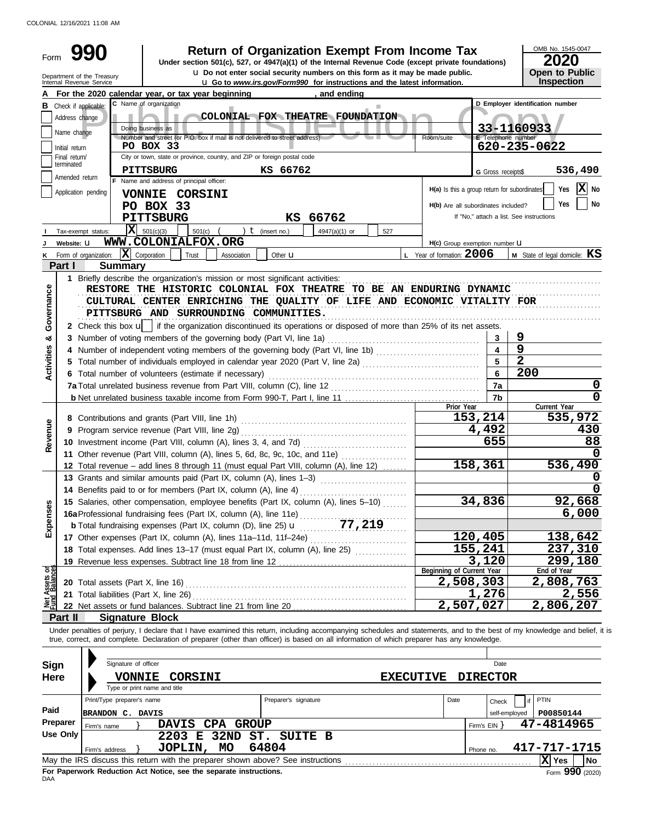COLONIAL 12/16/2021 11:08 AM

| Form                           |                 | <b>Return of Organization Exempt From Income Tax</b><br>Under section 501(c), 527, or 4947(a)(1) of the Internal Revenue Code (except private foundations)<br><b>u</b> Do not enter social security numbers on this form as it may be made public. |                                              |                    | OMB No. 1545-0047<br>2020<br><b>Open to Public</b> |
|--------------------------------|-----------------|----------------------------------------------------------------------------------------------------------------------------------------------------------------------------------------------------------------------------------------------------|----------------------------------------------|--------------------|----------------------------------------------------|
|                                |                 | Department of the Treasury<br>Internal Revenue Service<br><b>u</b> Go to www.irs.gov/Form990 for instructions and the latest information.                                                                                                          |                                              |                    | Inspection                                         |
|                                |                 | For the 2020 calendar year, or tax year beginning<br>, and ending                                                                                                                                                                                  |                                              |                    |                                                    |
|                                |                 | C Name of organization<br><b>B</b> Check if applicable:                                                                                                                                                                                            |                                              |                    | D Employer identification number                   |
|                                | Address change  | COLONIAL FOX THEATRE FOUNDATION                                                                                                                                                                                                                    |                                              |                    |                                                    |
|                                | Name change     | Doing business as                                                                                                                                                                                                                                  |                                              | E Telephone number | 33-1160933                                         |
|                                | Initial return  | Number and street (or P.O. box if mail is not delivered to street address)<br>PO BOX 33                                                                                                                                                            | Room/suite                                   |                    | 620-235-0622                                       |
|                                | Final return/   | City or town, state or province, country, and ZIP or foreign postal code                                                                                                                                                                           |                                              |                    |                                                    |
|                                | terminated      | PITTSBURG<br>KS 66762                                                                                                                                                                                                                              |                                              | G Gross receipts\$ | 536,490                                            |
|                                | Amended return  | F Name and address of principal officer:                                                                                                                                                                                                           |                                              |                    |                                                    |
|                                |                 | Application pending<br>VONNIE CORSINI                                                                                                                                                                                                              | H(a) Is this a group return for subordinates |                    | $ \mathbf{X} $ No<br>Yes                           |
|                                |                 | PO BOX 33                                                                                                                                                                                                                                          | H(b) Are all subordinates included?          |                    | <b>Yes</b><br>No                                   |
|                                |                 | <b>PITTSBURG</b><br>KS 66762                                                                                                                                                                                                                       |                                              |                    | If "No," attach a list. See instructions           |
|                                |                 | $\mathbf{X}$ 501(c)(3)<br>) $t$ (insert no.)<br>501(c)<br>Tax-exempt status:<br>4947(a)(1) or<br>527                                                                                                                                               |                                              |                    |                                                    |
|                                | Website: U      | WWW.COLONIALFOX.ORG                                                                                                                                                                                                                                | H(c) Group exemption number <b>U</b>         |                    |                                                    |
|                                |                 | $\mathbf{X}$ Corporation<br>Form of organization:<br>Trust<br>Association<br>Other $\mathbf u$                                                                                                                                                     | L Year of formation: 2006                    |                    | <b>M</b> State of legal domicile: $KS$             |
|                                | Part I          | <b>Summary</b>                                                                                                                                                                                                                                     |                                              |                    |                                                    |
|                                |                 | 1 Briefly describe the organization's mission or most significant activities:                                                                                                                                                                      |                                              |                    |                                                    |
| Governance                     |                 | RESTORE THE HISTORIC COLONIAL FOX THEATRE TO BE AN ENDURING DYNAMIC                                                                                                                                                                                |                                              |                    |                                                    |
|                                |                 | CULTURAL CENTER ENRICHING THE QUALITY OF LIFE AND ECONOMIC VITALITY FOR                                                                                                                                                                            |                                              |                    |                                                    |
|                                |                 | PITTSBURG AND SURROUNDING COMMUNITIES.                                                                                                                                                                                                             |                                              |                    |                                                    |
|                                |                 | 2 Check this box $\mathbf{u}$   if the organization discontinued its operations or disposed of more than 25% of its net assets.                                                                                                                    |                                              |                    |                                                    |
| න්                             |                 | 3 Number of voting members of the governing body (Part VI, line 1a)                                                                                                                                                                                |                                              |                    | 9<br>$\overline{9}$                                |
|                                |                 |                                                                                                                                                                                                                                                    |                                              |                    | $\overline{2}$                                     |
| Activities                     |                 |                                                                                                                                                                                                                                                    |                                              | 6                  | 200                                                |
|                                |                 | 6 Total number of volunteers (estimate if necessary)                                                                                                                                                                                               |                                              | 7a                 | 0                                                  |
|                                |                 |                                                                                                                                                                                                                                                    |                                              | 7b                 | 0                                                  |
|                                |                 |                                                                                                                                                                                                                                                    | Prior Year                                   |                    | Current Year                                       |
|                                |                 |                                                                                                                                                                                                                                                    |                                              | 153,214            | 535,972                                            |
|                                |                 |                                                                                                                                                                                                                                                    |                                              | 4,492              | 430                                                |
| Revenue                        |                 |                                                                                                                                                                                                                                                    |                                              | 655                | 88                                                 |
|                                |                 | 11 Other revenue (Part VIII, column (A), lines 5, 6d, 8c, 9c, 10c, and 11e)                                                                                                                                                                        |                                              |                    | O                                                  |
|                                |                 | 12 Total revenue - add lines 8 through 11 (must equal Part VIII, column (A), line 12)                                                                                                                                                              |                                              | 158,361            | 536,490                                            |
|                                |                 | 13 Grants and similar amounts paid (Part IX, column (A), lines 1-3)                                                                                                                                                                                |                                              |                    |                                                    |
|                                |                 | 14 Benefits paid to or for members (Part IX, column (A), line 4)                                                                                                                                                                                   |                                              |                    | 0                                                  |
|                                |                 | 15 Salaries, other compensation, employee benefits (Part IX, column (A), lines 5-10)                                                                                                                                                               |                                              | 34,836             | 92,668                                             |
| Expenses                       |                 | 16a Professional fundraising fees (Part IX, column (A), line 11e)                                                                                                                                                                                  |                                              |                    | 6,000                                              |
|                                |                 |                                                                                                                                                                                                                                                    |                                              |                    |                                                    |
|                                |                 |                                                                                                                                                                                                                                                    |                                              | 120,405            | 138,642                                            |
|                                |                 | 18 Total expenses. Add lines 13-17 (must equal Part IX, column (A), line 25) [                                                                                                                                                                     |                                              | 155,241<br>3,120   | 237,310<br>299,180                                 |
|                                |                 |                                                                                                                                                                                                                                                    | Beginning of Current Year                    |                    | End of Year                                        |
|                                |                 |                                                                                                                                                                                                                                                    | 2,508,303                                    |                    | 2,808,763                                          |
| Net Assets or<br>Fund Balances |                 | 21 Total liabilities (Part X, line 26)                                                                                                                                                                                                             |                                              | 1,276              | 2,556                                              |
|                                |                 |                                                                                                                                                                                                                                                    | 2,507,027                                    |                    | 2,806,207                                          |
|                                | Part II         | <b>Signature Block</b>                                                                                                                                                                                                                             |                                              |                    |                                                    |
|                                |                 | Under penalties of perjury, I declare that I have examined this return, including accompanying schedules and statements, and to the best of my knowledge and belief, it is                                                                         |                                              |                    |                                                    |
|                                |                 | true, correct, and complete. Declaration of preparer (other than officer) is based on all information of which preparer has any knowledge.                                                                                                         |                                              |                    |                                                    |
|                                |                 |                                                                                                                                                                                                                                                    |                                              |                    |                                                    |
| Sign                           |                 | Signature of officer                                                                                                                                                                                                                               |                                              | Date               |                                                    |
| Here                           |                 | <b>CORSINI</b><br><b>VONNIE</b><br>Type or print name and title                                                                                                                                                                                    | <b>EXECUTIVE</b>                             | <b>DIRECTOR</b>    |                                                    |
|                                |                 | Print/Type preparer's name<br>Preparer's signature                                                                                                                                                                                                 | Date                                         |                    | PTIN                                               |
| Paid                           |                 |                                                                                                                                                                                                                                                    |                                              | Check              |                                                    |
|                                | Preparer        | BRANDON C. DAVIS<br>DAVIS CPA GROUP                                                                                                                                                                                                                |                                              | self-employed      | P00850144<br>47-4814965                            |
|                                | <b>Use Only</b> | Firm's name<br>2203 E 32ND ST. SUITE B                                                                                                                                                                                                             |                                              | Firm's $EIN$ }     |                                                    |
|                                |                 | 64804<br>JOPLIN, MO<br>Firm's address                                                                                                                                                                                                              |                                              | Phone no.          | 417-717-1715                                       |
|                                |                 |                                                                                                                                                                                                                                                    |                                              |                    | X Yes<br><b>No</b>                                 |

| 64804<br>MO<br>JOPLIN,<br>Firm's address                                         | Phone no. | 417-717-1715 |                 |  |  |  |
|----------------------------------------------------------------------------------|-----------|--------------|-----------------|--|--|--|
| May the IRS discuss this return with the preparer shown above? See instructions  |           |              |                 |  |  |  |
| For Paperwork Reduction Act Notice, see the separate instructions.<br><b>DAA</b> |           |              | Form 990 (2020) |  |  |  |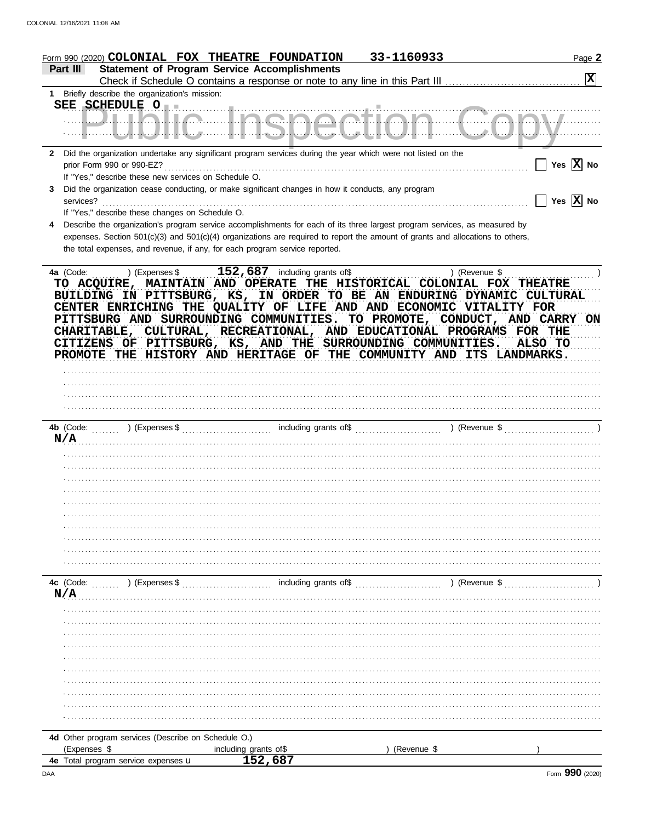|              | Form 990 (2020) COLONIAL FOX THEATRE FOUNDATION                                                                                                                                                                                                                                                                                                                                                                                                                                                                                                                                                          |                                  | 33-1160933    | Page 2                |
|--------------|----------------------------------------------------------------------------------------------------------------------------------------------------------------------------------------------------------------------------------------------------------------------------------------------------------------------------------------------------------------------------------------------------------------------------------------------------------------------------------------------------------------------------------------------------------------------------------------------------------|----------------------------------|---------------|-----------------------|
|              | <b>Statement of Program Service Accomplishments</b><br>Part III                                                                                                                                                                                                                                                                                                                                                                                                                                                                                                                                          |                                  |               | $\mathbf{x}$          |
|              | 1 Briefly describe the organization's mission:                                                                                                                                                                                                                                                                                                                                                                                                                                                                                                                                                           |                                  |               |                       |
|              | SEE SCHEDULE O<br><u> Uliklia linenaatian (ja</u>                                                                                                                                                                                                                                                                                                                                                                                                                                                                                                                                                        |                                  |               |                       |
| $\mathbf{2}$ | Did the organization undertake any significant program services during the year which were not listed on the<br>If "Yes," describe these new services on Schedule O.                                                                                                                                                                                                                                                                                                                                                                                                                                     |                                  |               | Yes $\overline{X}$ No |
| 3            | Did the organization cease conducting, or make significant changes in how it conducts, any program<br>services?<br>If "Yes," describe these changes on Schedule O.                                                                                                                                                                                                                                                                                                                                                                                                                                       |                                  |               | Yes $\overline{X}$ No |
| 4            | Describe the organization's program service accomplishments for each of its three largest program services, as measured by<br>expenses. Section 501(c)(3) and 501(c)(4) organizations are required to report the amount of grants and allocations to others,<br>the total expenses, and revenue, if any, for each program service reported.                                                                                                                                                                                                                                                              |                                  |               |                       |
|              | $\ldots$ ) (Expenses \$ $\ldots$ 152, 687 including grants of\$ $\ldots$<br>4a (Code:<br>TO ACQUIRE, MAINTAIN AND OPERATE THE HISTORICAL COLONIAL FOX THEATRE<br>BUILDING IN PITTSBURG, KS, IN ORDER TO BE AN ENDURING DYNAMIC CULTURAL<br>CENTER ENRICHING THE QUALITY OF LIFE AND AND ECONOMIC VITALITY FOR<br>PITTSBURG AND SURROUNDING COMMUNITIES. TO PROMOTE, CONDUCT, AND CARRY ON<br>CHARITABLE, CULTURAL, RECREATIONAL, AND EDUCATIONAL PROGRAMS FOR THE<br>CITIZENS OF PITTSBURG, KS, AND THE SURROUNDING COMMUNITIES.<br>PROMOTE THE HISTORY AND HERITAGE OF THE COMMUNITY AND ITS LANDMARKS. |                                  | ) (Revenue \$ | ALSO TO               |
|              |                                                                                                                                                                                                                                                                                                                                                                                                                                                                                                                                                                                                          |                                  |               |                       |
|              | N/A                                                                                                                                                                                                                                                                                                                                                                                                                                                                                                                                                                                                      |                                  |               |                       |
|              |                                                                                                                                                                                                                                                                                                                                                                                                                                                                                                                                                                                                          |                                  |               |                       |
|              |                                                                                                                                                                                                                                                                                                                                                                                                                                                                                                                                                                                                          |                                  |               |                       |
|              |                                                                                                                                                                                                                                                                                                                                                                                                                                                                                                                                                                                                          |                                  |               |                       |
|              |                                                                                                                                                                                                                                                                                                                                                                                                                                                                                                                                                                                                          |                                  |               |                       |
|              |                                                                                                                                                                                                                                                                                                                                                                                                                                                                                                                                                                                                          |                                  |               |                       |
|              |                                                                                                                                                                                                                                                                                                                                                                                                                                                                                                                                                                                                          |                                  |               |                       |
|              |                                                                                                                                                                                                                                                                                                                                                                                                                                                                                                                                                                                                          |                                  |               |                       |
|              |                                                                                                                                                                                                                                                                                                                                                                                                                                                                                                                                                                                                          |                                  |               |                       |
|              |                                                                                                                                                                                                                                                                                                                                                                                                                                                                                                                                                                                                          |                                  |               |                       |
|              |                                                                                                                                                                                                                                                                                                                                                                                                                                                                                                                                                                                                          |                                  |               |                       |
|              | 4c (Code:<br>) (Expenses \$<br>N/A                                                                                                                                                                                                                                                                                                                                                                                                                                                                                                                                                                       | including grants of\$            | ) (Revenue \$ |                       |
|              |                                                                                                                                                                                                                                                                                                                                                                                                                                                                                                                                                                                                          |                                  |               |                       |
|              |                                                                                                                                                                                                                                                                                                                                                                                                                                                                                                                                                                                                          |                                  |               |                       |
|              |                                                                                                                                                                                                                                                                                                                                                                                                                                                                                                                                                                                                          |                                  |               |                       |
|              |                                                                                                                                                                                                                                                                                                                                                                                                                                                                                                                                                                                                          |                                  |               |                       |
|              |                                                                                                                                                                                                                                                                                                                                                                                                                                                                                                                                                                                                          |                                  |               |                       |
|              |                                                                                                                                                                                                                                                                                                                                                                                                                                                                                                                                                                                                          |                                  |               |                       |
|              |                                                                                                                                                                                                                                                                                                                                                                                                                                                                                                                                                                                                          |                                  |               |                       |
|              |                                                                                                                                                                                                                                                                                                                                                                                                                                                                                                                                                                                                          |                                  |               |                       |
|              |                                                                                                                                                                                                                                                                                                                                                                                                                                                                                                                                                                                                          |                                  |               |                       |
|              |                                                                                                                                                                                                                                                                                                                                                                                                                                                                                                                                                                                                          |                                  |               |                       |
|              | 4d Other program services (Describe on Schedule O.)<br>(Expenses \$                                                                                                                                                                                                                                                                                                                                                                                                                                                                                                                                      |                                  | (Revenue \$   |                       |
|              | 4e Total program service expenses u                                                                                                                                                                                                                                                                                                                                                                                                                                                                                                                                                                      | including grants of\$<br>152,687 |               |                       |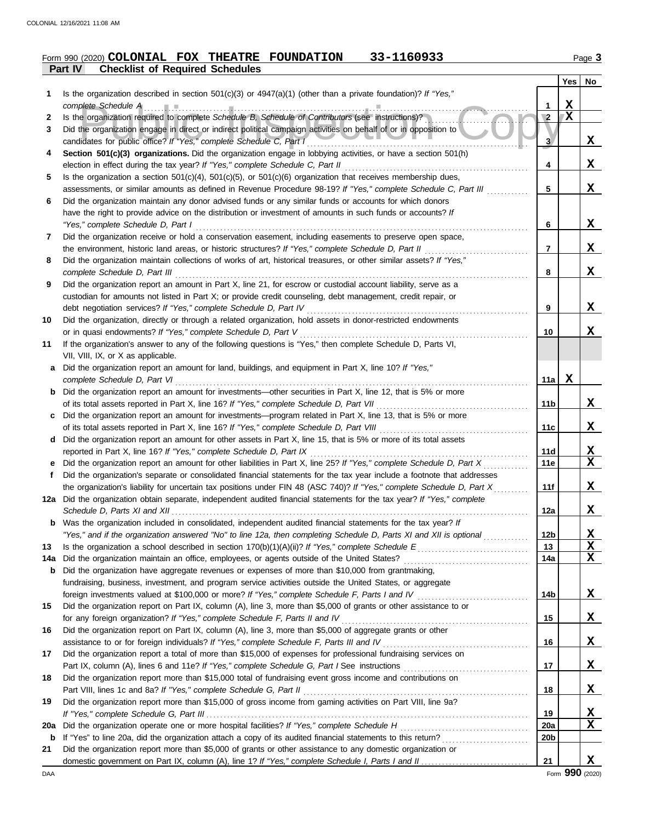## **Part IV Checklist of Required Schedules Form 990 (2020) COLONIAL FOX THEATRE FOUNDATION 33-1160933** Page 3

|     |                                                                                                                                                                                                                                                  |                 | <b>Yes</b>   | No            |
|-----|--------------------------------------------------------------------------------------------------------------------------------------------------------------------------------------------------------------------------------------------------|-----------------|--------------|---------------|
| 1.  | Is the organization described in section $501(c)(3)$ or $4947(a)(1)$ (other than a private foundation)? If "Yes,"                                                                                                                                |                 |              |               |
|     | complete Schedule A                                                                                                                                                                                                                              | 1               | X            |               |
| 2   | Is the organization required to complete Schedule B, Schedule of Contributors (see instructions)?                                                                                                                                                | $\sqrt{2}$      | $\mathbf{X}$ |               |
| 3   | Did the organization engage in direct or indirect political campaign activities on behalf of or in opposition to                                                                                                                                 |                 |              |               |
|     | candidates for public office? If "Yes," complete Schedule C, Part I                                                                                                                                                                              | $\mathbf{3}$    |              | X             |
| 4   | Section 501(c)(3) organizations. Did the organization engage in lobbying activities, or have a section 501(h)                                                                                                                                    |                 |              |               |
|     | election in effect during the tax year? If "Yes," complete Schedule C, Part II                                                                                                                                                                   | 4               |              | X             |
| 5   | Is the organization a section $501(c)(4)$ , $501(c)(5)$ , or $501(c)(6)$ organization that receives membership dues,                                                                                                                             | 5               |              | X             |
| 6   | assessments, or similar amounts as defined in Revenue Procedure 98-19? If "Yes," complete Schedule C, Part III<br>Did the organization maintain any donor advised funds or any similar funds or accounts for which donors                        |                 |              |               |
|     | have the right to provide advice on the distribution or investment of amounts in such funds or accounts? If                                                                                                                                      |                 |              |               |
|     | "Yes," complete Schedule D, Part I                                                                                                                                                                                                               | 6               |              | X             |
| 7   | Did the organization receive or hold a conservation easement, including easements to preserve open space,                                                                                                                                        |                 |              |               |
|     | the environment, historic land areas, or historic structures? If "Yes," complete Schedule D, Part II                                                                                                                                             | 7               |              | X             |
| 8   | Did the organization maintain collections of works of art, historical treasures, or other similar assets? If "Yes,"                                                                                                                              |                 |              |               |
|     | complete Schedule D, Part III                                                                                                                                                                                                                    | 8               |              | x             |
| 9   | Did the organization report an amount in Part X, line 21, for escrow or custodial account liability, serve as a                                                                                                                                  |                 |              |               |
|     | custodian for amounts not listed in Part X; or provide credit counseling, debt management, credit repair, or                                                                                                                                     |                 |              |               |
|     | debt negotiation services? If "Yes," complete Schedule D, Part IV                                                                                                                                                                                | 9               |              | X             |
| 10  | Did the organization, directly or through a related organization, hold assets in donor-restricted endowments                                                                                                                                     |                 |              |               |
|     | or in quasi endowments? If "Yes," complete Schedule D, Part V                                                                                                                                                                                    | 10              |              | X             |
| 11  | If the organization's answer to any of the following questions is "Yes," then complete Schedule D, Parts VI,                                                                                                                                     |                 |              |               |
|     | VII, VIII, IX, or X as applicable.                                                                                                                                                                                                               |                 |              |               |
| а   | Did the organization report an amount for land, buildings, and equipment in Part X, line 10? If "Yes,"                                                                                                                                           |                 |              |               |
|     | complete Schedule D, Part VI                                                                                                                                                                                                                     | 11a             | X            |               |
| b   | Did the organization report an amount for investments—other securities in Part X, line 12, that is 5% or more                                                                                                                                    |                 |              |               |
|     |                                                                                                                                                                                                                                                  | 11b             |              | x             |
| c   | Did the organization report an amount for investments—program related in Part X, line 13, that is 5% or more                                                                                                                                     |                 |              |               |
|     |                                                                                                                                                                                                                                                  | 11c             |              | X             |
| d   | Did the organization report an amount for other assets in Part X, line 15, that is 5% or more of its total assets                                                                                                                                |                 |              |               |
|     | reported in Part X, line 16? If "Yes," complete Schedule D, Part IX                                                                                                                                                                              | 11d<br>11e      |              | <u>x</u><br>X |
| Ť.  | Did the organization report an amount for other liabilities in Part X, line 25? If "Yes," complete Schedule D, Part X<br>Did the organization's separate or consolidated financial statements for the tax year include a footnote that addresses |                 |              |               |
|     | the organization's liability for uncertain tax positions under FIN 48 (ASC 740)? If "Yes," complete Schedule D, Part X                                                                                                                           | 11f             |              | X             |
|     | 12a Did the organization obtain separate, independent audited financial statements for the tax year? If "Yes," complete                                                                                                                          |                 |              |               |
|     | Schedule D, Parts XI and XII                                                                                                                                                                                                                     | 12a             |              | x             |
|     | Was the organization included in consolidated, independent audited financial statements for the tax year? If                                                                                                                                     |                 |              |               |
|     | "Yes," and if the organization answered "No" to line 12a, then completing Schedule D, Parts XI and XII is optional                                                                                                                               | 12 <sub>b</sub> |              | <u>x</u>      |
| 13  |                                                                                                                                                                                                                                                  | 13              |              | X             |
| 14a | Did the organization maintain an office, employees, or agents outside of the United States?                                                                                                                                                      | 14a             |              | X             |
| b   | Did the organization have aggregate revenues or expenses of more than \$10,000 from grantmaking,                                                                                                                                                 |                 |              |               |
|     | fundraising, business, investment, and program service activities outside the United States, or aggregate                                                                                                                                        |                 |              |               |
|     | foreign investments valued at \$100,000 or more? If "Yes," complete Schedule F, Parts I and IV                                                                                                                                                   | 14b             |              | X             |
| 15  | Did the organization report on Part IX, column (A), line 3, more than \$5,000 of grants or other assistance to or                                                                                                                                |                 |              |               |
|     | for any foreign organization? If "Yes," complete Schedule F, Parts II and IV                                                                                                                                                                     | 15              |              | X             |
| 16  | Did the organization report on Part IX, column (A), line 3, more than \$5,000 of aggregate grants or other                                                                                                                                       |                 |              |               |
|     |                                                                                                                                                                                                                                                  | 16              |              | X             |
| 17  | Did the organization report a total of more than \$15,000 of expenses for professional fundraising services on                                                                                                                                   |                 |              |               |
|     |                                                                                                                                                                                                                                                  | 17              |              | X             |
| 18  | Did the organization report more than \$15,000 total of fundraising event gross income and contributions on                                                                                                                                      |                 |              |               |
|     | Part VIII, lines 1c and 8a? If "Yes," complete Schedule G, Part II                                                                                                                                                                               | 18              |              | X             |
| 19  | Did the organization report more than \$15,000 of gross income from gaming activities on Part VIII, line 9a?                                                                                                                                     | 19              |              |               |
| 20a | Did the organization operate one or more hospital facilities? If "Yes," complete Schedule H                                                                                                                                                      | 20a             |              | <u>x</u><br>X |
| b   |                                                                                                                                                                                                                                                  | 20 <sub>b</sub> |              |               |
| 21  | Did the organization report more than \$5,000 of grants or other assistance to any domestic organization or                                                                                                                                      |                 |              |               |
|     |                                                                                                                                                                                                                                                  | 21              |              | X             |
|     |                                                                                                                                                                                                                                                  |                 |              |               |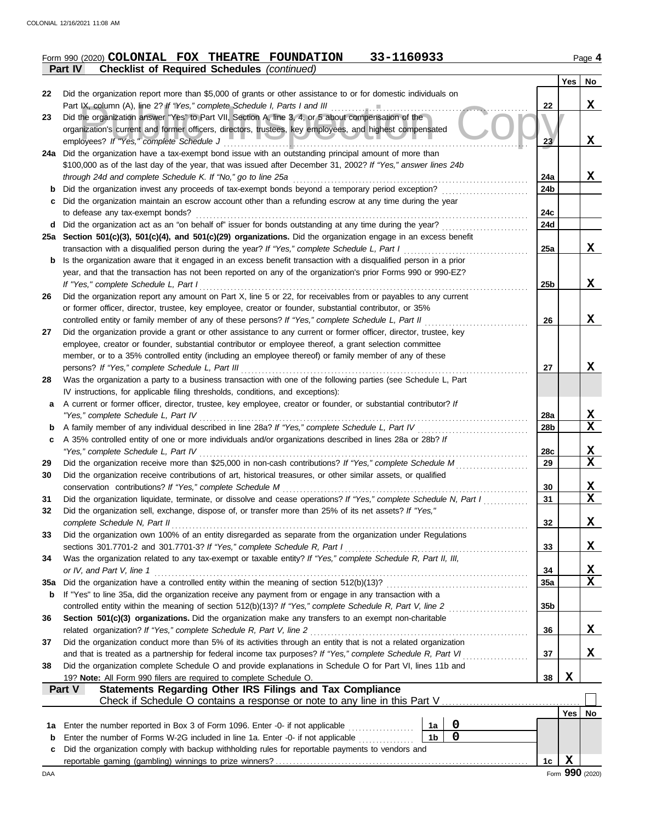|         | Form 990 (2020) COLONIAL FOX THEATRE FOUNDATION    |  | 33-1160933 | Page 4 |
|---------|----------------------------------------------------|--|------------|--------|
| Part IV | <b>Checklist of Required Schedules</b> (continued) |  |            |        |

|     | ncomot or negativa concadico                                                                                                                                                                 |                 |            |                         |
|-----|----------------------------------------------------------------------------------------------------------------------------------------------------------------------------------------------|-----------------|------------|-------------------------|
|     |                                                                                                                                                                                              |                 | <b>Yes</b> | No                      |
| 22  | Did the organization report more than \$5,000 of grants or other assistance to or for domestic individuals on<br>Part IX, column (A), line 2? If "Yes," complete Schedule I, Parts I and III | 22              |            | X                       |
| 23  | Did the organization answer "Yes" to Part VII, Section A, line 3, 4, or 5 about compensation of the                                                                                          |                 |            |                         |
|     | organization's current and former officers, directors, trustees, key employees, and highest compensated                                                                                      |                 |            |                         |
|     | employees? If "Yes," complete Schedule J                                                                                                                                                     | 23              |            | X                       |
|     | 24a Did the organization have a tax-exempt bond issue with an outstanding principal amount of more than                                                                                      |                 |            |                         |
|     | \$100,000 as of the last day of the year, that was issued after December 31, 2002? If "Yes," answer lines 24b                                                                                |                 |            |                         |
|     | through 24d and complete Schedule K. If "No," go to line 25a                                                                                                                                 | 24a             |            | X                       |
| b   | Did the organization invest any proceeds of tax-exempt bonds beyond a temporary period exception?                                                                                            | 24b             |            |                         |
| c   | Did the organization maintain an escrow account other than a refunding escrow at any time during the year                                                                                    |                 |            |                         |
|     | to defease any tax-exempt bonds?                                                                                                                                                             | 24c             |            |                         |
| d   | Did the organization act as an "on behalf of" issuer for bonds outstanding at any time during the year?                                                                                      | 24d             |            |                         |
|     | 25a Section 501(c)(3), 501(c)(4), and 501(c)(29) organizations. Did the organization engage in an excess benefit                                                                             |                 |            |                         |
|     | transaction with a disqualified person during the year? If "Yes," complete Schedule L, Part I                                                                                                | 25a             |            | X                       |
| b   | Is the organization aware that it engaged in an excess benefit transaction with a disqualified person in a prior                                                                             |                 |            |                         |
|     | year, and that the transaction has not been reported on any of the organization's prior Forms 990 or 990-EZ?                                                                                 |                 |            |                         |
|     | If "Yes," complete Schedule L, Part I<br>Did the organization report any amount on Part X, line 5 or 22, for receivables from or payables to any current                                     | 25b             |            | X                       |
| 26  | or former officer, director, trustee, key employee, creator or founder, substantial contributor, or 35%                                                                                      |                 |            |                         |
|     | controlled entity or family member of any of these persons? If "Yes," complete Schedule L, Part II                                                                                           | 26              |            | x                       |
| 27  | Did the organization provide a grant or other assistance to any current or former officer, director, trustee, key                                                                            |                 |            |                         |
|     | employee, creator or founder, substantial contributor or employee thereof, a grant selection committee                                                                                       |                 |            |                         |
|     | member, or to a 35% controlled entity (including an employee thereof) or family member of any of these                                                                                       |                 |            |                         |
|     | persons? If "Yes," complete Schedule L, Part III                                                                                                                                             | 27              |            | X                       |
| 28  | Was the organization a party to a business transaction with one of the following parties (see Schedule L, Part                                                                               |                 |            |                         |
|     | IV instructions, for applicable filing thresholds, conditions, and exceptions):                                                                                                              |                 |            |                         |
| a   | A current or former officer, director, trustee, key employee, creator or founder, or substantial contributor? If                                                                             |                 |            |                         |
|     | "Yes," complete Schedule L, Part IV                                                                                                                                                          | <b>28a</b>      |            | X                       |
| b   | A family member of any individual described in line 28a? If "Yes," complete Schedule L, Part IV                                                                                              | 28b             |            | $\overline{\mathbf{x}}$ |
| c   | A 35% controlled entity of one or more individuals and/or organizations described in lines 28a or 28b? If                                                                                    |                 |            |                         |
|     | "Yes," complete Schedule L, Part IV                                                                                                                                                          | 28c             |            | $\mathbf x$             |
| 29  | Did the organization receive more than \$25,000 in non-cash contributions? If "Yes," complete Schedule M                                                                                     | 29              |            | $\mathbf x$             |
| 30  | Did the organization receive contributions of art, historical treasures, or other similar assets, or qualified                                                                               |                 |            |                         |
| 31  | conservation contributions? If "Yes," complete Schedule M<br>Did the organization liquidate, terminate, or dissolve and cease operations? If "Yes," complete Schedule N, Part I              | 30<br>31        |            | X<br>$\mathbf x$        |
| 32  | Did the organization sell, exchange, dispose of, or transfer more than 25% of its net assets? If "Yes,"                                                                                      |                 |            |                         |
|     | complete Schedule N, Part II                                                                                                                                                                 | 32              |            | X                       |
| 33  | Did the organization own 100% of an entity disregarded as separate from the organization under Regulations                                                                                   |                 |            |                         |
|     | sections 301.7701-2 and 301.7701-3? If "Yes," complete Schedule R, Part I                                                                                                                    | 33              |            | X.                      |
| 34  | Was the organization related to any tax-exempt or taxable entity? If "Yes," complete Schedule R, Part II, III,                                                                               |                 |            |                         |
|     | or IV, and Part V, line 1                                                                                                                                                                    | 34              |            | X                       |
| 35a |                                                                                                                                                                                              | 35a             |            | $\mathbf x$             |
| b   | If "Yes" to line 35a, did the organization receive any payment from or engage in any transaction with a                                                                                      |                 |            |                         |
|     |                                                                                                                                                                                              | 35 <sub>b</sub> |            |                         |
| 36  | Section 501(c)(3) organizations. Did the organization make any transfers to an exempt non-charitable                                                                                         |                 |            |                         |
|     | related organization? If "Yes," complete Schedule R, Part V, line 2                                                                                                                          | 36              |            | X                       |
| 37  | Did the organization conduct more than 5% of its activities through an entity that is not a related organization                                                                             |                 |            |                         |
|     | and that is treated as a partnership for federal income tax purposes? If "Yes," complete Schedule R, Part VI                                                                                 | 37              |            | X                       |
| 38  | Did the organization complete Schedule O and provide explanations in Schedule O for Part VI, lines 11b and<br>19? Note: All Form 990 filers are required to complete Schedule O.             | 38              | X          |                         |
|     | Statements Regarding Other IRS Filings and Tax Compliance<br>Part V                                                                                                                          |                 |            |                         |
|     |                                                                                                                                                                                              |                 |            |                         |
|     |                                                                                                                                                                                              |                 | Yes        | No                      |
| 1a  | $\mathbf 0$<br>Enter the number reported in Box 3 of Form 1096. Enter -0- if not applicable<br>1a                                                                                            |                 |            |                         |
| b   | $\mathbf 0$<br>1 <sub>b</sub><br>Enter the number of Forms W-2G included in line 1a. Enter -0- if not applicable                                                                             |                 |            |                         |
| c   | Did the organization comply with backup withholding rules for reportable payments to vendors and                                                                                             |                 |            |                         |
|     |                                                                                                                                                                                              | 1c              | X          |                         |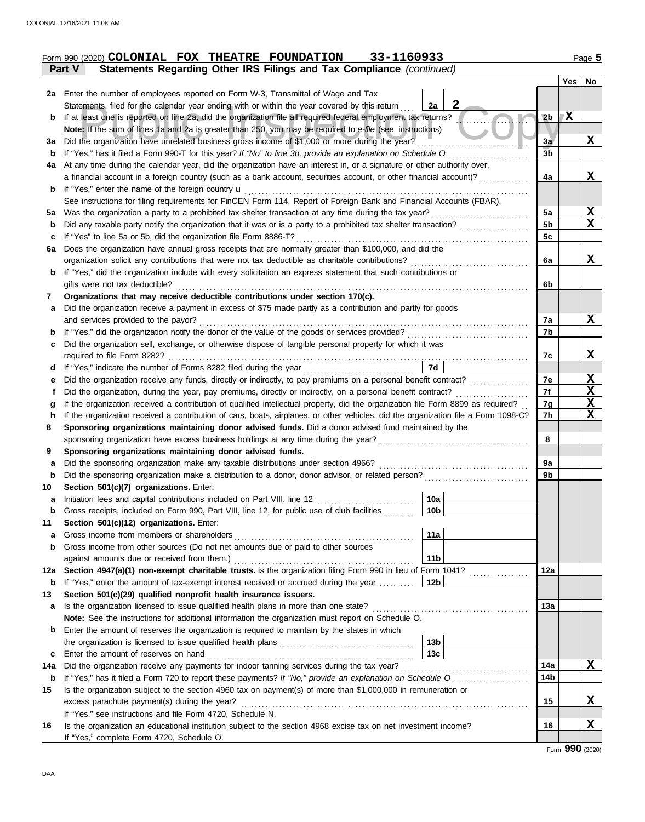| Form 990 (2020) <b>COLONIAL FOX</b> |  | THEATRE FOUNDATION | 33-1160933 | Page<br>. . |
|-------------------------------------|--|--------------------|------------|-------------|
|                                     |  |                    |            |             |

|                                                                                                                                         | Statements Regarding Other IRS Filings and Tax Compliance (continued)<br>Part V                                                                                                                                                               |                      |     |                         |  |  |
|-----------------------------------------------------------------------------------------------------------------------------------------|-----------------------------------------------------------------------------------------------------------------------------------------------------------------------------------------------------------------------------------------------|----------------------|-----|-------------------------|--|--|
|                                                                                                                                         |                                                                                                                                                                                                                                               |                      | Yes | No                      |  |  |
| 2a                                                                                                                                      | Enter the number of employees reported on Form W-3, Transmittal of Wage and Tax                                                                                                                                                               |                      |     |                         |  |  |
|                                                                                                                                         | 2<br>Statements, filed for the calendar year ending with or within the year covered by this return<br>2a                                                                                                                                      |                      |     |                         |  |  |
| b                                                                                                                                       | If at least one is reported on line 2a, did the organization file all required federal employment tax returns?                                                                                                                                | 2 <sub>b</sub>       | X   |                         |  |  |
|                                                                                                                                         | Note: If the sum of lines 1a and 2a is greater than 250, you may be required to e-file (see instructions)                                                                                                                                     |                      |     |                         |  |  |
| За                                                                                                                                      | Did the organization have unrelated business gross income of \$1,000 or more during the year?                                                                                                                                                 | 3a<br>3 <sub>b</sub> |     | X                       |  |  |
| b                                                                                                                                       | If "Yes," has it filed a Form 990-T for this year? If "No" to line 3b, provide an explanation on Schedule O                                                                                                                                   |                      |     |                         |  |  |
| 4a                                                                                                                                      | At any time during the calendar year, did the organization have an interest in, or a signature or other authority over,<br>a financial account in a foreign country (such as a bank account, securities account, or other financial account)? | 4a                   |     | X                       |  |  |
| b                                                                                                                                       | If "Yes," enter the name of the foreign country <b>u</b>                                                                                                                                                                                      |                      |     |                         |  |  |
|                                                                                                                                         | See instructions for filing requirements for FinCEN Form 114, Report of Foreign Bank and Financial Accounts (FBAR).                                                                                                                           |                      |     |                         |  |  |
| 5a                                                                                                                                      | Was the organization a party to a prohibited tax shelter transaction at any time during the tax year?                                                                                                                                         | 5a                   |     | $\mathbf x$             |  |  |
| b                                                                                                                                       | Did any taxable party notify the organization that it was or is a party to a prohibited tax shelter transaction?                                                                                                                              | 5 <sub>b</sub>       |     | $\mathbf x$             |  |  |
| c                                                                                                                                       | If "Yes" to line 5a or 5b, did the organization file Form 8886-T?                                                                                                                                                                             | 5c                   |     |                         |  |  |
| 6a                                                                                                                                      | Does the organization have annual gross receipts that are normally greater than \$100,000, and did the                                                                                                                                        |                      |     |                         |  |  |
|                                                                                                                                         | organization solicit any contributions that were not tax deductible as charitable contributions?                                                                                                                                              | 6a                   |     | X                       |  |  |
| b                                                                                                                                       | If "Yes," did the organization include with every solicitation an express statement that such contributions or                                                                                                                                |                      |     |                         |  |  |
|                                                                                                                                         | gifts were not tax deductible?                                                                                                                                                                                                                | 6b                   |     |                         |  |  |
| 7                                                                                                                                       | Organizations that may receive deductible contributions under section 170(c).                                                                                                                                                                 |                      |     |                         |  |  |
| a                                                                                                                                       | Did the organization receive a payment in excess of \$75 made partly as a contribution and partly for goods                                                                                                                                   |                      |     |                         |  |  |
|                                                                                                                                         | and services provided to the payor?                                                                                                                                                                                                           | 7a                   |     | X                       |  |  |
| b                                                                                                                                       | If "Yes," did the organization notify the donor of the value of the goods or services provided?                                                                                                                                               | 7b                   |     |                         |  |  |
| с                                                                                                                                       | Did the organization sell, exchange, or otherwise dispose of tangible personal property for which it was                                                                                                                                      |                      |     |                         |  |  |
|                                                                                                                                         | required to file Form 8282?                                                                                                                                                                                                                   | 7c                   |     | X                       |  |  |
| d                                                                                                                                       | 7d<br>If "Yes," indicate the number of Forms 8282 filed during the year<br>[[[[[[[[[[[[[]]]]]                                                                                                                                                 |                      |     |                         |  |  |
| е                                                                                                                                       | Did the organization receive any funds, directly or indirectly, to pay premiums on a personal benefit contract?                                                                                                                               | 7e<br>7f             |     | <u>x</u><br>$\mathbf x$ |  |  |
| f                                                                                                                                       | Did the organization, during the year, pay premiums, directly or indirectly, on a personal benefit contract?                                                                                                                                  |                      |     |                         |  |  |
| g                                                                                                                                       | If the organization received a contribution of qualified intellectual property, did the organization file Form 8899 as required?                                                                                                              |                      |     |                         |  |  |
| If the organization received a contribution of cars, boats, airplanes, or other vehicles, did the organization file a Form 1098-C?<br>h |                                                                                                                                                                                                                                               |                      |     |                         |  |  |
| Sponsoring organizations maintaining donor advised funds. Did a donor advised fund maintained by the<br>8                               |                                                                                                                                                                                                                                               |                      |     |                         |  |  |
|                                                                                                                                         | sponsoring organization have excess business holdings at any time during the year?                                                                                                                                                            | 8                    |     |                         |  |  |
| 9                                                                                                                                       | Sponsoring organizations maintaining donor advised funds.                                                                                                                                                                                     |                      |     |                         |  |  |
| a                                                                                                                                       | Did the sponsoring organization make any taxable distributions under section 4966?                                                                                                                                                            | 9а                   |     |                         |  |  |
| b                                                                                                                                       | Did the sponsoring organization make a distribution to a donor, donor advisor, or related person?                                                                                                                                             | 9b                   |     |                         |  |  |
| 10                                                                                                                                      | Section 501(c)(7) organizations. Enter:<br>10a                                                                                                                                                                                                |                      |     |                         |  |  |
| а                                                                                                                                       | Initiation fees and capital contributions included on Part VIII, line 12<br> 10b <br>Gross receipts, included on Form 990, Part VIII, line 12, for public use of club facilities                                                              |                      |     |                         |  |  |
| 11                                                                                                                                      | Section 501(c)(12) organizations. Enter:                                                                                                                                                                                                      |                      |     |                         |  |  |
| a                                                                                                                                       | 11a<br>Gross income from members or shareholders                                                                                                                                                                                              |                      |     |                         |  |  |
| b                                                                                                                                       | Gross income from other sources (Do not net amounts due or paid to other sources                                                                                                                                                              |                      |     |                         |  |  |
|                                                                                                                                         | 11 <sub>b</sub><br>against amounts due or received from them.)                                                                                                                                                                                |                      |     |                         |  |  |
| 12a                                                                                                                                     | Section 4947(a)(1) non-exempt charitable trusts. Is the organization filing Form 990 in lieu of Form 1041?                                                                                                                                    | 12a                  |     |                         |  |  |
| b                                                                                                                                       | $12b$<br>If "Yes," enter the amount of tax-exempt interest received or accrued during the year                                                                                                                                                |                      |     |                         |  |  |
| 13                                                                                                                                      | Section 501(c)(29) qualified nonprofit health insurance issuers.                                                                                                                                                                              |                      |     |                         |  |  |
| a                                                                                                                                       | Is the organization licensed to issue qualified health plans in more than one state?                                                                                                                                                          | 13a                  |     |                         |  |  |
|                                                                                                                                         | Note: See the instructions for additional information the organization must report on Schedule O.                                                                                                                                             |                      |     |                         |  |  |
| b                                                                                                                                       | Enter the amount of reserves the organization is required to maintain by the states in which                                                                                                                                                  |                      |     |                         |  |  |
|                                                                                                                                         | 13 <sub>b</sub>                                                                                                                                                                                                                               |                      |     |                         |  |  |
| c                                                                                                                                       | 13 <sub>c</sub><br>Enter the amount of reserves on hand                                                                                                                                                                                       | 14a                  |     | X                       |  |  |
| Did the organization receive any payments for indoor tanning services during the tax year?<br>14a                                       |                                                                                                                                                                                                                                               |                      |     |                         |  |  |
| b                                                                                                                                       | If "Yes," has it filed a Form 720 to report these payments? If "No," provide an explanation on Schedule O                                                                                                                                     | 14b                  |     |                         |  |  |
| Is the organization subject to the section 4960 tax on payment(s) of more than \$1,000,000 in remuneration or<br>15                     |                                                                                                                                                                                                                                               |                      |     |                         |  |  |
|                                                                                                                                         | excess parachute payment(s) during the year?                                                                                                                                                                                                  | 15                   |     | X                       |  |  |
|                                                                                                                                         | If "Yes," see instructions and file Form 4720, Schedule N.                                                                                                                                                                                    |                      |     |                         |  |  |
| 16                                                                                                                                      | Is the organization an educational institution subject to the section 4968 excise tax on net investment income?                                                                                                                               | 16                   |     | X                       |  |  |
|                                                                                                                                         | If "Yes," complete Form 4720, Schedule O.                                                                                                                                                                                                     |                      |     |                         |  |  |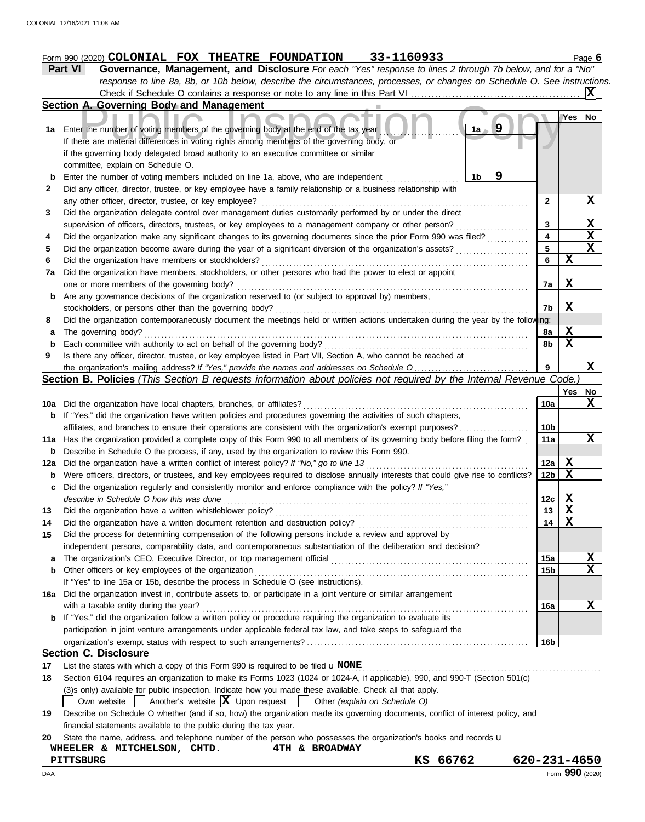# **Form 990 (2020) COLONIAL FOX THEATRE FOUNDATION 33-1160933** Page 6

| Part VI | Governance, Management, and Disclosure For each "Yes" response to lines 2 through 7b below, and for a "No"                |
|---------|---------------------------------------------------------------------------------------------------------------------------|
|         | response to line 8a, 8b, or 10b below, describe the circumstances, processes, or changes on Schedule O. See instructions. |
|         |                                                                                                                           |

|     | Section A. Governing Body and Management                                                                                            |                         |             |                         |
|-----|-------------------------------------------------------------------------------------------------------------------------------------|-------------------------|-------------|-------------------------|
|     |                                                                                                                                     |                         | Yes         | No                      |
|     | 9<br>1a<br>1a Enter the number of voting members of the governing body at the end of the tax year                                   |                         |             |                         |
|     | If there are material differences in voting rights among members of the governing body, or                                          |                         |             |                         |
|     | if the governing body delegated broad authority to an executive committee or similar                                                |                         |             |                         |
|     | committee, explain on Schedule O.                                                                                                   |                         |             |                         |
| b   | 9<br>1 <sub>b</sub><br>Enter the number of voting members included on line 1a, above, who are independent                           |                         |             |                         |
| 2   | Did any officer, director, trustee, or key employee have a family relationship or a business relationship with                      |                         |             |                         |
|     | any other officer, director, trustee, or key employee?                                                                              | 2                       |             | X.                      |
| 3   | Did the organization delegate control over management duties customarily performed by or under the direct                           |                         |             |                         |
|     | supervision of officers, directors, trustees, or key employees to a management company or other person?                             | 3                       |             | X                       |
| 4   | Did the organization make any significant changes to its governing documents since the prior Form 990 was filed?                    | $\overline{\mathbf{4}}$ |             | $\overline{\mathbf{x}}$ |
| 5   | Did the organization become aware during the year of a significant diversion of the organization's assets?                          | 5                       |             | $\overline{\mathbf{x}}$ |
| 6   | Did the organization have members or stockholders?                                                                                  | 6                       | $\mathbf x$ |                         |
| 7а  | Did the organization have members, stockholders, or other persons who had the power to elect or appoint                             |                         |             |                         |
|     | one or more members of the governing body?                                                                                          | 7a                      | X           |                         |
| b   | Are any governance decisions of the organization reserved to (or subject to approval by) members,                                   |                         |             |                         |
|     | stockholders, or persons other than the governing body?                                                                             | 7b                      | X           |                         |
| 8   | Did the organization contemporaneously document the meetings held or written actions undertaken during the year by the following:   |                         |             |                         |
| а   | The governing body?                                                                                                                 | 8a                      | X           |                         |
| b   | Each committee with authority to act on behalf of the governing body?                                                               | 8b                      | $\mathbf X$ |                         |
| 9   | Is there any officer, director, trustee, or key employee listed in Part VII, Section A, who cannot be reached at                    |                         |             |                         |
|     | the organization's mailing address? If "Yes," provide the names and addresses on Schedule O                                         | 9                       |             | X                       |
|     | Section B. Policies (This Section B requests information about policies not required by the Internal Revenue Code.)                 |                         |             |                         |
|     |                                                                                                                                     |                         | Yes         | No                      |
| 10a | Did the organization have local chapters, branches, or affiliates?                                                                  | 10a                     |             | X                       |
| b   | If "Yes," did the organization have written policies and procedures governing the activities of such chapters,                      |                         |             |                         |
|     | affiliates, and branches to ensure their operations are consistent with the organization's exempt purposes?                         | 10 <sub>b</sub>         |             |                         |
| 11a | Has the organization provided a complete copy of this Form 990 to all members of its governing body before filing the form?         | 11a                     |             | X                       |
| b   | Describe in Schedule O the process, if any, used by the organization to review this Form 990.                                       |                         |             |                         |
| 12a | Did the organization have a written conflict of interest policy? If "No," go to line 13                                             | 12a                     | $\mathbf x$ |                         |
| b   | Were officers, directors, or trustees, and key employees required to disclose annually interests that could give rise to conflicts? | 12b                     | $\mathbf x$ |                         |
| c   | Did the organization regularly and consistently monitor and enforce compliance with the policy? If "Yes,"                           |                         |             |                         |
|     | describe in Schedule O how this was done                                                                                            | 12c                     | X           |                         |
| 13  | Did the organization have a written whistleblower policy?                                                                           | 13                      | $\mathbf x$ |                         |
| 14  | Did the organization have a written document retention and destruction policy?                                                      | 14                      | $\mathbf x$ |                         |
| 15  | Did the process for determining compensation of the following persons include a review and approval by                              |                         |             |                         |
|     | independent persons, comparability data, and contemporaneous substantiation of the deliberation and decision?                       |                         |             |                         |
| a   | The organization's CEO, Executive Director, or top management official                                                              | 15a                     |             | <u>х</u>                |
| b   | Other officers or key employees of the organization                                                                                 | 15 <sub>b</sub>         |             | $\mathbf x$             |
|     | If "Yes" to line 15a or 15b, describe the process in Schedule O (see instructions).                                                 |                         |             |                         |
|     | 16a Did the organization invest in, contribute assets to, or participate in a joint venture or similar arrangement                  |                         |             |                         |
|     | with a taxable entity during the year?                                                                                              | 16a                     |             | X                       |
| b   | If "Yes," did the organization follow a written policy or procedure requiring the organization to evaluate its                      |                         |             |                         |
|     | participation in joint venture arrangements under applicable federal tax law, and take steps to safeguard the                       |                         |             |                         |
|     |                                                                                                                                     | 16b                     |             |                         |
|     | <b>Section C. Disclosure</b>                                                                                                        |                         |             |                         |
| 17  | List the states with which a copy of this Form 990 is required to be filed $\mathbf u$ NONE                                         |                         |             |                         |
| 18  | Section 6104 requires an organization to make its Forms 1023 (1024 or 1024-A, if applicable), 990, and 990-T (Section 501(c)        |                         |             |                         |
|     | (3)s only) available for public inspection. Indicate how you made these available. Check all that apply.                            |                         |             |                         |

- Own website  $\Box$  Another's website  $\boxed{\mathbf{X}}$  Upon request  $\Box$  Other *(explain on Schedule O)*
- **19** Describe on Schedule O whether (and if so, how) the organization made its governing documents, conflict of interest policy, and financial statements available to the public during the tax year.

|  |  |  | 20 State the name, address, and telephone number of the person who possesses the organization's books and records u |  |
|--|--|--|---------------------------------------------------------------------------------------------------------------------|--|
|  |  |  |                                                                                                                     |  |

|  | WHEELER & MITCHELSON, CHTD. |  | 4TH & BROADWAY |
|--|-----------------------------|--|----------------|
|  |                             |  |                |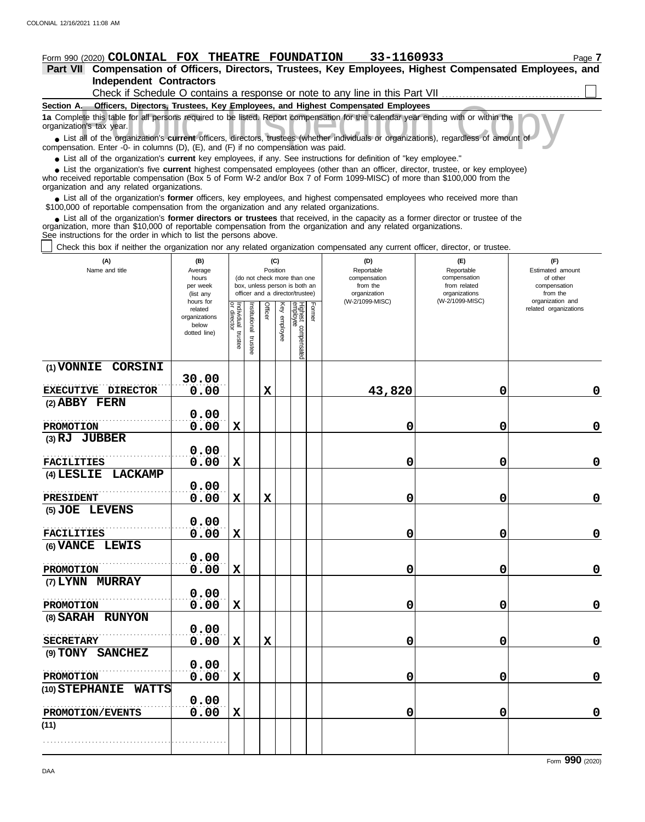# **Form 990 (2020) COLONIAL FOX THEATRE FOUNDATION 33-1160933** Page 7

## **Independent Contractors Part VII Compensation of Officers, Directors, Trustees, Key Employees, Highest Compensated Employees, and**

| Check if Schedule O contains a response or note to any line in this Part VII                                                                                                                                                                                                                               |
|------------------------------------------------------------------------------------------------------------------------------------------------------------------------------------------------------------------------------------------------------------------------------------------------------------|
| Officers, Directors, Trustees, Key Employees, and Highest Compensated Employees<br>Section A.                                                                                                                                                                                                              |
| 1a Complete this table for all persons required to be listed. Report compensation for the calendar year ending with or within the<br>organization's tax year.                                                                                                                                              |
| • List all of the organization's current officers, directors, trustees (whether individuals or organizations), regardless of amount of<br>compensation. Enter -0- in columns $(D)$ , $(E)$ , and $(F)$ if no compensation was paid.                                                                        |
| • List all of the organization's current key employees, if any. See instructions for definition of "key employee."                                                                                                                                                                                         |
| • List the organization's five current highest compensated employees (other than an officer, director, trustee, or key employee)<br>who received reportable compensation (Box 5 of Form W-2 and/or Box 7 of Form 1099-MISC) of more than \$100,000 from the<br>organization and any related organizations. |
|                                                                                                                                                                                                                                                                                                            |

■ List all of the organization's **former** officers, key employees, and highest compensated employees who received more than<br>00,000 of reportable compensation from the organization and any related organizations \$100,000 of reportable compensation from the organization and any related organizations.

■ List all of the organization's **former directors or trustees** that received, in the capacity as a former director or trustee of the<br>enization, more than \$10,000 of reportable compensation from the organization and any r organization, more than \$10,000 of reportable compensation from the organization and any related organizations. See instructions for the order in which to list the persons above.

Check this box if neither the organization nor any related organization compensated any current officer, director, or trustee.

| (A)<br>Name and title          | (B)<br>Average<br>hours<br>per week<br>(list any<br>hours for | (C)<br>Position<br>(do not check more than one<br>box, unless person is both an<br>officer and a director/trustee) |                      |             |                 |                                 |        | (D)<br>Reportable<br>compensation<br>from the<br>organization<br>(W-2/1099-MISC) | (E)<br>Reportable<br>compensation<br>from related<br>organizations<br>(W-2/1099-MISC) | (F)<br>Estimated amount<br>of other<br>compensation<br>from the<br>organization and |
|--------------------------------|---------------------------------------------------------------|--------------------------------------------------------------------------------------------------------------------|----------------------|-------------|-----------------|---------------------------------|--------|----------------------------------------------------------------------------------|---------------------------------------------------------------------------------------|-------------------------------------------------------------------------------------|
|                                | related<br>organizations<br>below<br>dotted line)             | Individual trustee<br>or director                                                                                  | nstitutional trustee | Officer     | Key<br>employee | Highest compensated<br>employee | Former |                                                                                  |                                                                                       | related organizations                                                               |
| (1) VONNIE CORSINI             | 30.00                                                         |                                                                                                                    |                      |             |                 |                                 |        |                                                                                  |                                                                                       |                                                                                     |
| EXECUTIVE DIRECTOR             | 0.00                                                          |                                                                                                                    |                      | $\mathbf x$ |                 |                                 |        | 43,820                                                                           | 0                                                                                     | $\mathbf 0$                                                                         |
| (2) ABBY FERN                  |                                                               |                                                                                                                    |                      |             |                 |                                 |        |                                                                                  |                                                                                       |                                                                                     |
|                                | 0.00                                                          |                                                                                                                    |                      |             |                 |                                 |        |                                                                                  |                                                                                       |                                                                                     |
| <b>PROMOTION</b>               | 0.00                                                          | $\mathbf X$                                                                                                        |                      |             |                 |                                 |        | 0                                                                                | 0                                                                                     | $\mathbf 0$                                                                         |
| (3) RJ JUBBER                  | 0.00                                                          |                                                                                                                    |                      |             |                 |                                 |        |                                                                                  |                                                                                       |                                                                                     |
| <b>FACILITIES</b>              | 0.00                                                          | $\mathbf X$                                                                                                        |                      |             |                 |                                 |        | 0                                                                                | 0                                                                                     | $\mathbf 0$                                                                         |
| <b>LACKAMP</b><br>$(4)$ LESLIE |                                                               |                                                                                                                    |                      |             |                 |                                 |        |                                                                                  |                                                                                       |                                                                                     |
|                                | 0.00                                                          |                                                                                                                    |                      |             |                 |                                 |        |                                                                                  |                                                                                       |                                                                                     |
| PRESIDENT                      | 0.00                                                          | X                                                                                                                  |                      | $\mathbf x$ |                 |                                 |        | 0                                                                                | 0                                                                                     | $\mathbf 0$                                                                         |
| (5) JOE LEVENS                 |                                                               |                                                                                                                    |                      |             |                 |                                 |        |                                                                                  |                                                                                       |                                                                                     |
|                                | 0.00                                                          |                                                                                                                    |                      |             |                 |                                 |        |                                                                                  |                                                                                       |                                                                                     |
| <b>FACILITIES</b>              | 0.00                                                          | $\mathbf x$                                                                                                        |                      |             |                 |                                 |        | 0                                                                                | 0                                                                                     | $\mathbf 0$                                                                         |
| (6) VANCE LEWIS                |                                                               |                                                                                                                    |                      |             |                 |                                 |        |                                                                                  |                                                                                       |                                                                                     |
| <b>PROMOTION</b>               | 0.00<br>0.00                                                  | X                                                                                                                  |                      |             |                 |                                 |        | 0                                                                                | 0                                                                                     | $\mathbf 0$                                                                         |
| (7) LYNN MURRAY                |                                                               |                                                                                                                    |                      |             |                 |                                 |        |                                                                                  |                                                                                       |                                                                                     |
|                                | 0.00                                                          |                                                                                                                    |                      |             |                 |                                 |        |                                                                                  |                                                                                       |                                                                                     |
| PROMOTION                      | 0.00                                                          | X                                                                                                                  |                      |             |                 |                                 |        | 0                                                                                | 0                                                                                     | $\mathbf 0$                                                                         |
| (8) SARAH RUNYON               |                                                               |                                                                                                                    |                      |             |                 |                                 |        |                                                                                  |                                                                                       |                                                                                     |
|                                | 0.00                                                          |                                                                                                                    |                      |             |                 |                                 |        |                                                                                  |                                                                                       |                                                                                     |
| <b>SECRETARY</b>               | 0.00                                                          | $\mathbf X$                                                                                                        |                      | $\mathbf x$ |                 |                                 |        | 0                                                                                | 0                                                                                     | $\mathbf 0$                                                                         |
| (9) TONY SANCHEZ               |                                                               |                                                                                                                    |                      |             |                 |                                 |        |                                                                                  |                                                                                       |                                                                                     |
|                                | 0.00                                                          |                                                                                                                    |                      |             |                 |                                 |        |                                                                                  |                                                                                       |                                                                                     |
| <b>PROMOTION</b>               | 0.00                                                          | $\mathbf X$                                                                                                        |                      |             |                 |                                 |        | 0                                                                                | 0                                                                                     | $\mathbf 0$                                                                         |
| (10) STEPHANIE WATTS           |                                                               |                                                                                                                    |                      |             |                 |                                 |        |                                                                                  |                                                                                       |                                                                                     |
| PROMOTION/EVENTS               | 0.00<br>0.00                                                  | $\mathbf X$                                                                                                        |                      |             |                 |                                 |        | 0                                                                                | 0                                                                                     | $\mathbf 0$                                                                         |
| (11)                           |                                                               |                                                                                                                    |                      |             |                 |                                 |        |                                                                                  |                                                                                       |                                                                                     |
|                                |                                                               |                                                                                                                    |                      |             |                 |                                 |        |                                                                                  |                                                                                       |                                                                                     |
|                                |                                                               |                                                                                                                    |                      |             |                 |                                 |        |                                                                                  |                                                                                       |                                                                                     |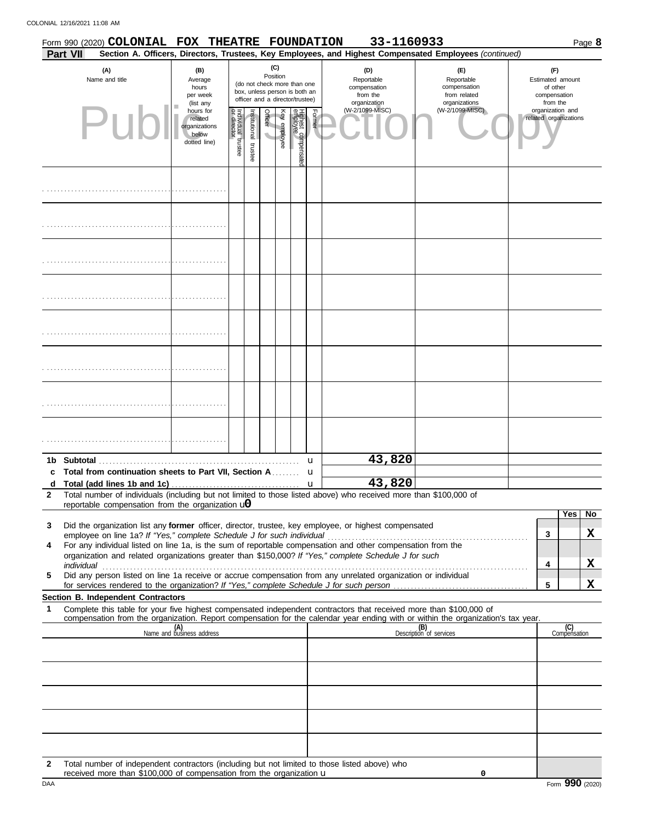COLONIAL 12/16/2021 11:08 AM

|                       |                 | Form 990 (2020) COLONIAL FOX THEATRE FOUNDATION                                                                                                                                       |                                                                |                               |                          |                                    |                                                                                                 |                                |                                                               | 33-1160933                                                         |                                                                                                                                                                                                                                |                                           |                     | Page 8 |
|-----------------------|-----------------|---------------------------------------------------------------------------------------------------------------------------------------------------------------------------------------|----------------------------------------------------------------|-------------------------------|--------------------------|------------------------------------|-------------------------------------------------------------------------------------------------|--------------------------------|---------------------------------------------------------------|--------------------------------------------------------------------|--------------------------------------------------------------------------------------------------------------------------------------------------------------------------------------------------------------------------------|-------------------------------------------|---------------------|--------|
|                       | <b>Part VII</b> |                                                                                                                                                                                       |                                                                |                               |                          |                                    |                                                                                                 |                                |                                                               |                                                                    | Section A. Officers, Directors, Trustees, Key Employees, and Highest Compensated Employees (continued)                                                                                                                         |                                           |                     |        |
| (A)<br>Name and title |                 | (B)<br>Average<br>hours<br>per week<br>(list any                                                                                                                                      |                                                                |                               |                          | (C)<br>Position                    | (do not check more than one<br>box, unless person is both an<br>officer and a director/trustee) |                                | (D)<br>Reportable<br>compensation<br>from the<br>organization | (E)<br>Reportable<br>compensation<br>from related<br>organizations | (F)<br>Estimated amount<br>of other<br>compensation<br>from the                                                                                                                                                                |                                           |                     |        |
|                       |                 | Pu                                                                                                                                                                                    | hours for<br>related<br>organizations<br>below<br>dotted line) | ndividual trustee<br>director | Institutional<br>trustee | Officer<br>$\overline{\mathbf{v}}$ | Key employee                                                                                    | Highest compensate<br>employee | Former                                                        | (W-2/1099-MISC)                                                    | (W-2/1099-MISC)                                                                                                                                                                                                                | organization and<br>related organizations |                     |        |
|                       |                 |                                                                                                                                                                                       |                                                                |                               |                          |                                    |                                                                                                 |                                |                                                               |                                                                    |                                                                                                                                                                                                                                |                                           |                     |        |
|                       |                 |                                                                                                                                                                                       |                                                                |                               |                          |                                    |                                                                                                 |                                |                                                               |                                                                    |                                                                                                                                                                                                                                |                                           |                     |        |
|                       |                 |                                                                                                                                                                                       |                                                                |                               |                          |                                    |                                                                                                 |                                |                                                               |                                                                    |                                                                                                                                                                                                                                |                                           |                     |        |
|                       |                 |                                                                                                                                                                                       |                                                                |                               |                          |                                    |                                                                                                 |                                |                                                               |                                                                    |                                                                                                                                                                                                                                |                                           |                     |        |
|                       |                 |                                                                                                                                                                                       |                                                                |                               |                          |                                    |                                                                                                 |                                |                                                               |                                                                    |                                                                                                                                                                                                                                |                                           |                     |        |
|                       |                 |                                                                                                                                                                                       |                                                                |                               |                          |                                    |                                                                                                 |                                |                                                               |                                                                    |                                                                                                                                                                                                                                |                                           |                     |        |
|                       |                 |                                                                                                                                                                                       |                                                                |                               |                          |                                    |                                                                                                 |                                |                                                               |                                                                    |                                                                                                                                                                                                                                |                                           |                     |        |
|                       |                 |                                                                                                                                                                                       |                                                                |                               |                          |                                    |                                                                                                 |                                |                                                               |                                                                    |                                                                                                                                                                                                                                |                                           |                     |        |
|                       |                 |                                                                                                                                                                                       |                                                                |                               |                          |                                    |                                                                                                 |                                | u                                                             | 43,820                                                             |                                                                                                                                                                                                                                |                                           |                     |        |
|                       |                 | Total from continuation sheets to Part VII, Section A                                                                                                                                 |                                                                |                               |                          |                                    |                                                                                                 |                                | u                                                             | 43,820                                                             |                                                                                                                                                                                                                                |                                           |                     |        |
| a<br>$\mathbf{2}$     |                 | Total number of individuals (including but not limited to those listed above) who received more than \$100,000 of                                                                     |                                                                |                               |                          |                                    |                                                                                                 |                                | u                                                             |                                                                    |                                                                                                                                                                                                                                |                                           |                     |        |
|                       |                 | reportable compensation from the organization $\mathbf{u}$                                                                                                                            |                                                                |                               |                          |                                    |                                                                                                 |                                |                                                               |                                                                    |                                                                                                                                                                                                                                |                                           |                     |        |
| 3                     |                 | Did the organization list any former officer, director, trustee, key employee, or highest compensated                                                                                 |                                                                |                               |                          |                                    |                                                                                                 |                                |                                                               |                                                                    |                                                                                                                                                                                                                                |                                           | Yes                 | No     |
| 4                     |                 | employee on line 1a? If "Yes," complete Schedule J for such individual<br>For any individual listed on line 1a, is the sum of reportable compensation and other compensation from the |                                                                |                               |                          |                                    |                                                                                                 |                                |                                                               |                                                                    |                                                                                                                                                                                                                                | 3                                         |                     | X      |
|                       |                 | organization and related organizations greater than \$150,000? If "Yes," complete Schedule J for such                                                                                 |                                                                |                               |                          |                                    |                                                                                                 |                                |                                                               |                                                                    |                                                                                                                                                                                                                                |                                           |                     |        |
| 5                     |                 | Did any person listed on line 1a receive or accrue compensation from any unrelated organization or individual                                                                         |                                                                |                               |                          |                                    |                                                                                                 |                                |                                                               |                                                                    | individual with the contract of the contract of the contract of the contract of the contract of the contract of the contract of the contract of the contract of the contract of the contract of the contract of the contract o | 4                                         |                     | X      |
|                       |                 |                                                                                                                                                                                       |                                                                |                               |                          |                                    |                                                                                                 |                                |                                                               |                                                                    |                                                                                                                                                                                                                                | 5                                         |                     | X      |
| 1                     |                 | Section B. Independent Contractors                                                                                                                                                    |                                                                |                               |                          |                                    |                                                                                                 |                                |                                                               |                                                                    | Complete this table for your five highest compensated independent contractors that received more than \$100,000 of                                                                                                             |                                           |                     |        |
|                       |                 |                                                                                                                                                                                       |                                                                |                               |                          |                                    |                                                                                                 |                                |                                                               |                                                                    | compensation from the organization. Report compensation for the calendar year ending with or within the organization's tax year.                                                                                               |                                           |                     |        |
|                       |                 |                                                                                                                                                                                       | (A)<br>Name and business address                               |                               |                          |                                    |                                                                                                 |                                |                                                               |                                                                    | (B)<br>Description of services                                                                                                                                                                                                 |                                           | (C)<br>Compensation |        |
|                       |                 |                                                                                                                                                                                       |                                                                |                               |                          |                                    |                                                                                                 |                                |                                                               |                                                                    |                                                                                                                                                                                                                                |                                           |                     |        |
|                       |                 |                                                                                                                                                                                       |                                                                |                               |                          |                                    |                                                                                                 |                                |                                                               |                                                                    |                                                                                                                                                                                                                                |                                           |                     |        |
|                       |                 |                                                                                                                                                                                       |                                                                |                               |                          |                                    |                                                                                                 |                                |                                                               |                                                                    |                                                                                                                                                                                                                                |                                           |                     |        |
|                       |                 |                                                                                                                                                                                       |                                                                |                               |                          |                                    |                                                                                                 |                                |                                                               |                                                                    |                                                                                                                                                                                                                                |                                           |                     |        |
|                       |                 |                                                                                                                                                                                       |                                                                |                               |                          |                                    |                                                                                                 |                                |                                                               |                                                                    |                                                                                                                                                                                                                                |                                           |                     |        |
|                       |                 |                                                                                                                                                                                       |                                                                |                               |                          |                                    |                                                                                                 |                                |                                                               |                                                                    |                                                                                                                                                                                                                                |                                           |                     |        |
| $\mathbf{2}$          |                 | Total number of independent contractors (including but not limited to those listed above) who                                                                                         |                                                                |                               |                          |                                    |                                                                                                 |                                |                                                               |                                                                    |                                                                                                                                                                                                                                |                                           |                     |        |

received more than \$100,000 of compensation from the organization u

**0**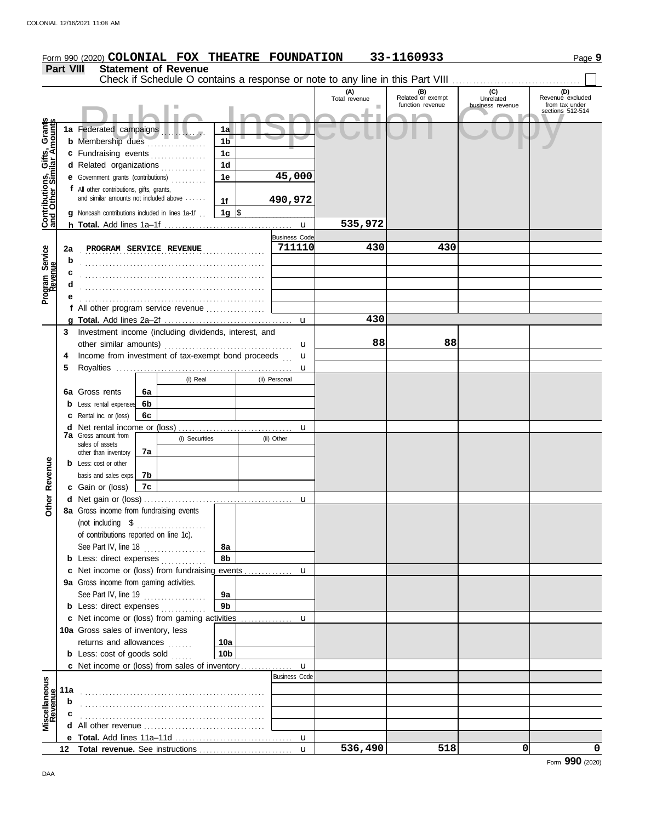|                                                                  |                  | Form 990 (2020) COLONIAL FOX THEATRE FOUNDATION                        |          |                             |                 |   |                      |                                                                               | 33-1160933                                   |                                      | Page 9                                    |
|------------------------------------------------------------------|------------------|------------------------------------------------------------------------|----------|-----------------------------|-----------------|---|----------------------|-------------------------------------------------------------------------------|----------------------------------------------|--------------------------------------|-------------------------------------------|
|                                                                  | <b>Part VIII</b> |                                                                        |          | <b>Statement of Revenue</b> |                 |   |                      |                                                                               |                                              |                                      |                                           |
|                                                                  |                  |                                                                        |          |                             |                 |   |                      | Check if Schedule O contains a response or note to any line in this Part VIII |                                              |                                      |                                           |
|                                                                  |                  |                                                                        |          |                             |                 |   |                      | (A)<br>Total revenue                                                          | (B)<br>Related or exempt<br>function revenue | (C)<br>Unrelated<br>business revenue | (D)<br>Revenue excluded<br>from tax under |
|                                                                  |                  |                                                                        |          |                             |                 |   |                      |                                                                               |                                              |                                      | sections 512-514                          |
| <b>Contributions, Gifts, Grants</b><br>and Other Similar Amounts |                  | 1a Federated campaigns                                                 |          |                             | 1a              |   |                      |                                                                               |                                              |                                      |                                           |
|                                                                  |                  | <b>b</b> Membership dues                                               |          |                             | 1 <sub>b</sub>  |   |                      |                                                                               |                                              |                                      |                                           |
|                                                                  |                  | c Fundraising events                                                   |          |                             | 1 <sub>c</sub>  |   |                      |                                                                               |                                              |                                      |                                           |
|                                                                  |                  | d Related organizations                                                |          | <u>.</u><br>.               | 1 <sub>d</sub>  |   |                      |                                                                               |                                              |                                      |                                           |
|                                                                  |                  | e Government grants (contributions)                                    |          |                             | 1e              |   | 45,000               |                                                                               |                                              |                                      |                                           |
|                                                                  |                  | f All other contributions, gifts, grants,                              |          |                             |                 |   |                      |                                                                               |                                              |                                      |                                           |
|                                                                  |                  | and similar amounts not included above                                 |          |                             | 1f              |   | 490,972              |                                                                               |                                              |                                      |                                           |
|                                                                  |                  | g Noncash contributions included in lines 1a-1f                        |          |                             | 1g $\sqrt{ }$   |   |                      |                                                                               |                                              |                                      |                                           |
|                                                                  |                  |                                                                        |          |                             |                 |   |                      | 535,972                                                                       |                                              |                                      |                                           |
|                                                                  |                  |                                                                        |          |                             |                 |   | <b>Business Code</b> |                                                                               |                                              |                                      |                                           |
|                                                                  | 2a               | PROGRAM SERVICE REVENUE                                                |          |                             |                 | . | 711110               | 430                                                                           | 430                                          |                                      |                                           |
| Program Service<br>Revenue                                       | b                |                                                                        |          |                             |                 |   |                      |                                                                               |                                              |                                      |                                           |
|                                                                  | c                |                                                                        |          |                             |                 |   |                      |                                                                               |                                              |                                      |                                           |
|                                                                  | d                |                                                                        |          |                             |                 |   |                      |                                                                               |                                              |                                      |                                           |
|                                                                  |                  |                                                                        |          |                             |                 |   |                      |                                                                               |                                              |                                      |                                           |
|                                                                  |                  | f All other program service revenue                                    |          |                             |                 |   |                      |                                                                               |                                              |                                      |                                           |
|                                                                  |                  |                                                                        |          |                             |                 |   |                      | 430                                                                           |                                              |                                      |                                           |
|                                                                  | 3.               | Investment income (including dividends, interest, and                  |          |                             |                 |   |                      |                                                                               |                                              |                                      |                                           |
|                                                                  |                  | other similar amounts)                                                 |          |                             |                 |   | u                    | 88                                                                            | 88                                           |                                      |                                           |
|                                                                  |                  | Income from investment of tax-exempt bond proceeds                     |          |                             |                 |   | u                    |                                                                               |                                              |                                      |                                           |
|                                                                  | 5                |                                                                        |          |                             |                 |   | u                    |                                                                               |                                              |                                      |                                           |
|                                                                  |                  |                                                                        |          | (i) Real                    |                 |   | (ii) Personal        |                                                                               |                                              |                                      |                                           |
|                                                                  |                  | 6a Gross rents                                                         | 6a       |                             |                 |   |                      |                                                                               |                                              |                                      |                                           |
|                                                                  |                  | <b>b</b> Less: rental expenses                                         | 6b<br>6c |                             |                 |   |                      |                                                                               |                                              |                                      |                                           |
|                                                                  |                  | <b>c</b> Rental inc. or (loss)<br><b>d</b> Net rental income or (loss) |          |                             |                 |   |                      |                                                                               |                                              |                                      |                                           |
|                                                                  |                  | <b>7a</b> Gross amount from                                            |          | (i) Securities              |                 |   | u<br>(ii) Other      |                                                                               |                                              |                                      |                                           |
|                                                                  |                  | sales of assets                                                        | 7a       |                             |                 |   |                      |                                                                               |                                              |                                      |                                           |
|                                                                  |                  | other than inventory<br><b>b</b> Less: cost or other                   |          |                             |                 |   |                      |                                                                               |                                              |                                      |                                           |
|                                                                  |                  | basis and sales exps.                                                  | 7b       |                             |                 |   |                      |                                                                               |                                              |                                      |                                           |
| Revenue                                                          |                  | c Gain or (loss)                                                       | 7c       |                             |                 |   |                      |                                                                               |                                              |                                      |                                           |
|                                                                  |                  |                                                                        |          |                             |                 |   |                      |                                                                               |                                              |                                      |                                           |
| Other                                                            |                  | 8a Gross income from fundraising events                                |          |                             |                 |   |                      |                                                                               |                                              |                                      |                                           |
|                                                                  |                  | (not including \$                                                      |          | .                           |                 |   |                      |                                                                               |                                              |                                      |                                           |
|                                                                  |                  | of contributions reported on line 1c).                                 |          |                             |                 |   |                      |                                                                               |                                              |                                      |                                           |
|                                                                  |                  | See Part IV, line 18                                                   |          | .                           | 8а              |   |                      |                                                                               |                                              |                                      |                                           |
|                                                                  |                  | <b>b</b> Less: direct expenses                                         |          |                             | 8b              |   |                      |                                                                               |                                              |                                      |                                           |
|                                                                  |                  |                                                                        |          |                             |                 |   |                      |                                                                               |                                              |                                      |                                           |
|                                                                  |                  | 9a Gross income from gaming activities.                                |          |                             |                 |   |                      |                                                                               |                                              |                                      |                                           |
|                                                                  |                  | See Part IV, line 19                                                   |          | .                           | 9a              |   |                      |                                                                               |                                              |                                      |                                           |
|                                                                  |                  | <b>b</b> Less: direct expenses                                         |          |                             | 9 <sub>b</sub>  |   |                      |                                                                               |                                              |                                      |                                           |
|                                                                  |                  |                                                                        |          |                             |                 |   |                      |                                                                               |                                              |                                      |                                           |
|                                                                  |                  | 10a Gross sales of inventory, less                                     |          |                             |                 |   |                      |                                                                               |                                              |                                      |                                           |
|                                                                  |                  | returns and allowances                                                 |          |                             | 10a             |   |                      |                                                                               |                                              |                                      |                                           |
|                                                                  |                  | <b>b</b> Less: cost of goods sold                                      |          |                             | 10 <sub>b</sub> |   |                      |                                                                               |                                              |                                      |                                           |
|                                                                  |                  | <b>c</b> Net income or (loss) from sales of inventory                  |          |                             |                 |   | u                    |                                                                               |                                              |                                      |                                           |
|                                                                  |                  |                                                                        |          |                             |                 |   | <b>Business Code</b> |                                                                               |                                              |                                      |                                           |
| Miscellaneous<br>Revenue                                         | 11a              |                                                                        |          |                             |                 |   |                      |                                                                               |                                              |                                      |                                           |
|                                                                  | b                |                                                                        |          |                             |                 |   |                      |                                                                               |                                              |                                      |                                           |
|                                                                  |                  |                                                                        |          |                             |                 |   |                      |                                                                               |                                              |                                      |                                           |
|                                                                  |                  |                                                                        |          |                             |                 |   |                      |                                                                               |                                              |                                      |                                           |
|                                                                  |                  |                                                                        |          |                             |                 |   |                      | 536,490                                                                       | 518                                          | 0                                    | 0                                         |
|                                                                  |                  |                                                                        |          |                             |                 |   |                      |                                                                               |                                              |                                      |                                           |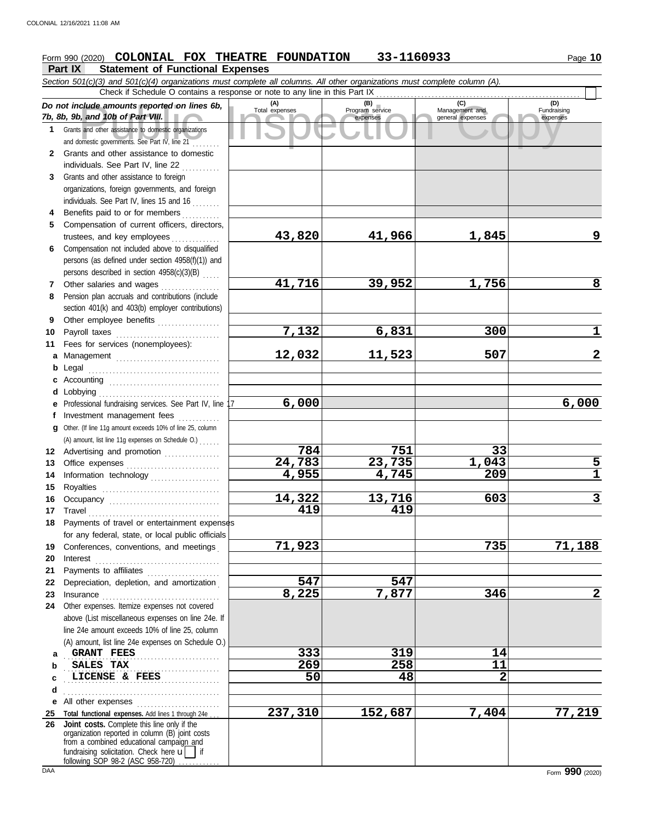# **Form 990 (2020) COLONIAL FOX THEATRE FOUNDATION 33-1160933** Page 10

**Part IX Statement of Functional Expenses**

Course amounts reported on lines 6b, Total expenses<br>
Program service Management and Copyright Service Expenses<br>
and other assistance to domestic organizations<br>
Sand other assistance to domestic organizations<br>
Sand other as *Section 501(c)(3) and 501(c)(4) organizations must complete all columns. All other organizations must complete column (A). Do not include amounts reported on lines 6b, 7b, 8b, 9b, and 10b of Part VIII.* **1 2 3 4** Benefits paid to or for members **........**.. **5 6** Compensation not included above to disqualified **7 8 9 10** Payroll taxes ............................... **11 a** Management .............................. **b** Legal **c** Accounting . . . . . . . . . . . . . . . . . . . . . . . . . . . . . . . . **d e** Professional fundraising services. See Part IV, line 17 **f g 12** Advertising and promotion ............... **13** Office expenses **.......................**... **14 15 16 17 18 19 20** Interest . . . . . . . . . . . . . . . . . . . . . . . . . . . . . . . . . . . . **21 22** Depreciation, depletion, and amortization . **23** Insurance . . . . . . . . . . . . . . . . . . . . . . . . . . . . . . . . . . **24** Other expenses. Itemize expenses not covered **a** GRANT FEES 14 **b c d** . . . . . . . . . . . . . . . . . . . . . . . . . . . . . . . . . . . . . . . . . . . . . **e** All other expenses . . . . . . . . . . . . . . . . . . . . . . . . **25 Total functional expenses.** Add lines 1 through 24e . . . **26** Grants and other assistance to domestic organizations and domestic governments. See Part IV, line 21 . . . . . . . . Grants and other assistance to domestic individuals. See Part IV, line 22 Grants and other assistance to foreign organizations, foreign governments, and foreign individuals. See Part IV, lines 15 and 16 Compensation of current officers, directors, trustees, and key employees ............... persons (as defined under section 4958(f)(1)) and persons described in section 4958(c)(3)(B) . . . . . Other salaries and wages ............ Pension plan accruals and contributions (include section 401(k) and 403(b) employer contributions) Other employee benefits .................. Fees for services (nonemployees): . . . . . . . . . . . . . . . . . . . . . . . . . . . . . . . . . . . . . . Lobbying . . . . . . . . . . . . . . . . . . . . . . . . . . . . . . . . . . . Investment management fees Other. (If line 11g amount exceeds 10% of line 25, column Information technology ..................... Royalties . . . . . . . . . . . . . . . . . . . . . . . . . . . . . . . . . . Occupancy . . . . . . . . . . . . . . . . . . . . . . . . . . . . . . . . Travel . . . . . . . . . . . . . . . . . . . . . . . . . . . . . . . . . . . . . . Payments of travel or entertainment expenses for any federal, state, or local public officials Conferences, conventions, and meetings . Payments to affiliates ...................... above (List miscellaneous expenses on line 24e. If line 24e amount exceeds 10% of line 25, column (A) amount, list line 24e expenses on Schedule O.) fundraising solicitation. Check here  $\mathbf{u}$  | if organization reported in column (B) joint costs from a combined educational campaign and following SOP 98-2 (ASC 958-720) **(A) (B) (C) (D)** Total expenses Program service Management and expenses (B) (C)<br>
Program service Management and<br>
expenses general expenses Fundraising expenses . . . . . . . . . . . . . . . . . . . . . . . . . . . . . . . . . . . . . . . . . . . . . **SALES TAX 269 258 11** . . . . . . . . . . . . . . . . . . . . . . . . . . . . . . . . . . . . . . . . . . . . . **LICENSE & FEES 50 48 2** Check if Schedule O contains a response or note to any line in this Part IX **Joint costs.** Complete this line only if the (A) amount, list line 11g expenses on Schedule O.) . . . . . . **43,820 41,966 1,845 9 41,716 39,952 1,756 8 7,132 6,831 300 1 12,032 11,523 507 2 6,000 6,000 784 751 33 24,783 23,735 1,043 5 4,955 4,745 209 1 14,322 13,716 603 3 419 419 71,923 735 71,188 547 547 8,225 7,877 346 2 237,310 152,687 7,404 77,219**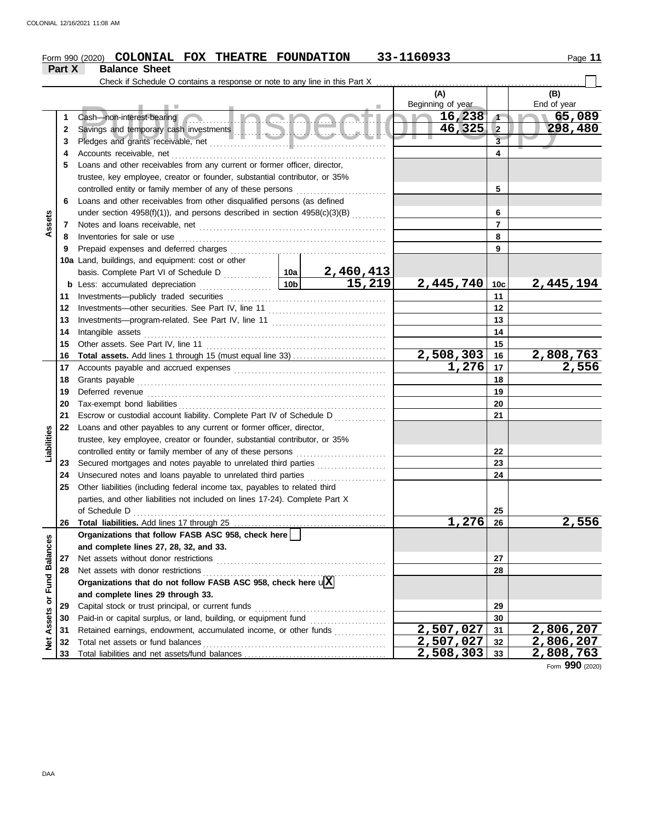#### Form 990 (2020) **COLONIAL FOX THEATRE FOUNDATION** 33-1160933 Page 11 **COLONIAL FOX THEATRE FOUNDATION 33-1160933**

|                      | Part X | <b>Balance Sheet</b>                                                                                                |                 |                            |                           |                         |                        |
|----------------------|--------|---------------------------------------------------------------------------------------------------------------------|-----------------|----------------------------|---------------------------|-------------------------|------------------------|
|                      |        | Check if Schedule O contains a response or note to any line in this Part X                                          |                 |                            |                           |                         |                        |
|                      |        |                                                                                                                     |                 |                            | (A)<br>Beginning of year  |                         | (B)<br>End of year     |
|                      | 1      | Cash-non-interest-bearing                                                                                           |                 | <u> Ingnacti</u>           | 16,238                    | $\sqrt{1}$              | 65,089                 |
|                      | 2      |                                                                                                                     |                 |                            | 46,325                    | $\overline{\mathbf{2}}$ | 298,480                |
|                      | 3      |                                                                                                                     |                 |                            |                           | $\overline{\mathbf{3}}$ |                        |
|                      | 4      |                                                                                                                     |                 |                            |                           | 4                       |                        |
|                      | 5      | Loans and other receivables from any current or former officer, director,                                           |                 |                            |                           |                         |                        |
|                      |        | trustee, key employee, creator or founder, substantial contributor, or 35%                                          |                 |                            |                           |                         |                        |
|                      |        | controlled entity or family member of any of these persons                                                          |                 |                            |                           | 5                       |                        |
|                      | 6      | Loans and other receivables from other disqualified persons (as defined                                             |                 |                            |                           |                         |                        |
|                      |        | under section $4958(f)(1)$ ), and persons described in section $4958(c)(3)(B)$ <sub>.</sub>                         |                 |                            |                           | 6                       |                        |
| Assets               | 7      |                                                                                                                     |                 |                            |                           | $\overline{7}$          |                        |
|                      | 8      | Inventories for sale or use                                                                                         |                 |                            |                           | 8                       |                        |
|                      | 9      | Prepaid expenses and deferred charges                                                                               |                 |                            |                           | 9                       |                        |
|                      |        | 10a Land, buildings, and equipment: cost or other                                                                   |                 |                            |                           |                         |                        |
|                      |        |                                                                                                                     |                 |                            |                           |                         |                        |
|                      |        | <b>b</b> Less: accumulated depreciation                                                                             | 10 <sub>b</sub> | $\frac{2,460,413}{15,219}$ | 2,445,740                 | 10c                     | 2,445,194              |
|                      | 11     | Investments-publicly traded securities                                                                              |                 |                            |                           | 11                      |                        |
|                      | 12     |                                                                                                                     |                 |                            |                           | 12                      |                        |
|                      | 13     |                                                                                                                     |                 |                            |                           | 13                      |                        |
|                      | 14     | Intangible assets                                                                                                   |                 |                            |                           | 14                      |                        |
|                      | 15     | Other assets. See Part IV, line 11                                                                                  |                 |                            |                           | 15                      |                        |
|                      | 16     |                                                                                                                     |                 |                            | 2,508,303                 | 16                      | <u>2,808,763</u>       |
|                      | 17     |                                                                                                                     |                 |                            | $\overline{1,276}$        | 17                      | 2,556                  |
|                      | 18     | Grants payable                                                                                                      |                 |                            |                           | 18                      |                        |
|                      | 19     | Deferred revenue                                                                                                    |                 |                            |                           | 19                      |                        |
|                      | 20     | Tax-exempt bond liabilities                                                                                         |                 |                            |                           | 20                      |                        |
|                      | 21     | Escrow or custodial account liability. Complete Part IV of Schedule D <sub>1111111111111</sub>                      |                 |                            |                           | 21                      |                        |
|                      | 22     | Loans and other payables to any current or former officer, director,                                                |                 |                            |                           |                         |                        |
|                      |        | trustee, key employee, creator or founder, substantial contributor, or 35%                                          |                 |                            |                           |                         |                        |
| Liabilities          |        |                                                                                                                     |                 |                            |                           | 22                      |                        |
|                      | 23     | Secured mortgages and notes payable to unrelated third parties                                                      |                 |                            |                           | 23                      |                        |
|                      | 24     | Unsecured notes and loans payable to unrelated third parties                                                        |                 |                            |                           | 24                      |                        |
|                      | 25     | Other liabilities (including federal income tax, payables to related third                                          |                 |                            |                           |                         |                        |
|                      |        | parties, and other liabilities not included on lines 17-24). Complete Part X                                        |                 |                            |                           |                         |                        |
|                      |        | of Schedule D                                                                                                       |                 |                            |                           | 25                      |                        |
|                      | 26     |                                                                                                                     |                 |                            | 1,276                     | 26                      | 2,556                  |
|                      |        | Organizations that follow FASB ASC 958, check here                                                                  |                 |                            |                           |                         |                        |
| <b>Fund Balances</b> |        | and complete lines 27, 28, 32, and 33.                                                                              |                 |                            |                           |                         |                        |
|                      | 27     | Net assets without donor restrictions                                                                               |                 |                            |                           | 27                      |                        |
|                      | 28     | Net assets with donor restrictions<br>Organizations that do not follow FASB ASC 958, check here $\sqrt{\mathbf{X}}$ |                 |                            |                           | 28                      |                        |
|                      |        |                                                                                                                     |                 |                            |                           |                         |                        |
| ŏ                    |        | and complete lines 29 through 33.                                                                                   |                 |                            |                           |                         |                        |
|                      | 29     | Capital stock or trust principal, or current funds                                                                  |                 |                            |                           | 29                      |                        |
|                      | 30     | Paid-in or capital surplus, or land, building, or equipment fund                                                    |                 |                            | $\overline{2}$ , 507, 027 | 30                      |                        |
| <b>Net Assets</b>    | 31     | Retained earnings, endowment, accumulated income, or other funds                                                    |                 |                            | 2,507,027                 | 31                      | 2,806,207<br>2,806,207 |
|                      | 32     | Total net assets or fund balances                                                                                   |                 |                            | $\overline{2,508,303}$    | 32<br>33                | 2,808,763              |
|                      | 33     |                                                                                                                     |                 |                            |                           |                         |                        |

Form **990** (2020)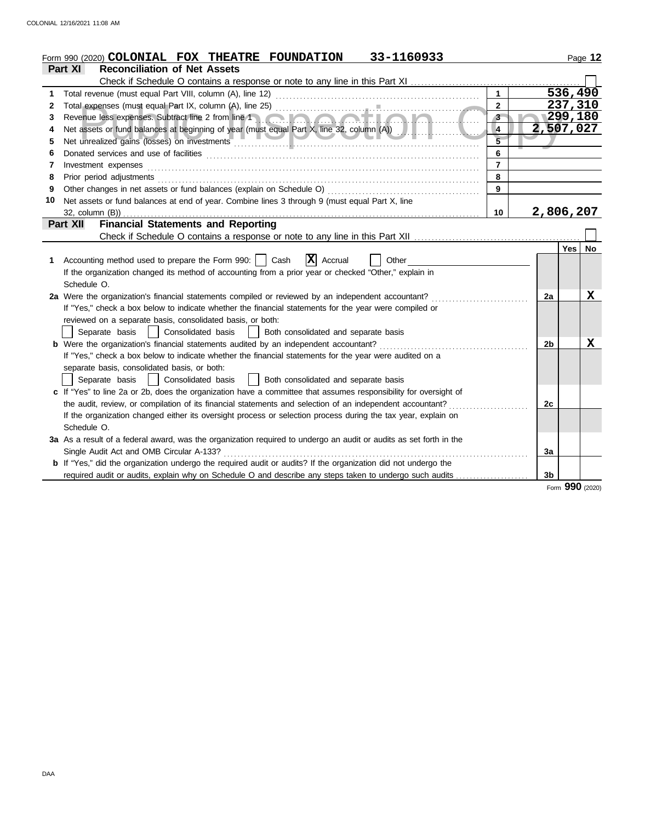|    | 33-1160933<br>Form 990 (2020) <b>COLONIAL FOX THEATRE FOUNDATION</b>                                                                                                                                                           |                |                |         | Page 12 |
|----|--------------------------------------------------------------------------------------------------------------------------------------------------------------------------------------------------------------------------------|----------------|----------------|---------|---------|
|    | <b>Reconciliation of Net Assets</b><br><b>Part XI</b>                                                                                                                                                                          |                |                |         |         |
|    |                                                                                                                                                                                                                                |                |                |         |         |
| 1  |                                                                                                                                                                                                                                | $\mathbf{1}$   |                | 536,490 |         |
| 2  |                                                                                                                                                                                                                                | $\overline{2}$ |                | 237,310 |         |
| 3  |                                                                                                                                                                                                                                | $3-$           | $\sim$ 299,180 |         |         |
| 4  |                                                                                                                                                                                                                                | 4              | 2,507,027      |         |         |
| 5  | Net unrealized gains (losses) on investments entertainments and the material contract of the material contract of                                                                                                              |                |                |         |         |
| 6  |                                                                                                                                                                                                                                | 6              |                |         |         |
| 7  | Investment expenses <b>constant expenses</b>                                                                                                                                                                                   | $\overline{7}$ |                |         |         |
| 8  | Prior period adjustments [11, 12] and the contract of the contract of the contract of the contract of the contract of the contract of the contract of the contract of the contract of the contract of the contract of the cont | 8              |                |         |         |
| 9  |                                                                                                                                                                                                                                | $\mathbf{9}$   |                |         |         |
| 10 | Net assets or fund balances at end of year. Combine lines 3 through 9 (must equal Part X, line                                                                                                                                 |                |                |         |         |
|    |                                                                                                                                                                                                                                | 10             | 2,806,207      |         |         |
|    | <b>Financial Statements and Reporting</b><br>Part XII                                                                                                                                                                          |                |                |         |         |
|    |                                                                                                                                                                                                                                |                |                |         |         |
|    |                                                                                                                                                                                                                                |                |                | Yes     | No      |
| 1. | $\mathbf{X}$ Accrual<br>Accounting method used to prepare the Form 990:     Cash<br>Other                                                                                                                                      |                |                |         |         |
|    | If the organization changed its method of accounting from a prior year or checked "Other," explain in                                                                                                                          |                |                |         |         |
|    | Schedule O.                                                                                                                                                                                                                    |                |                |         |         |
|    | 2a Were the organization's financial statements compiled or reviewed by an independent accountant?                                                                                                                             |                | 2a             |         | x       |
|    | If "Yes," check a box below to indicate whether the financial statements for the year were compiled or                                                                                                                         |                |                |         |         |
|    | reviewed on a separate basis, consolidated basis, or both:                                                                                                                                                                     |                |                |         |         |
|    | Separate basis   Consolidated basis<br>  Both consolidated and separate basis                                                                                                                                                  |                |                |         |         |
|    | b Were the organization's financial statements audited by an independent accountant?                                                                                                                                           |                | 2b             |         | X       |
|    | If "Yes," check a box below to indicate whether the financial statements for the year were audited on a                                                                                                                        |                |                |         |         |
|    | separate basis, consolidated basis, or both:                                                                                                                                                                                   |                |                |         |         |
|    | Separate basis<br>  Consolidated basis<br>Both consolidated and separate basis                                                                                                                                                 |                |                |         |         |
|    | c If "Yes" to line 2a or 2b, does the organization have a committee that assumes responsibility for oversight of                                                                                                               |                |                |         |         |
|    | the audit, review, or compilation of its financial statements and selection of an independent accountant?                                                                                                                      |                | 2c             |         |         |
|    | If the organization changed either its oversight process or selection process during the tax year, explain on                                                                                                                  |                |                |         |         |
|    | Schedule O.                                                                                                                                                                                                                    |                |                |         |         |
|    | 3a As a result of a federal award, was the organization required to undergo an audit or audits as set forth in the                                                                                                             |                |                |         |         |
|    | Single Audit Act and OMB Circular A-133?                                                                                                                                                                                       |                | За             |         |         |
|    | <b>b</b> If "Yes," did the organization undergo the required audit or audits? If the organization did not undergo the                                                                                                          |                |                |         |         |
|    | required audit or audits, explain why on Schedule O and describe any steps taken to undergo such audits                                                                                                                        |                | 3 <sub>b</sub> |         |         |

Form **990** (2020)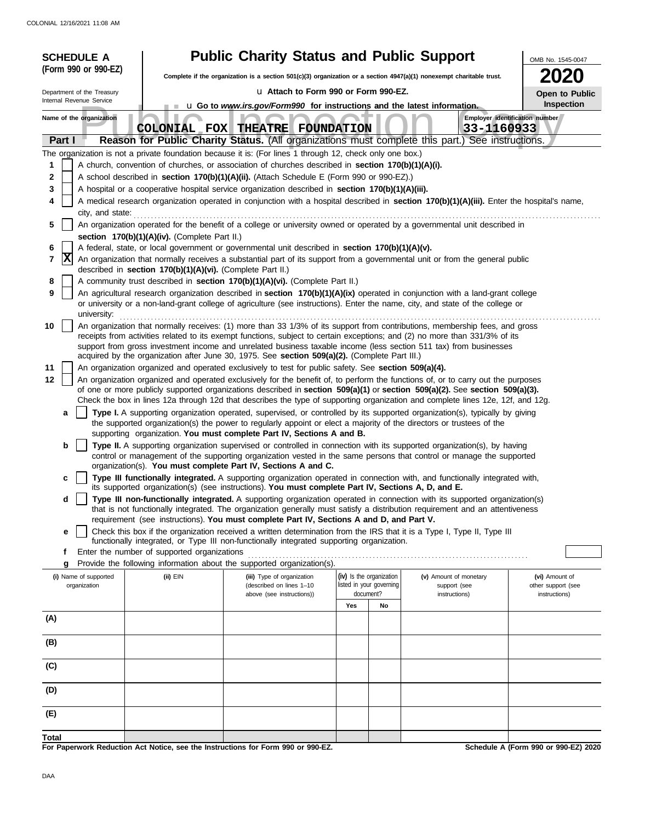| <b>SCHEDULE A</b>                     |                                                                                                                                                                                                                                  | <b>Public Charity Status and Public Support</b>                                                                                                                                                                 |                                                      |                                                                                                                                                                                                                                                     | OMB No. 1545-0047                           |  |  |  |  |  |  |  |  |
|---------------------------------------|----------------------------------------------------------------------------------------------------------------------------------------------------------------------------------------------------------------------------------|-----------------------------------------------------------------------------------------------------------------------------------------------------------------------------------------------------------------|------------------------------------------------------|-----------------------------------------------------------------------------------------------------------------------------------------------------------------------------------------------------------------------------------------------------|---------------------------------------------|--|--|--|--|--|--|--|--|
| (Form 990 or 990-EZ)                  |                                                                                                                                                                                                                                  |                                                                                                                                                                                                                 |                                                      | Complete if the organization is a section 501(c)(3) organization or a section $4947(a)(1)$ nonexempt charitable trust.                                                                                                                              |                                             |  |  |  |  |  |  |  |  |
| Department of the Treasury            |                                                                                                                                                                                                                                  | u Attach to Form 990 or Form 990-EZ.                                                                                                                                                                            |                                                      |                                                                                                                                                                                                                                                     | Open to Public                              |  |  |  |  |  |  |  |  |
| Internal Revenue Service              |                                                                                                                                                                                                                                  | <b>u</b> Go to <i>www.irs.gov/Form990</i> for instructions and the latest information.                                                                                                                          |                                                      |                                                                                                                                                                                                                                                     | Inspection                                  |  |  |  |  |  |  |  |  |
| Name of the organization              |                                                                                                                                                                                                                                  |                                                                                                                                                                                                                 |                                                      |                                                                                                                                                                                                                                                     | Employer identification number              |  |  |  |  |  |  |  |  |
|                                       |                                                                                                                                                                                                                                  | COLONIAL FOX THEATRE FOUNDATION                                                                                                                                                                                 |                                                      | 33-1160933                                                                                                                                                                                                                                          |                                             |  |  |  |  |  |  |  |  |
| Part I                                |                                                                                                                                                                                                                                  |                                                                                                                                                                                                                 |                                                      | Reason for Public Charity Status. (All organizations must complete this part.) See instructions.                                                                                                                                                    |                                             |  |  |  |  |  |  |  |  |
| 1                                     |                                                                                                                                                                                                                                  | The organization is not a private foundation because it is: (For lines 1 through 12, check only one box.)<br>A church, convention of churches, or association of churches described in section 170(b)(1)(A)(i). |                                                      |                                                                                                                                                                                                                                                     |                                             |  |  |  |  |  |  |  |  |
| 2                                     |                                                                                                                                                                                                                                  | A school described in section 170(b)(1)(A)(ii). (Attach Schedule E (Form 990 or 990-EZ).)                                                                                                                       |                                                      |                                                                                                                                                                                                                                                     |                                             |  |  |  |  |  |  |  |  |
| 3                                     |                                                                                                                                                                                                                                  | A hospital or a cooperative hospital service organization described in section 170(b)(1)(A)(iii).                                                                                                               |                                                      |                                                                                                                                                                                                                                                     |                                             |  |  |  |  |  |  |  |  |
| 4                                     |                                                                                                                                                                                                                                  |                                                                                                                                                                                                                 |                                                      | A medical research organization operated in conjunction with a hospital described in section 170(b)(1)(A)(iii). Enter the hospital's name,                                                                                                          |                                             |  |  |  |  |  |  |  |  |
|                                       | city, and state:                                                                                                                                                                                                                 |                                                                                                                                                                                                                 |                                                      |                                                                                                                                                                                                                                                     |                                             |  |  |  |  |  |  |  |  |
| 5                                     |                                                                                                                                                                                                                                  |                                                                                                                                                                                                                 |                                                      | An organization operated for the benefit of a college or university owned or operated by a governmental unit described in                                                                                                                           |                                             |  |  |  |  |  |  |  |  |
|                                       | section 170(b)(1)(A)(iv). (Complete Part II.)                                                                                                                                                                                    |                                                                                                                                                                                                                 |                                                      |                                                                                                                                                                                                                                                     |                                             |  |  |  |  |  |  |  |  |
| 6<br>$ {\bf x} $<br>7                 | A federal, state, or local government or governmental unit described in section 170(b)(1)(A)(v).<br>An organization that normally receives a substantial part of its support from a governmental unit or from the general public |                                                                                                                                                                                                                 |                                                      |                                                                                                                                                                                                                                                     |                                             |  |  |  |  |  |  |  |  |
|                                       | described in section 170(b)(1)(A)(vi). (Complete Part II.)                                                                                                                                                                       |                                                                                                                                                                                                                 |                                                      |                                                                                                                                                                                                                                                     |                                             |  |  |  |  |  |  |  |  |
| 8                                     |                                                                                                                                                                                                                                  | A community trust described in section 170(b)(1)(A)(vi). (Complete Part II.)                                                                                                                                    |                                                      |                                                                                                                                                                                                                                                     |                                             |  |  |  |  |  |  |  |  |
| 9                                     |                                                                                                                                                                                                                                  |                                                                                                                                                                                                                 |                                                      | An agricultural research organization described in section 170(b)(1)(A)(ix) operated in conjunction with a land-grant college                                                                                                                       |                                             |  |  |  |  |  |  |  |  |
| university:                           |                                                                                                                                                                                                                                  |                                                                                                                                                                                                                 |                                                      | or university or a non-land-grant college of agriculture (see instructions). Enter the name, city, and state of the college or                                                                                                                      |                                             |  |  |  |  |  |  |  |  |
| 10                                    |                                                                                                                                                                                                                                  |                                                                                                                                                                                                                 |                                                      | An organization that normally receives: (1) more than 33 1/3% of its support from contributions, membership fees, and gross                                                                                                                         |                                             |  |  |  |  |  |  |  |  |
|                                       |                                                                                                                                                                                                                                  |                                                                                                                                                                                                                 |                                                      | receipts from activities related to its exempt functions, subject to certain exceptions; and (2) no more than 331/3% of its                                                                                                                         |                                             |  |  |  |  |  |  |  |  |
|                                       |                                                                                                                                                                                                                                  |                                                                                                                                                                                                                 |                                                      | support from gross investment income and unrelated business taxable income (less section 511 tax) from businesses                                                                                                                                   |                                             |  |  |  |  |  |  |  |  |
| 11                                    | acquired by the organization after June 30, 1975. See section 509(a)(2). (Complete Part III.)<br>An organization organized and operated exclusively to test for public safety. See section 509(a)(4).                            |                                                                                                                                                                                                                 |                                                      |                                                                                                                                                                                                                                                     |                                             |  |  |  |  |  |  |  |  |
| 12                                    |                                                                                                                                                                                                                                  |                                                                                                                                                                                                                 |                                                      | An organization organized and operated exclusively for the benefit of, to perform the functions of, or to carry out the purposes                                                                                                                    |                                             |  |  |  |  |  |  |  |  |
|                                       |                                                                                                                                                                                                                                  |                                                                                                                                                                                                                 |                                                      | of one or more publicly supported organizations described in section 509(a)(1) or section 509(a)(2). See section 509(a)(3).                                                                                                                         |                                             |  |  |  |  |  |  |  |  |
|                                       |                                                                                                                                                                                                                                  |                                                                                                                                                                                                                 |                                                      | Check the box in lines 12a through 12d that describes the type of supporting organization and complete lines 12e, 12f, and 12g.                                                                                                                     |                                             |  |  |  |  |  |  |  |  |
| a                                     |                                                                                                                                                                                                                                  |                                                                                                                                                                                                                 |                                                      | Type I. A supporting organization operated, supervised, or controlled by its supported organization(s), typically by giving<br>the supported organization(s) the power to regularly appoint or elect a majority of the directors or trustees of the |                                             |  |  |  |  |  |  |  |  |
|                                       |                                                                                                                                                                                                                                  | supporting organization. You must complete Part IV, Sections A and B.                                                                                                                                           |                                                      |                                                                                                                                                                                                                                                     |                                             |  |  |  |  |  |  |  |  |
| b                                     |                                                                                                                                                                                                                                  |                                                                                                                                                                                                                 |                                                      | Type II. A supporting organization supervised or controlled in connection with its supported organization(s), by having                                                                                                                             |                                             |  |  |  |  |  |  |  |  |
|                                       |                                                                                                                                                                                                                                  |                                                                                                                                                                                                                 |                                                      | control or management of the supporting organization vested in the same persons that control or manage the supported                                                                                                                                |                                             |  |  |  |  |  |  |  |  |
| c                                     |                                                                                                                                                                                                                                  | organization(s). You must complete Part IV, Sections A and C.                                                                                                                                                   |                                                      | Type III functionally integrated. A supporting organization operated in connection with, and functionally integrated with,                                                                                                                          |                                             |  |  |  |  |  |  |  |  |
|                                       |                                                                                                                                                                                                                                  | its supported organization(s) (see instructions). You must complete Part IV, Sections A, D, and E.                                                                                                              |                                                      |                                                                                                                                                                                                                                                     |                                             |  |  |  |  |  |  |  |  |
| d                                     |                                                                                                                                                                                                                                  |                                                                                                                                                                                                                 |                                                      | Type III non-functionally integrated. A supporting organization operated in connection with its supported organization(s)                                                                                                                           |                                             |  |  |  |  |  |  |  |  |
|                                       |                                                                                                                                                                                                                                  | requirement (see instructions). You must complete Part IV, Sections A and D, and Part V.                                                                                                                        |                                                      | that is not functionally integrated. The organization generally must satisfy a distribution requirement and an attentiveness                                                                                                                        |                                             |  |  |  |  |  |  |  |  |
| e                                     |                                                                                                                                                                                                                                  |                                                                                                                                                                                                                 |                                                      | Check this box if the organization received a written determination from the IRS that it is a Type I, Type II, Type III                                                                                                                             |                                             |  |  |  |  |  |  |  |  |
|                                       |                                                                                                                                                                                                                                  | functionally integrated, or Type III non-functionally integrated supporting organization.                                                                                                                       |                                                      |                                                                                                                                                                                                                                                     |                                             |  |  |  |  |  |  |  |  |
| f                                     | Enter the number of supported organizations                                                                                                                                                                                      |                                                                                                                                                                                                                 |                                                      |                                                                                                                                                                                                                                                     |                                             |  |  |  |  |  |  |  |  |
| g                                     |                                                                                                                                                                                                                                  | Provide the following information about the supported organization(s).                                                                                                                                          |                                                      |                                                                                                                                                                                                                                                     |                                             |  |  |  |  |  |  |  |  |
| (i) Name of supported<br>organization | (ii) EIN                                                                                                                                                                                                                         | (iii) Type of organization<br>(described on lines 1-10                                                                                                                                                          | (iv) Is the organization<br>listed in your governing | (v) Amount of monetary<br>support (see                                                                                                                                                                                                              | (vi) Amount of<br>other support (see        |  |  |  |  |  |  |  |  |
|                                       |                                                                                                                                                                                                                                  | above (see instructions))                                                                                                                                                                                       | document?                                            | instructions)                                                                                                                                                                                                                                       | instructions)                               |  |  |  |  |  |  |  |  |
|                                       |                                                                                                                                                                                                                                  |                                                                                                                                                                                                                 | Yes<br>No                                            |                                                                                                                                                                                                                                                     |                                             |  |  |  |  |  |  |  |  |
| (A)                                   |                                                                                                                                                                                                                                  |                                                                                                                                                                                                                 |                                                      |                                                                                                                                                                                                                                                     |                                             |  |  |  |  |  |  |  |  |
| (B)                                   |                                                                                                                                                                                                                                  |                                                                                                                                                                                                                 |                                                      |                                                                                                                                                                                                                                                     |                                             |  |  |  |  |  |  |  |  |
|                                       |                                                                                                                                                                                                                                  |                                                                                                                                                                                                                 |                                                      |                                                                                                                                                                                                                                                     |                                             |  |  |  |  |  |  |  |  |
| (C)                                   |                                                                                                                                                                                                                                  |                                                                                                                                                                                                                 |                                                      |                                                                                                                                                                                                                                                     |                                             |  |  |  |  |  |  |  |  |
|                                       |                                                                                                                                                                                                                                  |                                                                                                                                                                                                                 |                                                      |                                                                                                                                                                                                                                                     |                                             |  |  |  |  |  |  |  |  |
| (D)                                   |                                                                                                                                                                                                                                  |                                                                                                                                                                                                                 |                                                      |                                                                                                                                                                                                                                                     |                                             |  |  |  |  |  |  |  |  |
| (E)                                   |                                                                                                                                                                                                                                  |                                                                                                                                                                                                                 |                                                      |                                                                                                                                                                                                                                                     |                                             |  |  |  |  |  |  |  |  |
|                                       |                                                                                                                                                                                                                                  |                                                                                                                                                                                                                 |                                                      |                                                                                                                                                                                                                                                     |                                             |  |  |  |  |  |  |  |  |
| Total                                 | the Instructions for                                                                                                                                                                                                             | $000 \approx 000 E7$                                                                                                                                                                                            |                                                      |                                                                                                                                                                                                                                                     | <b>Cohodule A (Form 000 or 000 FZ) 2020</b> |  |  |  |  |  |  |  |  |

**For Paperwork Reduction Act Notice, see the Instructions for Form 990 or 990-EZ.**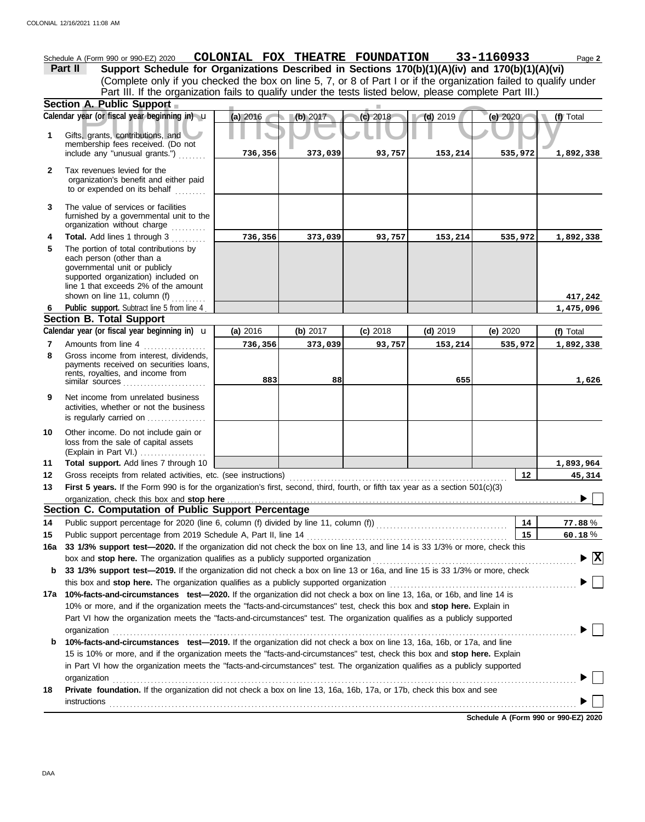**A. Public Support**<br>year (or fiscal year beginning in) **u** (a) 2016 (b) 2017 (c) 2018 (d) 2019 (e) 2020 (f)<br>s, grants, contributions, and therefore received. (Do not (Explain in Part VI.) . . . . . . . . . . . . . . . . . . . governmental unit or publicly **Section A. Public Support Total support.** Add lines 7 through 10 loss from the sale of capital assets Other income. Do not include gain or is regularly carried on ................. activities, whether or not the business Net income from unrelated business rents, royalties, and income from payments received on securities loans, Gross income from interest, dividends, line 1 that exceeds 2% of the amount supported organization) included on each person (other than a The portion of total contributions by **Total.** Add lines 1 through 3 .......... The value of services or facilities to or expended on its behalf ......... organization's benefit and either paid Tax revenues levied for the First 5 years. If the Form 990 is for the organization's first, second, third, fourth, or fifth tax year as a section 501(c)(3) Gross receipts from related activities, etc. (see instructions) . . . . . . . . . . . . . . . . . . . . . . . . . . . . . . . . . . . . . . . . . . . . . . . . . . . . . . . . . . . . . . . Amounts from line 4 Public support. Subtract line 5 from line 4 include any "unusual grants.") . . . . . . . . membership fees received. (Do not Gifts, grants, contributions, and Schedule A (Form 990 or 990-EZ) 2020 **COLONIAL FOX THEATRE FOUNDATION** 33-1160933 Page 2 **13 12 11 9 8 6 4 3 2 1 (a)** 2016 **(b)** 2017 **(c)** 2018 **(d)** 2019 **(e)** 2020 (Complete only if you checked the box on line 5, 7, or 8 of Part I or if the organization failed to qualify under **Part II Support Schedule for Organizations Described in Sections 170(b)(1)(A)(iv) and 170(b)(1)(A)(vi)** Calendar year (or fiscal year beginning in)  $\cdot$  **(a)** 2016 (b) 2017 (c) 2018 (d) 2019 (d) 2019 (e) 2020 (f) Total furnished by a governmental unit to the organization without charge **5 Section B. Total Support 7** similar sources **10** organization, check this box and stop here **Section C. Computation of Public Support Percentage 12 14** Public support percentage for 2020 (line 6, column (f) divided by line 11, column (f)) . . . . . . . . . . . . . . . . . . . . . . . . . . . . . . . . . . . . . . Public support percentage from 2019 Schedule A, Part II, line 14 . . . . . . . . . . . . . . . . . . . . . . . . . . . . . . . . . . . . . . . . . . . . . . . . . . . . . . . . . . **15 16a 33 1/3% support test—2020.** If the organization did not check the box on line 13, and line 14 is 33 1/3% or more, check this box and stop here. The organization qualifies as a publicly supported organization .............. **b 33 1/3% support test—2019.** If the organization did not check a box on line 13 or 16a, and line 15 is 33 1/3% or more, check this box and **stop here.** The organization qualifies as a publicly supported organization . . . . . . . . . . . . . . . . . . . . . . . . . . . . . . . . . . . . . . . . . . . . . . . . . . . . . . **17a 10%-facts-and-circumstances test—2020.** If the organization did not check a box on line 13, 16a, or 16b, and line 14 is 10% or more, and if the organization meets the "facts-and-circumstances" test, check this box and **stop here.** Explain in Part VI how the organization meets the "facts-and-circumstances" test. The organization qualifies as a publicly supported **b 10%-facts-and-circumstances test—2019.** If the organization did not check a box on line 13, 16a, 16b, or 17a, and line in Part VI how the organization meets the "facts-and-circumstances" test. The organization qualifies as a publicly supported 15 is 10% or more, and if the organization meets the "facts-and-circumstances" test, check this box and **stop here.** Explain **18 Private foundation.** If the organization did not check a box on line 13, 16a, 16b, 17a, or 17b, check this box and see **14 15** % **77.88** % **60.18** Calendar year (or fiscal year beginning in)  $\mathbf{u}$  (a) 2016 (b) 2017 (c) 2018 (d) 2019 (d) 2020 (f) Total Part III. If the organization fails to qualify under the tests listed below, please complete Part III.) **(a)** 2016 shown on line 11, column (f)  $\ldots$ organization . . . . . . . . . . . . . . . . . . . . . . . . . . . . . . . . . . . . . . . . . . . . . . . . . . . . . . . . . . . . . . . . . . . . . . . . . . . . . . . . . . . . . . . . . . . . . . . . . . . . . . . . . . . . . . . . . . . . . . . . . . . . . . . . . . . . . . organization and the contract of the contract of the contract of the contract of the contract of the contract of the contract of the contract of the contract of the contract of the contract of the contract of the contract instructions . . . . . . . . . . . . . . . . . . . . . . . . . . . . . . . . . . . . . . . . . . . . . . . . . . . . . . . . . . . . . . . . . . . . . . . . . . . . . . . . . . . . . . . . . . . . . . . . . . . . . . . . . . . . . . . . . . . . . . . . . . . . . . . . . . . . . . . u **(b)** 2017 **(c)** 2018 **(d)** 2019 **(e)** 2020 **736,356 373,039 93,757 153,214 535,972 1,892,338 736,356 373,039 93,757 153,214 535,972 1,892,338 417,242 1,475,096 736,356 373,039 93,757 153,214 535,972 1,892,338 883 88 655 1,626 1,893,964 45,314 X**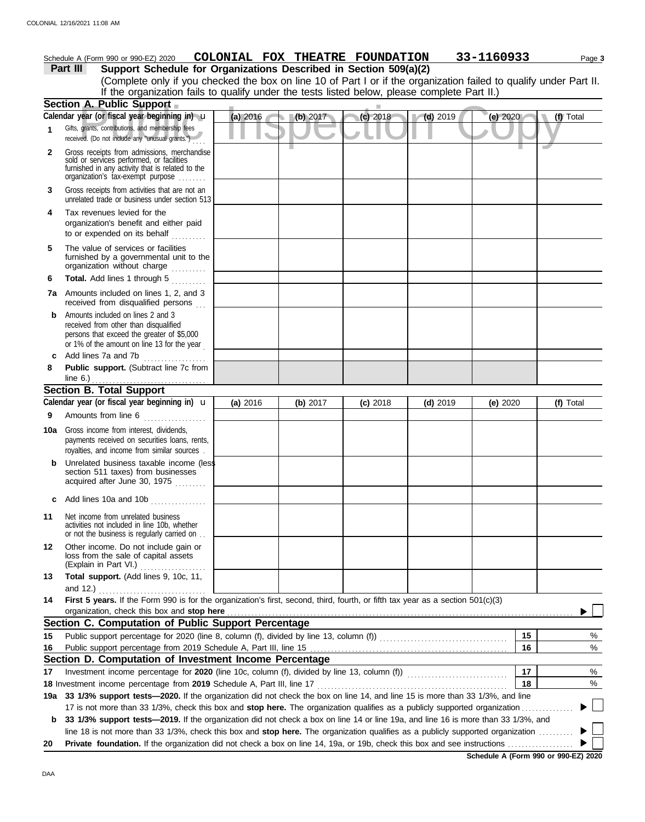|              | Schedule A (Form 990 or 990-EZ) 2020                                                                                                                                                                                                                                 | COLONIAL FOX THEATRE FOUNDATION |          |            |            | 33-1160933 | Page 3    |
|--------------|----------------------------------------------------------------------------------------------------------------------------------------------------------------------------------------------------------------------------------------------------------------------|---------------------------------|----------|------------|------------|------------|-----------|
|              | Support Schedule for Organizations Described in Section 509(a)(2)<br>Part III                                                                                                                                                                                        |                                 |          |            |            |            |           |
|              | (Complete only if you checked the box on line 10 of Part I or if the organization failed to qualify under Part II.<br>If the organization fails to qualify under the tests listed below, please complete Part II.)                                                   |                                 |          |            |            |            |           |
|              | Section A. Public Support                                                                                                                                                                                                                                            |                                 |          |            |            |            |           |
|              | Calendar year (or fiscal year beginning in) u                                                                                                                                                                                                                        | (a) 2016                        | (b) 2017 | (c) 2018   | $(d)$ 2019 | (e) 2020   | (f) Total |
| 1            | Gifts, grants, contributions, and membership fees<br>received. (Do not include any "unusual grants.")                                                                                                                                                                |                                 |          |            |            |            |           |
| $\mathbf{2}$ | Gross receipts from admissions, merchandise<br>sold or services performed, or facilities<br>furnished in any activity that is related to the<br>organization's tax-exempt purpose                                                                                    |                                 |          |            |            |            |           |
| 3            | Gross receipts from activities that are not an<br>unrelated trade or business under section 513                                                                                                                                                                      |                                 |          |            |            |            |           |
| 4            | Tax revenues levied for the<br>organization's benefit and either paid<br>to or expended on its behalf                                                                                                                                                                |                                 |          |            |            |            |           |
| 5            | The value of services or facilities<br>furnished by a governmental unit to the<br>organization without charge                                                                                                                                                        |                                 |          |            |            |            |           |
| 6            | Total. Add lines 1 through 5                                                                                                                                                                                                                                         |                                 |          |            |            |            |           |
|              | <b>7a</b> Amounts included on lines 1, 2, and 3<br>received from disqualified persons                                                                                                                                                                                |                                 |          |            |            |            |           |
| b            | Amounts included on lines 2 and 3<br>received from other than disqualified<br>persons that exceed the greater of \$5,000<br>or 1% of the amount on line 13 for the year                                                                                              |                                 |          |            |            |            |           |
| c            | Add lines 7a and 7b                                                                                                                                                                                                                                                  |                                 |          |            |            |            |           |
| 8            | Public support. (Subtract line 7c from                                                                                                                                                                                                                               |                                 |          |            |            |            |           |
|              | line 6.) $\ldots$ $\ldots$ $\ldots$ $\ldots$ $\ldots$ $\ldots$<br><b>Section B. Total Support</b>                                                                                                                                                                    |                                 |          |            |            |            |           |
|              | Calendar year (or fiscal year beginning in) $\mathbf u$                                                                                                                                                                                                              | (a) 2016                        | (b) 2017 | $(c)$ 2018 | $(d)$ 2019 | (e) $2020$ | (f) Total |
| 9            | Amounts from line 6                                                                                                                                                                                                                                                  |                                 |          |            |            |            |           |
|              | <b>10a</b> Gross income from interest, dividends,<br>payments received on securities loans, rents,<br>royalties, and income from similar sources.                                                                                                                    |                                 |          |            |            |            |           |
| b            | Unrelated business taxable income (less<br>section 511 taxes) from businesses<br>acquired after June 30, 1975                                                                                                                                                        |                                 |          |            |            |            |           |
| c            | Add lines 10a and 10b                                                                                                                                                                                                                                                |                                 |          |            |            |            |           |
| 11           | Net income from unrelated business<br>activities not included in line 10b, whether<br>or not the business is regularly carried on                                                                                                                                    |                                 |          |            |            |            |           |
| 12           | Other income. Do not include gain or<br>loss from the sale of capital assets<br>(Explain in Part VI.)                                                                                                                                                                |                                 |          |            |            |            |           |
| 13           | Total support. (Add lines 9, 10c, 11,<br>and 12.) $\qquad \qquad$                                                                                                                                                                                                    |                                 |          |            |            |            |           |
| 14           | First 5 years. If the Form 990 is for the organization's first, second, third, fourth, or fifth tax year as a section 501(c)(3)<br>organization, check this box and stop here                                                                                        |                                 |          |            |            |            |           |
|              | Section C. Computation of Public Support Percentage                                                                                                                                                                                                                  |                                 |          |            |            |            |           |
| 15           |                                                                                                                                                                                                                                                                      |                                 |          |            |            | 15         | %         |
| 16           |                                                                                                                                                                                                                                                                      |                                 |          |            |            | 16         | %         |
|              | Section D. Computation of Investment Income Percentage                                                                                                                                                                                                               |                                 |          |            |            |            |           |
| 17           |                                                                                                                                                                                                                                                                      |                                 |          |            |            | 17         | %         |
|              |                                                                                                                                                                                                                                                                      |                                 |          |            |            | 18         | %         |
| 19а          | 33 1/3% support tests-2020. If the organization did not check the box on line 14, and line 15 is more than 33 1/3%, and line                                                                                                                                         |                                 |          |            |            |            |           |
|              | 17 is not more than 33 1/3%, check this box and stop here. The organization qualifies as a publicly supported organization                                                                                                                                           |                                 |          |            |            |            |           |
| b            | 33 1/3% support tests-2019. If the organization did not check a box on line 14 or line 19a, and line 16 is more than 33 1/3%, and<br>line 18 is not more than 33 1/3%, check this box and stop here. The organization qualifies as a publicly supported organization |                                 |          |            |            |            |           |
| 20           |                                                                                                                                                                                                                                                                      |                                 |          |            |            |            |           |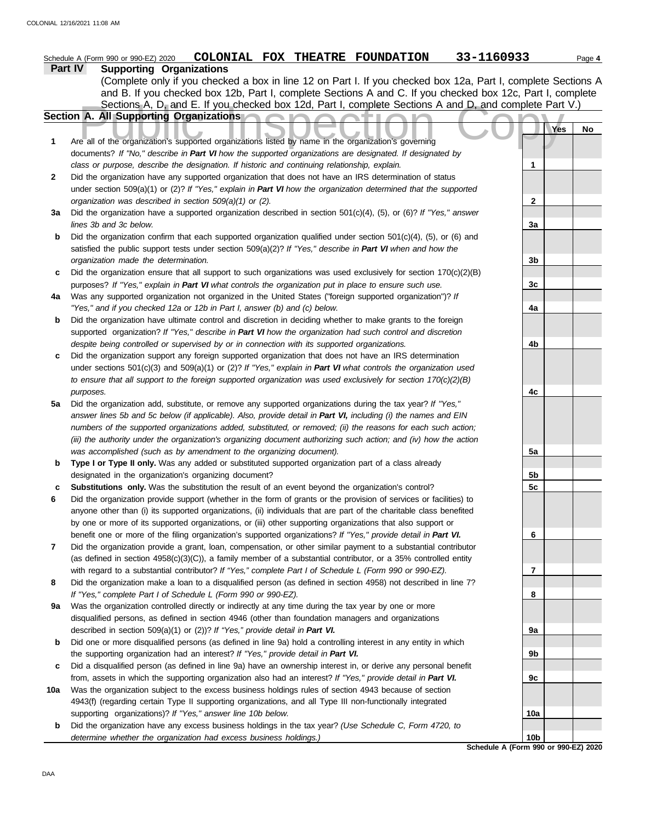|     | 33-1160933<br>COLONIAL FOX THEATRE FOUNDATION<br>Schedule A (Form 990 or 990-EZ) 2020                               |                 |     | Page 4 |
|-----|---------------------------------------------------------------------------------------------------------------------|-----------------|-----|--------|
|     | Part IV<br><b>Supporting Organizations</b>                                                                          |                 |     |        |
|     | (Complete only if you checked a box in line 12 on Part I. If you checked box 12a, Part I, complete Sections A       |                 |     |        |
|     | and B. If you checked box 12b, Part I, complete Sections A and C. If you checked box 12c, Part I, complete          |                 |     |        |
|     | Sections A, D, and E. If you checked box 12d, Part I, complete Sections A and D, and complete Part V.)              |                 |     |        |
|     | Section A. All Supporting Organizations                                                                             |                 |     |        |
|     |                                                                                                                     |                 | Yes | No     |
| 1   | Are all of the organization's supported organizations listed by name in the organization's governing                |                 |     |        |
|     | documents? If "No," describe in Part VI how the supported organizations are designated. If designated by            |                 |     |        |
|     | class or purpose, describe the designation. If historic and continuing relationship, explain.                       | 1               |     |        |
| 2   | Did the organization have any supported organization that does not have an IRS determination of status              |                 |     |        |
|     | under section 509(a)(1) or (2)? If "Yes," explain in Part VI how the organization determined that the supported     |                 |     |        |
|     | organization was described in section 509(a)(1) or (2).                                                             | $\mathbf{2}$    |     |        |
| За  | Did the organization have a supported organization described in section $501(c)(4)$ , (5), or (6)? If "Yes," answer |                 |     |        |
|     | lines 3b and 3c below.                                                                                              | 3a              |     |        |
| b   | Did the organization confirm that each supported organization qualified under section $501(c)(4)$ , (5), or (6) and |                 |     |        |
|     | satisfied the public support tests under section 509(a)(2)? If "Yes," describe in Part VI when and how the          |                 |     |        |
|     | organization made the determination.                                                                                | 3b              |     |        |
| c   | Did the organization ensure that all support to such organizations was used exclusively for section $170(c)(2)(B)$  |                 |     |        |
|     | purposes? If "Yes," explain in Part VI what controls the organization put in place to ensure such use.              | 3c              |     |        |
| 4a  | Was any supported organization not organized in the United States ("foreign supported organization")? If            |                 |     |        |
|     | "Yes," and if you checked 12a or 12b in Part I, answer (b) and (c) below.                                           | 4a              |     |        |
| b   | Did the organization have ultimate control and discretion in deciding whether to make grants to the foreign         |                 |     |        |
|     | supported organization? If "Yes," describe in Part VI how the organization had such control and discretion          |                 |     |        |
|     | despite being controlled or supervised by or in connection with its supported organizations.                        | 4b              |     |        |
| c   | Did the organization support any foreign supported organization that does not have an IRS determination             |                 |     |        |
|     | under sections $501(c)(3)$ and $509(a)(1)$ or (2)? If "Yes," explain in Part VI what controls the organization used |                 |     |        |
|     | to ensure that all support to the foreign supported organization was used exclusively for section $170(c)(2)(B)$    |                 |     |        |
|     | purposes.                                                                                                           | 4c              |     |        |
| 5a  | Did the organization add, substitute, or remove any supported organizations during the tax year? If "Yes,"          |                 |     |        |
|     | answer lines 5b and 5c below (if applicable). Also, provide detail in Part VI, including (i) the names and EIN      |                 |     |        |
|     | numbers of the supported organizations added, substituted, or removed; (ii) the reasons for each such action;       |                 |     |        |
|     | (iii) the authority under the organization's organizing document authorizing such action; and (iv) how the action   |                 |     |        |
|     | was accomplished (such as by amendment to the organizing document).                                                 | 5a              |     |        |
| b   | Type I or Type II only. Was any added or substituted supported organization part of a class already                 |                 |     |        |
|     | designated in the organization's organizing document?                                                               | 5b              |     |        |
|     | Substitutions only. Was the substitution the result of an event beyond the organization's control?                  | 5c              |     |        |
|     | Did the organization provide support (whether in the form of grants or the provision of services or facilities) to  |                 |     |        |
|     | anyone other than (i) its supported organizations, (ii) individuals that are part of the charitable class benefited |                 |     |        |
|     | by one or more of its supported organizations, or (iii) other supporting organizations that also support or         |                 |     |        |
|     | benefit one or more of the filing organization's supported organizations? If "Yes," provide detail in Part VI.      | 6               |     |        |
| 7   | Did the organization provide a grant, loan, compensation, or other similar payment to a substantial contributor     |                 |     |        |
|     | (as defined in section $4958(c)(3)(C)$ ), a family member of a substantial contributor, or a 35% controlled entity  |                 |     |        |
|     | with regard to a substantial contributor? If "Yes," complete Part I of Schedule L (Form 990 or 990-EZ).             | 7               |     |        |
| 8   | Did the organization make a loan to a disqualified person (as defined in section 4958) not described in line 7?     |                 |     |        |
|     | If "Yes," complete Part I of Schedule L (Form 990 or 990-EZ).                                                       | 8               |     |        |
| 9a  | Was the organization controlled directly or indirectly at any time during the tax year by one or more               |                 |     |        |
|     | disqualified persons, as defined in section 4946 (other than foundation managers and organizations                  |                 |     |        |
|     | described in section 509(a)(1) or (2))? If "Yes," provide detail in Part VI.                                        | 9а              |     |        |
| b   | Did one or more disqualified persons (as defined in line 9a) hold a controlling interest in any entity in which     |                 |     |        |
|     | the supporting organization had an interest? If "Yes," provide detail in Part VI.                                   | 9b              |     |        |
| c   | Did a disqualified person (as defined in line 9a) have an ownership interest in, or derive any personal benefit     |                 |     |        |
|     | from, assets in which the supporting organization also had an interest? If "Yes," provide detail in Part VI.        | 9с              |     |        |
| 10a | Was the organization subject to the excess business holdings rules of section 4943 because of section               |                 |     |        |
|     | 4943(f) (regarding certain Type II supporting organizations, and all Type III non-functionally integrated           |                 |     |        |
|     | supporting organizations)? If "Yes," answer line 10b below.                                                         | <b>10a</b>      |     |        |
| b   | Did the organization have any excess business holdings in the tax year? (Use Schedule C, Form 4720, to              |                 |     |        |
|     | determine whether the organization had excess business holdings.)                                                   | 10 <sub>b</sub> |     |        |
|     | Schedule A (Form 990 or 990-EZ) 2020                                                                                |                 |     |        |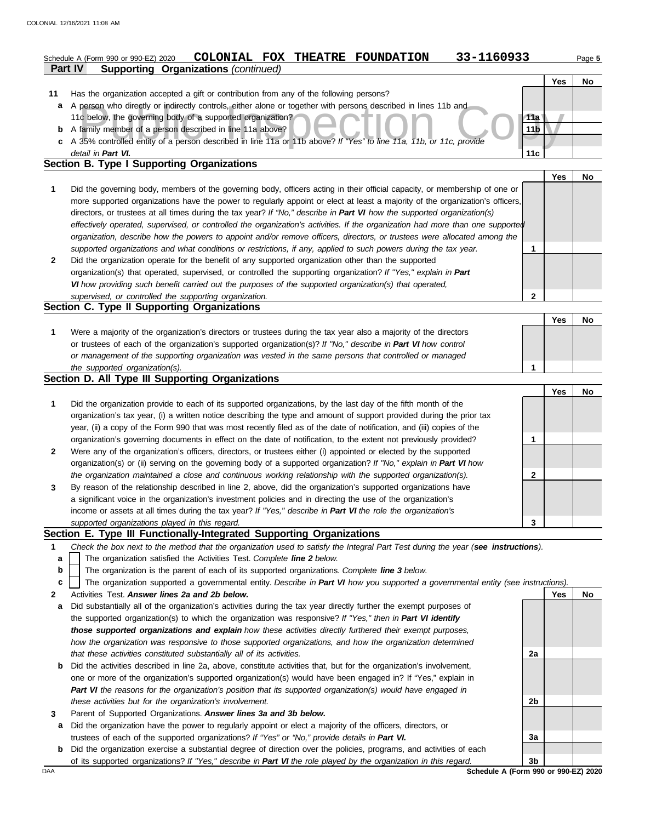## **Part IV Supporting Organizations** *(continued)* Schedule A (Form 990 or 990-EZ) 2020 **COLONIAL FOX THEATRE FOUNDATION** 33-1160933 Page 5

|   |                                                                                                                      |                 | <b>Yes</b> | No |
|---|----------------------------------------------------------------------------------------------------------------------|-----------------|------------|----|
|   | Has the organization accepted a gift or contribution from any of the following persons?                              |                 |            |    |
| a | A person who directly or indirectly controls, either alone or together with persons described in lines 11b and       |                 |            |    |
|   | 11c below, the governing body of a supported organization?                                                           | 11a             |            |    |
| b | A family member of a person described in line 11a above?                                                             | 11 <sub>b</sub> |            |    |
|   | c A 35% controlled entity of a person described in line 11a or 11b above? If "Yes" to line 11a, 11b, or 11c, provide |                 |            |    |
|   | detail in Part VI.                                                                                                   | 11c             |            |    |
|   | Section B. Type I Supporting Organizations                                                                           |                 |            |    |

|   |                                                                                                                                                                                                                                                                                                                                                                                                                                                                                                                                                                                                                                                      | Yes | No. |
|---|------------------------------------------------------------------------------------------------------------------------------------------------------------------------------------------------------------------------------------------------------------------------------------------------------------------------------------------------------------------------------------------------------------------------------------------------------------------------------------------------------------------------------------------------------------------------------------------------------------------------------------------------------|-----|-----|
|   | Did the governing body, members of the governing body, officers acting in their official capacity, or membership of one or<br>more supported organizations have the power to regularly appoint or elect at least a majority of the organization's officers,<br>directors, or trustees at all times during the tax year? If "No," describe in Part VI how the supported organization(s)<br>effectively operated, supervised, or controlled the organization's activities. If the organization had more than one supported<br>organization, describe how the powers to appoint and/or remove officers, directors, or trustees were allocated among the |     |     |
|   | supported organizations and what conditions or restrictions, if any, applied to such powers during the tax year.                                                                                                                                                                                                                                                                                                                                                                                                                                                                                                                                     |     |     |
| 2 | Did the organization operate for the benefit of any supported organization other than the supported<br>organization(s) that operated, supervised, or controlled the supporting organization? If "Yes," explain in Part<br>VI how providing such benefit carried out the purposes of the supported organization(s) that operated,                                                                                                                                                                                                                                                                                                                     |     |     |
|   | supervised, or controlled the supporting organization.                                                                                                                                                                                                                                                                                                                                                                                                                                                                                                                                                                                               |     |     |

|                                                                                                                                                                                                                                                                                                                                             | Yes |  |
|---------------------------------------------------------------------------------------------------------------------------------------------------------------------------------------------------------------------------------------------------------------------------------------------------------------------------------------------|-----|--|
| Were a majority of the organization's directors or trustees during the tax year also a majority of the directors<br>or trustees of each of the organization's supported organization(s)? If "No," describe in Part VI how control<br>or management of the supporting organization was vested in the same persons that controlled or managed |     |  |
| the supported organization(s).                                                                                                                                                                                                                                                                                                              |     |  |

### **Section D. All Type III Supporting Organizations**

|                |                                                                                                                        |   | Yes | No |
|----------------|------------------------------------------------------------------------------------------------------------------------|---|-----|----|
| 1              | Did the organization provide to each of its supported organizations, by the last day of the fifth month of the         |   |     |    |
|                | organization's tax year, (i) a written notice describing the type and amount of support provided during the prior tax  |   |     |    |
|                | year, (ii) a copy of the Form 990 that was most recently filed as of the date of notification, and (iii) copies of the |   |     |    |
|                | organization's governing documents in effect on the date of notification, to the extent not previously provided?       |   |     |    |
| $\overline{2}$ | Were any of the organization's officers, directors, or trustees either (i) appointed or elected by the supported       |   |     |    |
|                | organization(s) or (ii) serving on the governing body of a supported organization? If "No," explain in Part VI how     |   |     |    |
|                | the organization maintained a close and continuous working relationship with the supported organization(s).            | 2 |     |    |
| 3              | By reason of the relationship described in line 2, above, did the organization's supported organizations have          |   |     |    |
|                | a significant voice in the organization's investment policies and in directing the use of the organization's           |   |     |    |
|                | income or assets at all times during the tax year? If "Yes," describe in Part VI the role the organization's           |   |     |    |
|                | supported organizations played in this regard.                                                                         |   |     |    |

### **Section E. Type III Functionally-Integrated Supporting Organizations**

- **1** *Check the box next to the method that the organization used to satisfy the Integral Part Test during the year (see instructions).*
	- The organization satisfied the Activities Test. *Complete line 2 below.* **a**
	- The organization is the parent of each of its supported organizations. *Complete line 3 below.* **b**
	- The organization supported a governmental entity. *Describe in Part VI how you supported a governmental entity (see instructions).* **c**
- **2** Activities Test. *Answer lines 2a and 2b below.*
- **a** Did substantially all of the organization's activities during the tax year directly further the exempt purposes of the supported organization(s) to which the organization was responsive? *If "Yes," then in Part VI identify those supported organizations and explain how these activities directly furthered their exempt purposes, how the organization was responsive to those supported organizations, and how the organization determined that these activities constituted substantially all of its activities.*
- **b** Did the activities described in line 2a, above, constitute activities that, but for the organization's involvement, one or more of the organization's supported organization(s) would have been engaged in? If "Yes," explain in *Part VI the reasons for the organization's position that its supported organization(s) would have engaged in these activities but for the organization's involvement.*
- **3** Parent of Supported Organizations. *Answer lines 3a and 3b below.*
	- **a** Did the organization have the power to regularly appoint or elect a majority of the officers, directors, or trustees of each of the supported organizations? *If "Yes" or "No," provide details in Part VI.*
- **b** Did the organization exercise a substantial degree of direction over the policies, programs, and activities of each of its supported organizations? *If "Yes," describe in Part VI the role played by the organization in this regard.*

**Yes No 2a 2b 3a 3b**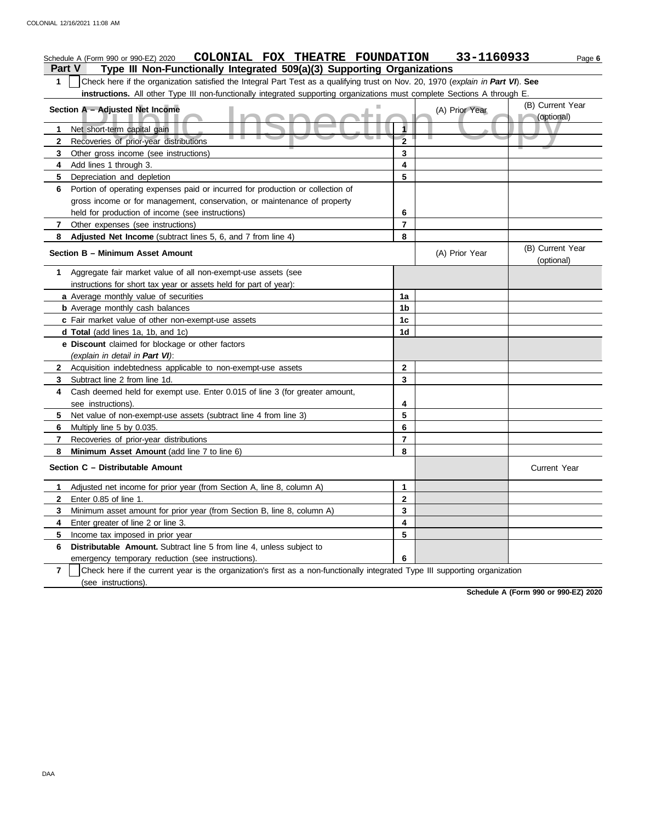|                | COLONIAL FOX THEATRE FOUNDATION<br>Schedule A (Form 990 or 990-EZ) 2020                                                          |                         | 33-1160933     | Page 6                         |
|----------------|----------------------------------------------------------------------------------------------------------------------------------|-------------------------|----------------|--------------------------------|
| <b>Part V</b>  | Type III Non-Functionally Integrated 509(a)(3) Supporting Organizations                                                          |                         |                |                                |
| $\mathbf 1$    | Check here if the organization satisfied the Integral Part Test as a qualifying trust on Nov. 20, 1970 (explain in Part VI). See |                         |                |                                |
|                | instructions. All other Type III non-functionally integrated supporting organizations must complete Sections A through E         |                         |                |                                |
|                | Section A - Adjusted Net Income                                                                                                  |                         | (A) Prior Year | (B) Current Year<br>(optional) |
| 1              | Net short-term capital gain                                                                                                      | 1                       |                |                                |
| $\mathbf{2}$   | Recoveries of prior-year distributions                                                                                           | $\overline{\mathbf{2}}$ |                |                                |
| 3              | Other gross income (see instructions)                                                                                            | 3                       |                |                                |
| 4              | Add lines 1 through 3.                                                                                                           | 4                       |                |                                |
| 5              | Depreciation and depletion                                                                                                       | 5                       |                |                                |
| 6              | Portion of operating expenses paid or incurred for production or collection of                                                   |                         |                |                                |
|                | gross income or for management, conservation, or maintenance of property                                                         |                         |                |                                |
|                | held for production of income (see instructions)                                                                                 | 6                       |                |                                |
| $\mathbf{7}$   | Other expenses (see instructions)                                                                                                | $\overline{7}$          |                |                                |
| 8              | Adjusted Net Income (subtract lines 5, 6, and 7 from line 4)                                                                     | 8                       |                |                                |
|                | Section B - Minimum Asset Amount                                                                                                 |                         | (A) Prior Year | (B) Current Year<br>(optional) |
| 1              | Aggregate fair market value of all non-exempt-use assets (see                                                                    |                         |                |                                |
|                | instructions for short tax year or assets held for part of year):                                                                |                         |                |                                |
|                | a Average monthly value of securities                                                                                            | 1a                      |                |                                |
|                | <b>b</b> Average monthly cash balances                                                                                           | 1b                      |                |                                |
|                | c Fair market value of other non-exempt-use assets                                                                               | 1 <sub>c</sub>          |                |                                |
|                | d Total (add lines 1a, 1b, and 1c)                                                                                               | 1d                      |                |                                |
|                | e Discount claimed for blockage or other factors                                                                                 |                         |                |                                |
|                | (explain in detail in Part VI):                                                                                                  |                         |                |                                |
| $\mathbf{2}$   | Acquisition indebtedness applicable to non-exempt-use assets                                                                     | 2                       |                |                                |
| 3              | Subtract line 2 from line 1d.                                                                                                    | 3                       |                |                                |
| 4              | Cash deemed held for exempt use. Enter 0.015 of line 3 (for greater amount,                                                      |                         |                |                                |
|                | see instructions).                                                                                                               | 4                       |                |                                |
| 5              | Net value of non-exempt-use assets (subtract line 4 from line 3)                                                                 | 5                       |                |                                |
| 6              | Multiply line 5 by 0.035.                                                                                                        | 6                       |                |                                |
| $\overline{7}$ | Recoveries of prior-year distributions                                                                                           | $\overline{7}$          |                |                                |
| 8              | Minimum Asset Amount (add line 7 to line 6)                                                                                      | 8                       |                |                                |
|                | Section C - Distributable Amount                                                                                                 |                         |                | <b>Current Year</b>            |
| 1              | Adjusted net income for prior year (from Section A, line 8, column A)                                                            | 1                       |                |                                |
| 2              | Enter 0.85 of line 1.                                                                                                            | 2                       |                |                                |
| 3              | Minimum asset amount for prior year (from Section B, line 8, column A)                                                           | 3                       |                |                                |
| 4              | Enter greater of line 2 or line 3.                                                                                               | 4                       |                |                                |
| 5              | Income tax imposed in prior year                                                                                                 | 5                       |                |                                |
| 6              | Distributable Amount. Subtract line 5 from line 4, unless subject to                                                             |                         |                |                                |
|                | emergency temporary reduction (see instructions).                                                                                | 6                       |                |                                |
| $\overline{7}$ | Check here if the current year is the organization's first as a non-functionally integrated Type III supporting organization     |                         |                |                                |
|                | (see instructions).                                                                                                              |                         |                |                                |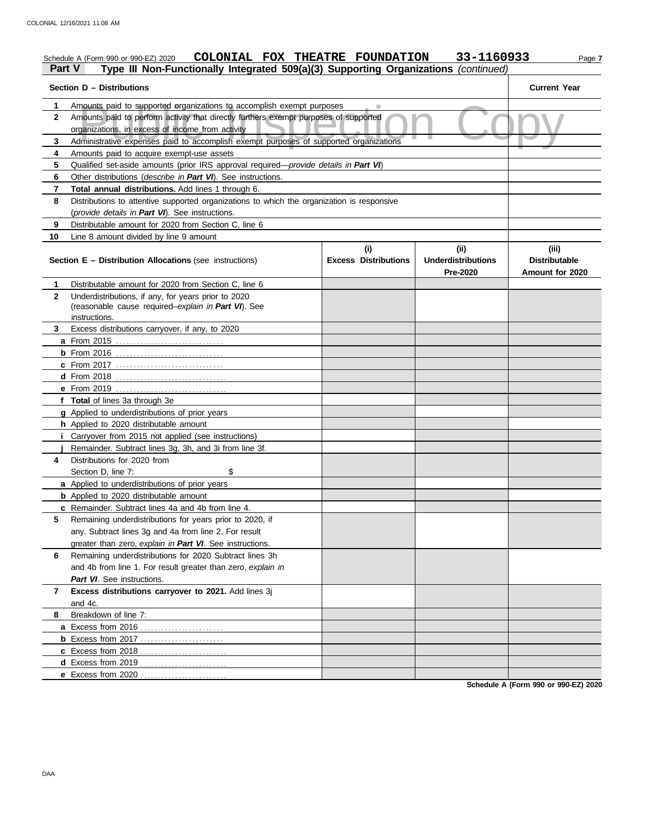#### Amounts paid to supported organizations to accomplish exempt purposes<br>Amounts paid to perform activity that directly furthers exempt purposes of supported<br>Organizations, in excess of income from activity<br>Administrative exp Schedule A (Form 990 or 990-EZ) 2020 **COLONIAL FOX THEATRE FOUNDATION** 33-1160933 Page 7 **Part V Type III Non-Functionally Integrated 509(a)(3) Supporting Organizations** *(continued)* **Section D – Distributions Current Year 1 2 3 4 5 6 7 8 9 10** Amounts paid to supported organizations to accomplish exempt purposes Amounts paid to perform activity that directly furthers exempt purposes of supported organizations, in excess of income from activity Amounts paid to acquire exempt-use assets Qualified set-aside amounts (prior IRS approval required—*provide details in Part VI*) Other distributions (*describe in Part VI*). See instructions. **Total annual distributions.** Add lines 1 through 6. Distributions to attentive supported organizations to which the organization is responsive (*provide details in Part VI*). See instructions. Distributable amount for 2020 from Section C, line 6 Line 8 amount divided by line 9 amount **Section E – Distribution Allocations** (see instructions) **Excess Distributions (i) (ii) Underdistributions Pre-2020 (iii) Distributable Amount for 2020 8** Breakdown of line 7: **7 Excess distributions carryover to 2021.** Add lines 3j **6** Remaining underdistributions for 2020 Subtract lines 3h **5 4** Distributions for 2020 from **3** Excess distributions carryover, if any, to 2020 **2 1 a** From 2015 . . . . . . . . . . . . . . . . . . . . . . . . . . . . . . . **b** From 2016 . . . . . . . . . . . . . . . . . . . . . . . . . . . . . . . **c** From 2017 . . . . . . . . . . . . . . . . . . . . . . . . . . . . . . . **d** From 2018 . . . . . . . . . . . . . . . . . . . . . . . . . . . . . . . . **e** From 2019 . . . . . . . . . . . . . . . . . . . . . . . . . . . . . . . . **f Total** of lines 3a through 3e **g** Applied to underdistributions of prior years **h** Applied to 2020 distributable amount **i** Carryover from 2015 not applied (see instructions) **j** Remainder. Subtract lines 3g, 3h, and 3i from line 3f. **a** Applied to underdistributions of prior years **b** Applied to 2020 distributable amount **c** Remainder. Subtract lines 4a and 4b from line 4. **a** Excess from 2016 . . . . . . . . . . . . . . . . . . . . . . . . **b** Excess from 2017 . . . . . . . . . . . . . . . . . . . . . . . . **c** Excess from 2018 . . . . . . . . . . . . . . . . . . . . . . . . . **d** Excess from 2019 . . . . . . . . . . . . . . . . . . . . . . . . . **e** Excess from 2020 . . . . . . . . . . . . . . . . . . . . . . . . . Distributable amount for 2020 from Section C, line 6 Underdistributions, if any, for years prior to 2020 (reasonable cause required–*explain in Part VI*). See Section D, line 7: \$ Remaining underdistributions for years prior to 2020, if any. Subtract lines 3g and 4a from line 2. For result greater than zero, *explain in Part VI*. See instructions. and 4b from line 1. For result greater than zero, *explain in Part VI*. See instructions. and 4c. instructions.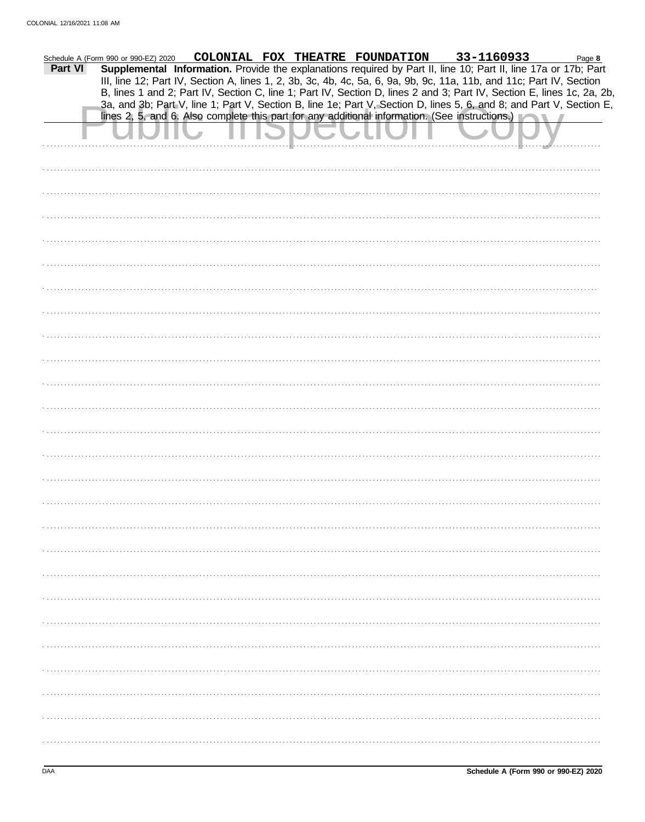| Part VI | Schedule A (Form 990 or 990-EZ) 2020 |  | COLONIAL FOX THEATRE FOUNDATION 33-1160933<br>Supplemental Information. Provide the explanations required by Part II, line 10; Part II, line 17a or 17b; Part<br>III, line 12; Part IV, Section A, lines 1, 2, 3b, 3c, 4b, 4c, 5a, 6, 9a, 9b, 9c, 11a, 11b, and 11c; Part IV, Section                                                            | Page 8 |
|---------|--------------------------------------|--|--------------------------------------------------------------------------------------------------------------------------------------------------------------------------------------------------------------------------------------------------------------------------------------------------------------------------------------------------|--------|
|         |                                      |  | B, lines 1 and 2; Part IV, Section C, line 1; Part IV, Section D, lines 2 and 3; Part IV, Section E, lines 1c, 2a, 2b,<br>3a, and 3b; Part V, line 1; Part V, Section B, line 1e; Part V, Section D, lines 5, 6, and 8; and Part V, Section E,<br>lines 2, 5, and 6. Also complete this part for any additional information. (See instructions.) |        |
|         |                                      |  |                                                                                                                                                                                                                                                                                                                                                  |        |
|         |                                      |  |                                                                                                                                                                                                                                                                                                                                                  |        |
|         |                                      |  |                                                                                                                                                                                                                                                                                                                                                  |        |
|         |                                      |  |                                                                                                                                                                                                                                                                                                                                                  |        |
|         |                                      |  |                                                                                                                                                                                                                                                                                                                                                  |        |
|         |                                      |  |                                                                                                                                                                                                                                                                                                                                                  |        |
|         |                                      |  |                                                                                                                                                                                                                                                                                                                                                  |        |
|         |                                      |  |                                                                                                                                                                                                                                                                                                                                                  |        |
|         |                                      |  |                                                                                                                                                                                                                                                                                                                                                  |        |
|         |                                      |  |                                                                                                                                                                                                                                                                                                                                                  |        |
|         |                                      |  |                                                                                                                                                                                                                                                                                                                                                  |        |
|         |                                      |  |                                                                                                                                                                                                                                                                                                                                                  |        |
|         |                                      |  |                                                                                                                                                                                                                                                                                                                                                  |        |
|         |                                      |  |                                                                                                                                                                                                                                                                                                                                                  |        |
|         |                                      |  |                                                                                                                                                                                                                                                                                                                                                  |        |
|         |                                      |  |                                                                                                                                                                                                                                                                                                                                                  |        |
|         |                                      |  |                                                                                                                                                                                                                                                                                                                                                  |        |
|         |                                      |  |                                                                                                                                                                                                                                                                                                                                                  |        |
|         |                                      |  |                                                                                                                                                                                                                                                                                                                                                  |        |
|         |                                      |  |                                                                                                                                                                                                                                                                                                                                                  |        |
|         |                                      |  |                                                                                                                                                                                                                                                                                                                                                  |        |
|         |                                      |  |                                                                                                                                                                                                                                                                                                                                                  |        |
|         |                                      |  |                                                                                                                                                                                                                                                                                                                                                  |        |
|         |                                      |  |                                                                                                                                                                                                                                                                                                                                                  |        |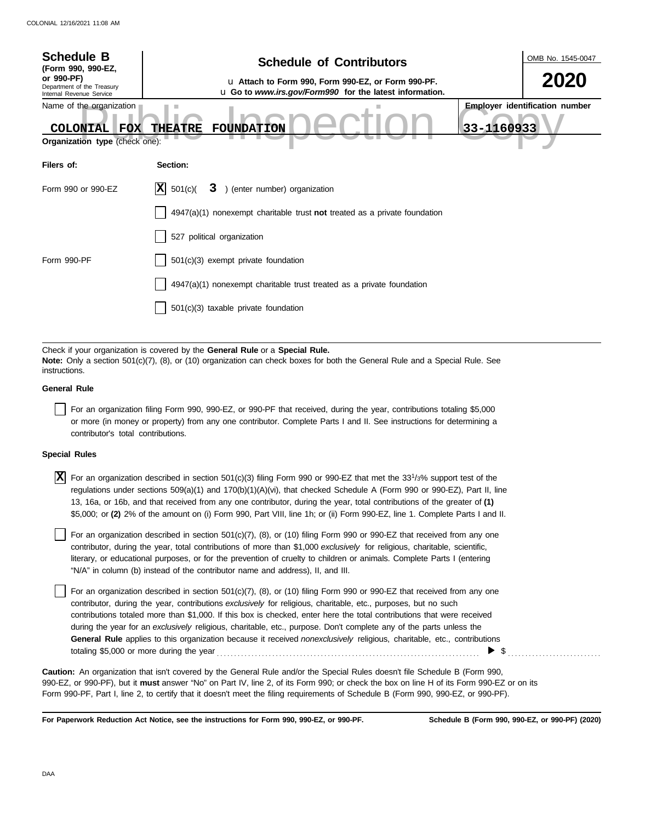| <b>Schedule B</b><br>(Form 990, 990-EZ,<br>or 990-PF)                                       | <b>Schedule of Contributors</b><br>u Attach to Form 990, Form 990-EZ, or Form 990-PF.                                                                                                                       | OMB No. 1545-0047<br>2020             |
|---------------------------------------------------------------------------------------------|-------------------------------------------------------------------------------------------------------------------------------------------------------------------------------------------------------------|---------------------------------------|
| Department of the Treasury<br>Internal Revenue Service                                      | u Go to www.irs.gov/Form990 for the latest information.                                                                                                                                                     |                                       |
| Name of the organization<br><b>COLONIAL</b><br><b>FOX</b><br>Organization type (check one): | 33-1160933<br><b>THEATRE</b><br><b>FOUNDATION</b>                                                                                                                                                           | <b>Employer identification number</b> |
| Filers of:                                                                                  | Section:                                                                                                                                                                                                    |                                       |
| Form 990 or 990-EZ                                                                          | X <br>3 ) (enter number) organization<br>501(c)                                                                                                                                                             |                                       |
|                                                                                             | $4947(a)(1)$ nonexempt charitable trust <b>not</b> treated as a private foundation                                                                                                                          |                                       |
|                                                                                             | 527 political organization                                                                                                                                                                                  |                                       |
| Form 990-PF                                                                                 | 501(c)(3) exempt private foundation                                                                                                                                                                         |                                       |
|                                                                                             | 4947(a)(1) nonexempt charitable trust treated as a private foundation                                                                                                                                       |                                       |
|                                                                                             | 501(c)(3) taxable private foundation                                                                                                                                                                        |                                       |
|                                                                                             |                                                                                                                                                                                                             |                                       |
| instructions.                                                                               | Check if your organization is covered by the General Rule or a Special Rule.<br>Note: Only a section 501(c)(7), (8), or (10) organization can check boxes for both the General Rule and a Special Rule. See |                                       |
| <b>General Rule</b>                                                                         |                                                                                                                                                                                                             |                                       |
|                                                                                             | Ear an erganization filing Ferm 000, 000 FZ, or 000 PF that resolved during the vear, contributions totaling \$5,000                                                                                        |                                       |

For an organization filing Form 990, 990-EZ, or 990-PF that received, during the year, contributions totaling \$5,000 or more (in money or property) from any one contributor. Complete Parts I and II. See instructions for determining a contributor's total contributions.

#### **Special Rules**

 $\overline{X}$  For an organization described in section 501(c)(3) filing Form 990 or 990-EZ that met the 33<sup>1</sup>/3% support test of the regulations under sections 509(a)(1) and 170(b)(1)(A)(vi), that checked Schedule A (Form 990 or 990-EZ), Part II, line 13, 16a, or 16b, and that received from any one contributor, during the year, total contributions of the greater of **(1)** \$5,000; or **(2)** 2% of the amount on (i) Form 990, Part VIII, line 1h; or (ii) Form 990-EZ, line 1. Complete Parts I and II.

literary, or educational purposes, or for the prevention of cruelty to children or animals. Complete Parts I (entering For an organization described in section  $501(c)(7)$ ,  $(8)$ , or  $(10)$  filing Form 990 or 990-EZ that received from any one contributor, during the year, total contributions of more than \$1,000 *exclusively* for religious, charitable, scientific, "N/A" in column (b) instead of the contributor name and address), II, and III.

For an organization described in section 501(c)(7), (8), or (10) filing Form 990 or 990-EZ that received from any one contributor, during the year, contributions *exclusively* for religious, charitable, etc., purposes, but no such contributions totaled more than \$1,000. If this box is checked, enter here the total contributions that were received during the year for an *exclusively* religious, charitable, etc., purpose. Don't complete any of the parts unless the **General Rule** applies to this organization because it received *nonexclusively* religious, charitable, etc., contributions totaling \$5,000 or more during the year . . . . . . . . . . . . . . . . . . . . . . . . . . . . . . . . . . . . . . . . . . . . . . . . . . . . . . . . . . . . . . . . . . . . . . . . . . . .  $\blacktriangleright$  \$

990-EZ, or 990-PF), but it **must** answer "No" on Part IV, line 2, of its Form 990; or check the box on line H of its Form 990-EZ or on its Form 990-PF, Part I, line 2, to certify that it doesn't meet the filing requirements of Schedule B (Form 990, 990-EZ, or 990-PF). **Caution:** An organization that isn't covered by the General Rule and/or the Special Rules doesn't file Schedule B (Form 990,

**For Paperwork Reduction Act Notice, see the instructions for Form 990, 990-EZ, or 990-PF.**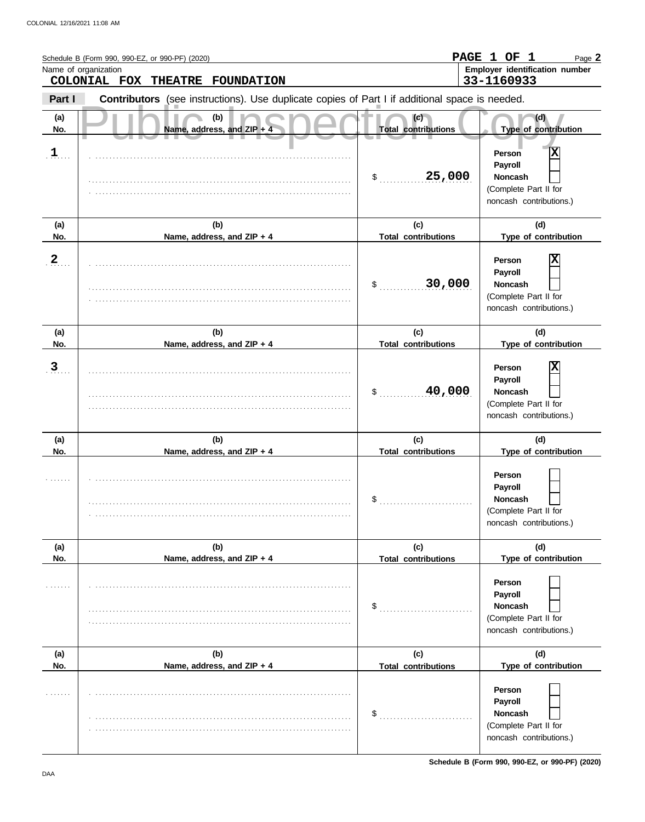|                   | Schedule B (Form 990, 990-EZ, or 990-PF) (2020)<br>Name of organization                        |                                   | PAGE 1 OF 1<br>Page 2<br>Employer identification number                                      |
|-------------------|------------------------------------------------------------------------------------------------|-----------------------------------|----------------------------------------------------------------------------------------------|
|                   | COLONIAL FOX THEATRE FOUNDATION                                                                |                                   | 33-1160933                                                                                   |
| Part I            | Contributors (see instructions). Use duplicate copies of Part I if additional space is needed. |                                   |                                                                                              |
| (a)<br>No.        | (b)<br>Name, address, and ZIP + 4                                                              | (c)<br><b>Total contributions</b> | (d)<br>Type of contribution                                                                  |
| $\mathbf{I}$      |                                                                                                | 25,000<br>\$                      | Χ<br>Person<br>Payroll<br><b>Noncash</b><br>(Complete Part II for<br>noncash contributions.) |
| (a)               | (b)                                                                                            | (c)                               | (d)                                                                                          |
| No.               | Name, address, and ZIP + 4                                                                     | <b>Total contributions</b>        | Type of contribution                                                                         |
| $\frac{2}{\cdot}$ |                                                                                                | 30,000<br>\$                      | X<br>Person<br>Payroll<br><b>Noncash</b><br>(Complete Part II for<br>noncash contributions.) |
| (a)               | (b)                                                                                            | (c)                               | (d)                                                                                          |
| No.               | Name, address, and ZIP + 4                                                                     | <b>Total contributions</b>        | Type of contribution                                                                         |
| $\overline{3}$    |                                                                                                | 40,000<br>\$                      | Χ<br>Person<br>Payroll<br><b>Noncash</b><br>(Complete Part II for<br>noncash contributions.) |
| (a)               | (b)                                                                                            | (c)                               | (d)                                                                                          |
| No.               | Name, address, and ZIP + 4                                                                     | <b>Total contributions</b>        | Type of contribution                                                                         |
|                   |                                                                                                | \$                                | Person<br>Payroll<br>Noncash<br>(Complete Part II for<br>noncash contributions.)             |
| (a)               | (b)                                                                                            | (c)                               | (d)                                                                                          |
| No.               | Name, address, and ZIP + 4                                                                     | <b>Total contributions</b>        | Type of contribution                                                                         |
|                   |                                                                                                | \$                                | Person<br>Payroll<br>Noncash<br>(Complete Part II for<br>noncash contributions.)             |
| (a)               | (b)                                                                                            | (c)                               | (d)                                                                                          |
| No.               | Name, address, and ZIP + 4                                                                     | <b>Total contributions</b>        | Type of contribution                                                                         |
|                   |                                                                                                | \$                                | Person<br>Payroll<br>Noncash<br>(Complete Part II for<br>noncash contributions.)             |

**Schedule B (Form 990, 990-EZ, or 990-PF) (2020)**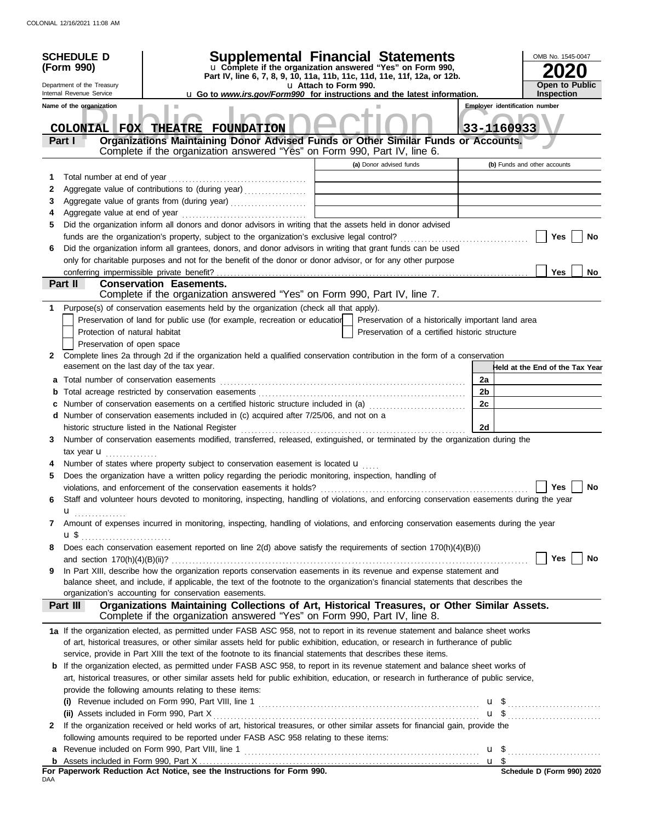|        | <b>SCHEDULE D</b><br>(Form 990)<br>Department of the Treasury                  | Supplemental Financial Statements<br>u Complete if the organization answered "Yes" on Form 990,<br>Part IV, line 6, 7, 8, 9, 10, 11a, 11b, 11c, 11d, 11e, 11f, 12a, or 12b. | u Attach to Form 990. |                                                    |    |            | OMB No. 1545-0047<br><b>Open to Public</b> |
|--------|--------------------------------------------------------------------------------|-----------------------------------------------------------------------------------------------------------------------------------------------------------------------------|-----------------------|----------------------------------------------------|----|------------|--------------------------------------------|
|        | Internal Revenue Service                                                       | <b>u</b> Go to <i>www.irs.gov/Form990</i> for instructions and the latest information.                                                                                      |                       |                                                    |    |            | <b>Inspection</b>                          |
|        | Name of the organization                                                       |                                                                                                                                                                             |                       |                                                    |    |            | <b>Employer identification number</b>      |
|        |                                                                                | COLONIAL FOX THEATRE FOUNDATION                                                                                                                                             |                       |                                                    |    | 33-1160933 |                                            |
|        | Part I                                                                         | Organizations Maintaining Donor Advised Funds or Other Similar Funds or Accounts.<br>Complete if the organization answered "Yes" on Form 990, Part IV, line 6.              |                       |                                                    |    |            |                                            |
|        |                                                                                |                                                                                                                                                                             |                       | (a) Donor advised funds                            |    |            |                                            |
|        |                                                                                |                                                                                                                                                                             |                       |                                                    |    |            | (b) Funds and other accounts               |
| 1      | Total number at end of year                                                    |                                                                                                                                                                             |                       |                                                    |    |            |                                            |
| 2<br>3 |                                                                                | Aggregate value of contributions to (during year)                                                                                                                           |                       |                                                    |    |            |                                            |
| 4      |                                                                                |                                                                                                                                                                             |                       |                                                    |    |            |                                            |
| 5      |                                                                                | Did the organization inform all donors and donor advisors in writing that the assets held in donor advised                                                                  |                       |                                                    |    |            |                                            |
|        |                                                                                |                                                                                                                                                                             |                       |                                                    |    |            | Yes<br><b>No</b>                           |
| 6      |                                                                                | Did the organization inform all grantees, donors, and donor advisors in writing that grant funds can be used                                                                |                       |                                                    |    |            |                                            |
|        |                                                                                | only for charitable purposes and not for the benefit of the donor or donor advisor, or for any other purpose                                                                |                       |                                                    |    |            |                                            |
|        |                                                                                |                                                                                                                                                                             |                       |                                                    |    |            | Yes<br><b>No</b>                           |
|        | Part II                                                                        | <b>Conservation Easements.</b><br>Complete if the organization answered "Yes" on Form 990, Part IV, line 7.                                                                 |                       |                                                    |    |            |                                            |
| 1      |                                                                                | Purpose(s) of conservation easements held by the organization (check all that apply).                                                                                       |                       |                                                    |    |            |                                            |
|        |                                                                                | Preservation of land for public use (for example, recreation or education                                                                                                   |                       | Preservation of a historically important land area |    |            |                                            |
|        | Protection of natural habitat                                                  |                                                                                                                                                                             |                       | Preservation of a certified historic structure     |    |            |                                            |
|        | Preservation of open space                                                     |                                                                                                                                                                             |                       |                                                    |    |            |                                            |
| 2      | easement on the last day of the tax year.                                      | Complete lines 2a through 2d if the organization held a qualified conservation contribution in the form of a conservation                                                   |                       |                                                    |    |            | Held at the End of the Tax Year            |
| a      | Total number of conservation easements                                         |                                                                                                                                                                             |                       |                                                    | 2a |            |                                            |
| b      |                                                                                |                                                                                                                                                                             |                       |                                                    | 2b |            |                                            |
| С      |                                                                                | Number of conservation easements on a certified historic structure included in (a)                                                                                          |                       |                                                    | 2c |            |                                            |
|        |                                                                                | d Number of conservation easements included in (c) acquired after 7/25/06, and not on a                                                                                     |                       |                                                    |    |            |                                            |
|        |                                                                                | historic structure listed in the National Register                                                                                                                          |                       |                                                    | 2d |            |                                            |
| 3      |                                                                                | Number of conservation easements modified, transferred, released, extinguished, or terminated by the organization during the                                                |                       |                                                    |    |            |                                            |
|        | tax year $\mathbf{u}$                                                          |                                                                                                                                                                             |                       |                                                    |    |            |                                            |
|        |                                                                                | Number of states where property subject to conservation easement is located u                                                                                               |                       |                                                    |    |            |                                            |
| 5      |                                                                                | Does the organization have a written policy regarding the periodic monitoring, inspection, handling of                                                                      |                       |                                                    |    |            |                                            |
|        |                                                                                | violations, and enforcement of the conservation easements it holds? $\Box$                                                                                                  |                       |                                                    |    |            | Yes $\boxed{\phantom{a}}$<br>No            |
| 6      |                                                                                | Staff and volunteer hours devoted to monitoring, inspecting, handling of violations, and enforcing conservation easements during the year                                   |                       |                                                    |    |            |                                            |
|        | u <sub></sub>                                                                  |                                                                                                                                                                             |                       |                                                    |    |            |                                            |
| 7      |                                                                                | Amount of expenses incurred in monitoring, inspecting, handling of violations, and enforcing conservation easements during the year                                         |                       |                                                    |    |            |                                            |
|        | $\mathbf{u}$ \$ $\ldots$ $\ldots$ $\ldots$ $\ldots$ $\ldots$ $\ldots$ $\ldots$ |                                                                                                                                                                             |                       |                                                    |    |            |                                            |
| 8      |                                                                                | Does each conservation easement reported on line 2(d) above satisfy the requirements of section 170(h)(4)(B)(i)                                                             |                       |                                                    |    |            |                                            |
|        |                                                                                |                                                                                                                                                                             |                       |                                                    |    |            | Yes  <br>No                                |
| 9      |                                                                                | In Part XIII, describe how the organization reports conservation easements in its revenue and expense statement and                                                         |                       |                                                    |    |            |                                            |
|        |                                                                                | balance sheet, and include, if applicable, the text of the footnote to the organization's financial statements that describes the                                           |                       |                                                    |    |            |                                            |
|        | Part III                                                                       | organization's accounting for conservation easements.<br>Organizations Maintaining Collections of Art, Historical Treasures, or Other Similar Assets.                       |                       |                                                    |    |            |                                            |
|        |                                                                                | Complete if the organization answered "Yes" on Form 990, Part IV, line 8.                                                                                                   |                       |                                                    |    |            |                                            |
|        |                                                                                | 1a If the organization elected, as permitted under FASB ASC 958, not to report in its revenue statement and balance sheet works                                             |                       |                                                    |    |            |                                            |
|        |                                                                                | of art, historical treasures, or other similar assets held for public exhibition, education, or research in furtherance of public                                           |                       |                                                    |    |            |                                            |
|        |                                                                                | service, provide in Part XIII the text of the footnote to its financial statements that describes these items.                                                              |                       |                                                    |    |            |                                            |
|        |                                                                                | <b>b</b> If the organization elected, as permitted under FASB ASC 958, to report in its revenue statement and balance sheet works of                                        |                       |                                                    |    |            |                                            |
|        |                                                                                | art, historical treasures, or other similar assets held for public exhibition, education, or research in furtherance of public service,                                     |                       |                                                    |    |            |                                            |
|        |                                                                                | provide the following amounts relating to these items:                                                                                                                      |                       |                                                    |    |            |                                            |
|        |                                                                                | (i) Revenue included on Form 990, Part VIII, line 1 $\ldots$ $\ldots$ $\ldots$ $\ldots$ $\ldots$ $\ldots$ $\ldots$ $\ldots$ $\ldots$ $\ldots$                               |                       |                                                    |    |            |                                            |
|        |                                                                                |                                                                                                                                                                             |                       |                                                    |    |            | $\mathbf{u}$ \$                            |
| 2      |                                                                                | If the organization received or held works of art, historical treasures, or other similar assets for financial gain, provide the                                            |                       |                                                    |    |            |                                            |
|        |                                                                                | following amounts required to be reported under FASB ASC 958 relating to these items:                                                                                       |                       |                                                    |    |            |                                            |
| a      |                                                                                |                                                                                                                                                                             |                       |                                                    |    |            |                                            |
|        |                                                                                | For Paperwork Reduction Act Notice, see the Instructions for Form 990                                                                                                       |                       |                                                    |    |            | Schedule D (Form 990) 2020                 |

**For Paperwork Reduction Act Notice, see the Instructions for Form 990.**<br><sub>DAA</sub>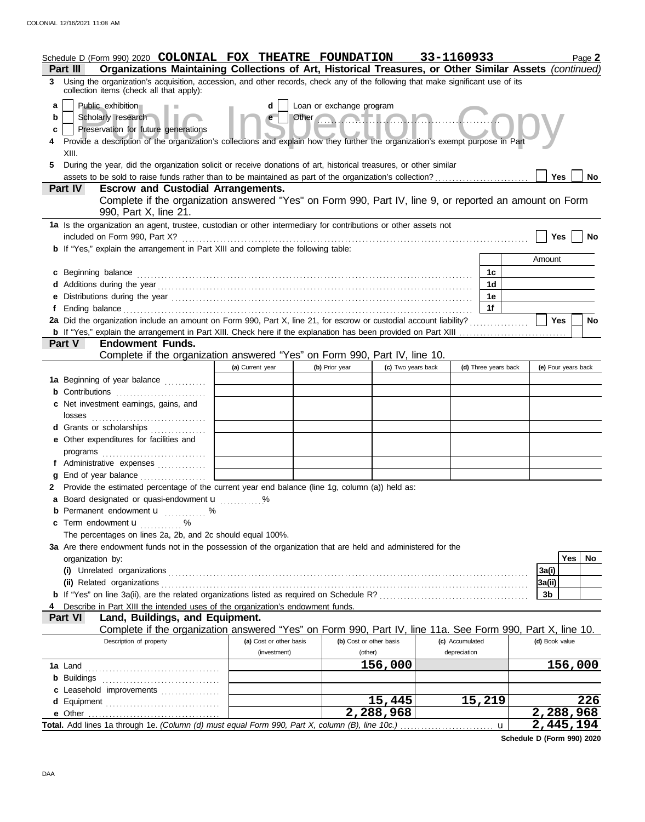|                  | Schedule D (Form 990) 2020 COLONIAL FOX THEATRE FOUNDATION<br>Organizations Maintaining Collections of Art, Historical Treasures, or Other Similar Assets (continued)<br>Part III                                                                                                                                                                                                                                                                                |                         |                                   |                     | 33-1160933      |                      |                | Page 2              |
|------------------|------------------------------------------------------------------------------------------------------------------------------------------------------------------------------------------------------------------------------------------------------------------------------------------------------------------------------------------------------------------------------------------------------------------------------------------------------------------|-------------------------|-----------------------------------|---------------------|-----------------|----------------------|----------------|---------------------|
|                  | 3 Using the organization's acquisition, accession, and other records, check any of the following that make significant use of its<br>collection items (check all that apply):                                                                                                                                                                                                                                                                                    |                         |                                   |                     |                 |                      |                |                     |
| a<br>b<br>c<br>5 | Public exhibition<br>Scholarly research<br>Preservation for future generations<br>Provide a description of the organization's collections and explain how they further the organization's exempt purpose in Part<br>XIII.<br>During the year, did the organization solicit or receive donations of art, historical treasures, or other similar                                                                                                                   | d<br>$\mathbf{e}$       | Loan or exchange program<br>Other |                     |                 |                      |                |                     |
|                  |                                                                                                                                                                                                                                                                                                                                                                                                                                                                  |                         |                                   |                     |                 |                      | Yes            | <b>No</b>           |
|                  | Part IV<br><b>Escrow and Custodial Arrangements.</b><br>Complete if the organization answered "Yes" on Form 990, Part IV, line 9, or reported an amount on Form<br>990, Part X, line 21.                                                                                                                                                                                                                                                                         |                         |                                   |                     |                 |                      |                |                     |
|                  | 1a Is the organization an agent, trustee, custodian or other intermediary for contributions or other assets not<br>included on Form 990, Part X?                                                                                                                                                                                                                                                                                                                 |                         |                                   |                     |                 |                      | Yes            | No                  |
|                  | <b>b</b> If "Yes," explain the arrangement in Part XIII and complete the following table:                                                                                                                                                                                                                                                                                                                                                                        |                         |                                   |                     |                 |                      |                |                     |
|                  |                                                                                                                                                                                                                                                                                                                                                                                                                                                                  |                         |                                   |                     |                 |                      | Amount         |                     |
|                  | c Beginning balance                                                                                                                                                                                                                                                                                                                                                                                                                                              |                         |                                   |                     |                 | 1c                   |                |                     |
|                  |                                                                                                                                                                                                                                                                                                                                                                                                                                                                  |                         |                                   |                     |                 | 1d<br>1е             |                |                     |
| f                | e Distributions during the year manufactured contains and the year manufactured with the set of the set of the set of the set of the set of the set of the set of the set of the set of the set of the set of the set of the s<br>Ending balance contains and a series of the contact of the contact of the contact of the contact of the contact of the contact of the contact of the contact of the contact of the contact of the contact of the contact of th |                         |                                   |                     |                 | 1f                   |                |                     |
|                  | 2a Did the organization include an amount on Form 990, Part X, line 21, for escrow or custodial account liability?                                                                                                                                                                                                                                                                                                                                               |                         |                                   |                     |                 |                      | Yes            | No                  |
|                  |                                                                                                                                                                                                                                                                                                                                                                                                                                                                  |                         |                                   |                     |                 |                      |                |                     |
|                  | Part V<br><b>Endowment Funds.</b>                                                                                                                                                                                                                                                                                                                                                                                                                                |                         |                                   |                     |                 |                      |                |                     |
|                  | Complete if the organization answered "Yes" on Form 990, Part IV, line 10.                                                                                                                                                                                                                                                                                                                                                                                       | (a) Current year        | (b) Prior year                    | (c) Two years back  |                 | (d) Three years back |                | (e) Four years back |
|                  | 1a Beginning of year balance                                                                                                                                                                                                                                                                                                                                                                                                                                     |                         |                                   |                     |                 |                      |                |                     |
|                  | <b>b</b> Contributions <b>contributions</b>                                                                                                                                                                                                                                                                                                                                                                                                                      |                         |                                   |                     |                 |                      |                |                     |
|                  | c Net investment earnings, gains, and<br>losses                                                                                                                                                                                                                                                                                                                                                                                                                  |                         |                                   |                     |                 |                      |                |                     |
|                  | d Grants or scholarships                                                                                                                                                                                                                                                                                                                                                                                                                                         |                         |                                   |                     |                 |                      |                |                     |
|                  | e Other expenditures for facilities and                                                                                                                                                                                                                                                                                                                                                                                                                          |                         |                                   |                     |                 |                      |                |                     |
|                  |                                                                                                                                                                                                                                                                                                                                                                                                                                                                  |                         |                                   |                     |                 |                      |                |                     |
|                  | f Administrative expenses                                                                                                                                                                                                                                                                                                                                                                                                                                        |                         |                                   |                     |                 |                      |                |                     |
|                  | g End of year balance<br>2 Provide the estimated percentage of the current year end balance (line 1g, column (a)) held as:                                                                                                                                                                                                                                                                                                                                       |                         |                                   |                     |                 |                      |                |                     |
|                  | a Board designated or quasi-endowment u %                                                                                                                                                                                                                                                                                                                                                                                                                        |                         |                                   |                     |                 |                      |                |                     |
|                  | <b>b</b> Permanent endowment <b>u</b> %                                                                                                                                                                                                                                                                                                                                                                                                                          |                         |                                   |                     |                 |                      |                |                     |
|                  | <b>c</b> Term endowment $\mathbf{u}$                                                                                                                                                                                                                                                                                                                                                                                                                             |                         |                                   |                     |                 |                      |                |                     |
|                  | The percentages on lines 2a, 2b, and 2c should equal 100%.                                                                                                                                                                                                                                                                                                                                                                                                       |                         |                                   |                     |                 |                      |                |                     |
|                  | 3a Are there endowment funds not in the possession of the organization that are held and administered for the                                                                                                                                                                                                                                                                                                                                                    |                         |                                   |                     |                 |                      |                | Yes  <br>No         |
|                  | organization by:                                                                                                                                                                                                                                                                                                                                                                                                                                                 |                         |                                   |                     |                 |                      | 3a(i)          |                     |
|                  | (ii) Related organizations                                                                                                                                                                                                                                                                                                                                                                                                                                       |                         |                                   |                     |                 |                      | 3a(ii)         |                     |
|                  |                                                                                                                                                                                                                                                                                                                                                                                                                                                                  |                         |                                   |                     |                 |                      | 3b             |                     |
|                  | Describe in Part XIII the intended uses of the organization's endowment funds.                                                                                                                                                                                                                                                                                                                                                                                   |                         |                                   |                     |                 |                      |                |                     |
|                  | <b>Part VI</b><br>Land, Buildings, and Equipment.                                                                                                                                                                                                                                                                                                                                                                                                                |                         |                                   |                     |                 |                      |                |                     |
|                  | Complete if the organization answered "Yes" on Form 990, Part IV, line 11a. See Form 990, Part X, line 10.<br>Description of property                                                                                                                                                                                                                                                                                                                            | (a) Cost or other basis | (b) Cost or other basis           |                     | (c) Accumulated |                      | (d) Book value |                     |
|                  |                                                                                                                                                                                                                                                                                                                                                                                                                                                                  | (investment)            | (other)                           |                     | depreciation    |                      |                |                     |
|                  |                                                                                                                                                                                                                                                                                                                                                                                                                                                                  |                         |                                   | 156,000             |                 |                      |                | 156,000             |
|                  |                                                                                                                                                                                                                                                                                                                                                                                                                                                                  |                         |                                   |                     |                 |                      |                |                     |
|                  | c Leasehold improvements                                                                                                                                                                                                                                                                                                                                                                                                                                         |                         |                                   |                     |                 |                      |                |                     |
|                  |                                                                                                                                                                                                                                                                                                                                                                                                                                                                  |                         |                                   | 15,445<br>2,288,968 |                 | 15,219               |                | 226<br>2,288,968    |
|                  |                                                                                                                                                                                                                                                                                                                                                                                                                                                                  |                         |                                   |                     |                 | u                    |                | 2,445,194           |

**Schedule D (Form 990) 2020**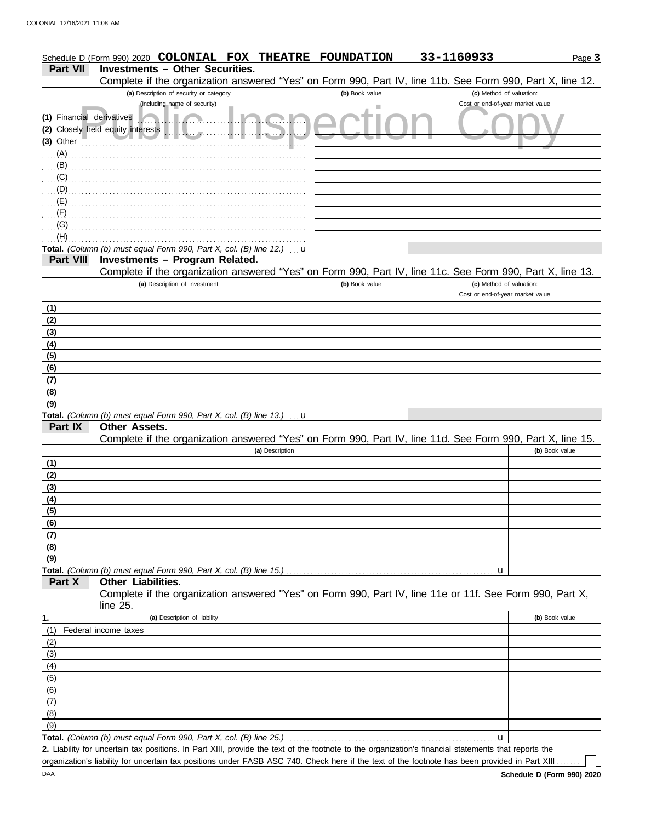| <b>Part VII</b><br>Complete if the organization answered "Yes" on Form 990, Part IV, line 11b. See Form 990, Part X, line 12.<br>(a) Description of security or category<br>(b) Book value<br>(c) Method of valuation:<br>(including name of security)<br>Cost or end-of-year market value<br>٠<br>(1) Financial derivatives<br>(2) Closely held equity interests<br>(3) Other<br>$\ldots$ (A).<br>$\mathbf{B}$ (B) $\mathbf{B}$ . $\mathbf{B}$ . $\mathbf{B}$ . $\mathbf{B}$ . $\mathbf{B}$ . $\mathbf{B}$ . $\mathbf{B}$ . $\mathbf{B}$ . $\mathbf{B}$ . $\mathbf{B}$ . $\mathbf{B}$ . $\mathbf{B}$ . $\mathbf{B}$ . $\mathbf{B}$ . $\mathbf{B}$ . $\mathbf{B}$ . $\mathbf{B}$ . $\mathbf{B}$ . $\mathbf{B}$ .<br>$\ldots$ (C) $\ldots$<br>. (D)<br>$\mathcal{L}(\mathsf{E})$<br>$\overline{\mathcal{F}}$ (F)<br>$\overline{\mathcal{L}}(G)$<br>(H)<br>Total. (Column (b) must equal Form 990, Part X, col. (B) line 12.) $\mathbf{u}$<br><b>Investments - Program Related.</b><br><b>Part VIII</b><br>Complete if the organization answered "Yes" on Form 990, Part IV, line 11c. See Form 990, Part X, line 13.<br>(a) Description of investment<br>(c) Method of valuation:<br>(b) Book value<br>Cost or end-of-year market value<br>(1)<br>$\frac{(2)}{(3)}$<br>(4)<br>(5)<br>(6)<br>(7)<br>(8)<br>(9)<br>Total. (Column (b) must equal Form 990, Part X, col. (B) line 13.)<br>u<br>Part IX<br>Other Assets.<br>Complete if the organization answered "Yes" on Form 990, Part IV, line 11d. See Form 990, Part X, line 15.<br>(a) Description<br>(1)<br>(2)<br>(3)<br>(4)<br>(5)<br>(6)<br>(7)<br>(8)<br>(9)<br>Total. (Column (b) must equal Form 990, Part X, col. (B) line 15.)<br>u<br><b>Other Liabilities.</b><br>Part X<br>Complete if the organization answered "Yes" on Form 990, Part IV, line 11e or 11f. See Form 990, Part X,<br>line 25.<br>(a) Description of liability<br>(b) Book value<br>1.<br>(1)<br>Federal income taxes<br>(2)<br>(3) | Schedule D (Form 990) 2020 COLONIAL FOX | THEATRE FOUNDATION | 33-1160933 | Page 3         |
|--------------------------------------------------------------------------------------------------------------------------------------------------------------------------------------------------------------------------------------------------------------------------------------------------------------------------------------------------------------------------------------------------------------------------------------------------------------------------------------------------------------------------------------------------------------------------------------------------------------------------------------------------------------------------------------------------------------------------------------------------------------------------------------------------------------------------------------------------------------------------------------------------------------------------------------------------------------------------------------------------------------------------------------------------------------------------------------------------------------------------------------------------------------------------------------------------------------------------------------------------------------------------------------------------------------------------------------------------------------------------------------------------------------------------------------------------------------------------------------------------------------------------------------------------------------------------------------------------------------------------------------------------------------------------------------------------------------------------------------------------------------------------------------------------------------------------------------------------------------------------------------------------------------------------------------------------------------------|-----------------------------------------|--------------------|------------|----------------|
|                                                                                                                                                                                                                                                                                                                                                                                                                                                                                                                                                                                                                                                                                                                                                                                                                                                                                                                                                                                                                                                                                                                                                                                                                                                                                                                                                                                                                                                                                                                                                                                                                                                                                                                                                                                                                                                                                                                                                                    | <b>Investments - Other Securities.</b>  |                    |            |                |
|                                                                                                                                                                                                                                                                                                                                                                                                                                                                                                                                                                                                                                                                                                                                                                                                                                                                                                                                                                                                                                                                                                                                                                                                                                                                                                                                                                                                                                                                                                                                                                                                                                                                                                                                                                                                                                                                                                                                                                    |                                         |                    |            |                |
|                                                                                                                                                                                                                                                                                                                                                                                                                                                                                                                                                                                                                                                                                                                                                                                                                                                                                                                                                                                                                                                                                                                                                                                                                                                                                                                                                                                                                                                                                                                                                                                                                                                                                                                                                                                                                                                                                                                                                                    |                                         |                    |            |                |
|                                                                                                                                                                                                                                                                                                                                                                                                                                                                                                                                                                                                                                                                                                                                                                                                                                                                                                                                                                                                                                                                                                                                                                                                                                                                                                                                                                                                                                                                                                                                                                                                                                                                                                                                                                                                                                                                                                                                                                    |                                         |                    |            |                |
|                                                                                                                                                                                                                                                                                                                                                                                                                                                                                                                                                                                                                                                                                                                                                                                                                                                                                                                                                                                                                                                                                                                                                                                                                                                                                                                                                                                                                                                                                                                                                                                                                                                                                                                                                                                                                                                                                                                                                                    |                                         |                    |            |                |
|                                                                                                                                                                                                                                                                                                                                                                                                                                                                                                                                                                                                                                                                                                                                                                                                                                                                                                                                                                                                                                                                                                                                                                                                                                                                                                                                                                                                                                                                                                                                                                                                                                                                                                                                                                                                                                                                                                                                                                    |                                         |                    |            |                |
|                                                                                                                                                                                                                                                                                                                                                                                                                                                                                                                                                                                                                                                                                                                                                                                                                                                                                                                                                                                                                                                                                                                                                                                                                                                                                                                                                                                                                                                                                                                                                                                                                                                                                                                                                                                                                                                                                                                                                                    |                                         |                    |            |                |
|                                                                                                                                                                                                                                                                                                                                                                                                                                                                                                                                                                                                                                                                                                                                                                                                                                                                                                                                                                                                                                                                                                                                                                                                                                                                                                                                                                                                                                                                                                                                                                                                                                                                                                                                                                                                                                                                                                                                                                    |                                         |                    |            |                |
|                                                                                                                                                                                                                                                                                                                                                                                                                                                                                                                                                                                                                                                                                                                                                                                                                                                                                                                                                                                                                                                                                                                                                                                                                                                                                                                                                                                                                                                                                                                                                                                                                                                                                                                                                                                                                                                                                                                                                                    |                                         |                    |            |                |
|                                                                                                                                                                                                                                                                                                                                                                                                                                                                                                                                                                                                                                                                                                                                                                                                                                                                                                                                                                                                                                                                                                                                                                                                                                                                                                                                                                                                                                                                                                                                                                                                                                                                                                                                                                                                                                                                                                                                                                    |                                         |                    |            |                |
|                                                                                                                                                                                                                                                                                                                                                                                                                                                                                                                                                                                                                                                                                                                                                                                                                                                                                                                                                                                                                                                                                                                                                                                                                                                                                                                                                                                                                                                                                                                                                                                                                                                                                                                                                                                                                                                                                                                                                                    |                                         |                    |            |                |
|                                                                                                                                                                                                                                                                                                                                                                                                                                                                                                                                                                                                                                                                                                                                                                                                                                                                                                                                                                                                                                                                                                                                                                                                                                                                                                                                                                                                                                                                                                                                                                                                                                                                                                                                                                                                                                                                                                                                                                    |                                         |                    |            |                |
|                                                                                                                                                                                                                                                                                                                                                                                                                                                                                                                                                                                                                                                                                                                                                                                                                                                                                                                                                                                                                                                                                                                                                                                                                                                                                                                                                                                                                                                                                                                                                                                                                                                                                                                                                                                                                                                                                                                                                                    |                                         |                    |            |                |
|                                                                                                                                                                                                                                                                                                                                                                                                                                                                                                                                                                                                                                                                                                                                                                                                                                                                                                                                                                                                                                                                                                                                                                                                                                                                                                                                                                                                                                                                                                                                                                                                                                                                                                                                                                                                                                                                                                                                                                    |                                         |                    |            |                |
|                                                                                                                                                                                                                                                                                                                                                                                                                                                                                                                                                                                                                                                                                                                                                                                                                                                                                                                                                                                                                                                                                                                                                                                                                                                                                                                                                                                                                                                                                                                                                                                                                                                                                                                                                                                                                                                                                                                                                                    |                                         |                    |            |                |
|                                                                                                                                                                                                                                                                                                                                                                                                                                                                                                                                                                                                                                                                                                                                                                                                                                                                                                                                                                                                                                                                                                                                                                                                                                                                                                                                                                                                                                                                                                                                                                                                                                                                                                                                                                                                                                                                                                                                                                    |                                         |                    |            |                |
|                                                                                                                                                                                                                                                                                                                                                                                                                                                                                                                                                                                                                                                                                                                                                                                                                                                                                                                                                                                                                                                                                                                                                                                                                                                                                                                                                                                                                                                                                                                                                                                                                                                                                                                                                                                                                                                                                                                                                                    |                                         |                    |            |                |
|                                                                                                                                                                                                                                                                                                                                                                                                                                                                                                                                                                                                                                                                                                                                                                                                                                                                                                                                                                                                                                                                                                                                                                                                                                                                                                                                                                                                                                                                                                                                                                                                                                                                                                                                                                                                                                                                                                                                                                    |                                         |                    |            |                |
|                                                                                                                                                                                                                                                                                                                                                                                                                                                                                                                                                                                                                                                                                                                                                                                                                                                                                                                                                                                                                                                                                                                                                                                                                                                                                                                                                                                                                                                                                                                                                                                                                                                                                                                                                                                                                                                                                                                                                                    |                                         |                    |            |                |
|                                                                                                                                                                                                                                                                                                                                                                                                                                                                                                                                                                                                                                                                                                                                                                                                                                                                                                                                                                                                                                                                                                                                                                                                                                                                                                                                                                                                                                                                                                                                                                                                                                                                                                                                                                                                                                                                                                                                                                    |                                         |                    |            |                |
|                                                                                                                                                                                                                                                                                                                                                                                                                                                                                                                                                                                                                                                                                                                                                                                                                                                                                                                                                                                                                                                                                                                                                                                                                                                                                                                                                                                                                                                                                                                                                                                                                                                                                                                                                                                                                                                                                                                                                                    |                                         |                    |            |                |
|                                                                                                                                                                                                                                                                                                                                                                                                                                                                                                                                                                                                                                                                                                                                                                                                                                                                                                                                                                                                                                                                                                                                                                                                                                                                                                                                                                                                                                                                                                                                                                                                                                                                                                                                                                                                                                                                                                                                                                    |                                         |                    |            |                |
|                                                                                                                                                                                                                                                                                                                                                                                                                                                                                                                                                                                                                                                                                                                                                                                                                                                                                                                                                                                                                                                                                                                                                                                                                                                                                                                                                                                                                                                                                                                                                                                                                                                                                                                                                                                                                                                                                                                                                                    |                                         |                    |            |                |
|                                                                                                                                                                                                                                                                                                                                                                                                                                                                                                                                                                                                                                                                                                                                                                                                                                                                                                                                                                                                                                                                                                                                                                                                                                                                                                                                                                                                                                                                                                                                                                                                                                                                                                                                                                                                                                                                                                                                                                    |                                         |                    |            |                |
|                                                                                                                                                                                                                                                                                                                                                                                                                                                                                                                                                                                                                                                                                                                                                                                                                                                                                                                                                                                                                                                                                                                                                                                                                                                                                                                                                                                                                                                                                                                                                                                                                                                                                                                                                                                                                                                                                                                                                                    |                                         |                    |            |                |
|                                                                                                                                                                                                                                                                                                                                                                                                                                                                                                                                                                                                                                                                                                                                                                                                                                                                                                                                                                                                                                                                                                                                                                                                                                                                                                                                                                                                                                                                                                                                                                                                                                                                                                                                                                                                                                                                                                                                                                    |                                         |                    |            |                |
|                                                                                                                                                                                                                                                                                                                                                                                                                                                                                                                                                                                                                                                                                                                                                                                                                                                                                                                                                                                                                                                                                                                                                                                                                                                                                                                                                                                                                                                                                                                                                                                                                                                                                                                                                                                                                                                                                                                                                                    |                                         |                    |            |                |
|                                                                                                                                                                                                                                                                                                                                                                                                                                                                                                                                                                                                                                                                                                                                                                                                                                                                                                                                                                                                                                                                                                                                                                                                                                                                                                                                                                                                                                                                                                                                                                                                                                                                                                                                                                                                                                                                                                                                                                    |                                         |                    |            |                |
|                                                                                                                                                                                                                                                                                                                                                                                                                                                                                                                                                                                                                                                                                                                                                                                                                                                                                                                                                                                                                                                                                                                                                                                                                                                                                                                                                                                                                                                                                                                                                                                                                                                                                                                                                                                                                                                                                                                                                                    |                                         |                    |            |                |
|                                                                                                                                                                                                                                                                                                                                                                                                                                                                                                                                                                                                                                                                                                                                                                                                                                                                                                                                                                                                                                                                                                                                                                                                                                                                                                                                                                                                                                                                                                                                                                                                                                                                                                                                                                                                                                                                                                                                                                    |                                         |                    |            |                |
|                                                                                                                                                                                                                                                                                                                                                                                                                                                                                                                                                                                                                                                                                                                                                                                                                                                                                                                                                                                                                                                                                                                                                                                                                                                                                                                                                                                                                                                                                                                                                                                                                                                                                                                                                                                                                                                                                                                                                                    |                                         |                    |            |                |
|                                                                                                                                                                                                                                                                                                                                                                                                                                                                                                                                                                                                                                                                                                                                                                                                                                                                                                                                                                                                                                                                                                                                                                                                                                                                                                                                                                                                                                                                                                                                                                                                                                                                                                                                                                                                                                                                                                                                                                    |                                         |                    |            | (b) Book value |
|                                                                                                                                                                                                                                                                                                                                                                                                                                                                                                                                                                                                                                                                                                                                                                                                                                                                                                                                                                                                                                                                                                                                                                                                                                                                                                                                                                                                                                                                                                                                                                                                                                                                                                                                                                                                                                                                                                                                                                    |                                         |                    |            |                |
|                                                                                                                                                                                                                                                                                                                                                                                                                                                                                                                                                                                                                                                                                                                                                                                                                                                                                                                                                                                                                                                                                                                                                                                                                                                                                                                                                                                                                                                                                                                                                                                                                                                                                                                                                                                                                                                                                                                                                                    |                                         |                    |            |                |
|                                                                                                                                                                                                                                                                                                                                                                                                                                                                                                                                                                                                                                                                                                                                                                                                                                                                                                                                                                                                                                                                                                                                                                                                                                                                                                                                                                                                                                                                                                                                                                                                                                                                                                                                                                                                                                                                                                                                                                    |                                         |                    |            |                |
|                                                                                                                                                                                                                                                                                                                                                                                                                                                                                                                                                                                                                                                                                                                                                                                                                                                                                                                                                                                                                                                                                                                                                                                                                                                                                                                                                                                                                                                                                                                                                                                                                                                                                                                                                                                                                                                                                                                                                                    |                                         |                    |            |                |
|                                                                                                                                                                                                                                                                                                                                                                                                                                                                                                                                                                                                                                                                                                                                                                                                                                                                                                                                                                                                                                                                                                                                                                                                                                                                                                                                                                                                                                                                                                                                                                                                                                                                                                                                                                                                                                                                                                                                                                    |                                         |                    |            |                |
|                                                                                                                                                                                                                                                                                                                                                                                                                                                                                                                                                                                                                                                                                                                                                                                                                                                                                                                                                                                                                                                                                                                                                                                                                                                                                                                                                                                                                                                                                                                                                                                                                                                                                                                                                                                                                                                                                                                                                                    |                                         |                    |            |                |
|                                                                                                                                                                                                                                                                                                                                                                                                                                                                                                                                                                                                                                                                                                                                                                                                                                                                                                                                                                                                                                                                                                                                                                                                                                                                                                                                                                                                                                                                                                                                                                                                                                                                                                                                                                                                                                                                                                                                                                    |                                         |                    |            |                |
|                                                                                                                                                                                                                                                                                                                                                                                                                                                                                                                                                                                                                                                                                                                                                                                                                                                                                                                                                                                                                                                                                                                                                                                                                                                                                                                                                                                                                                                                                                                                                                                                                                                                                                                                                                                                                                                                                                                                                                    |                                         |                    |            |                |
|                                                                                                                                                                                                                                                                                                                                                                                                                                                                                                                                                                                                                                                                                                                                                                                                                                                                                                                                                                                                                                                                                                                                                                                                                                                                                                                                                                                                                                                                                                                                                                                                                                                                                                                                                                                                                                                                                                                                                                    |                                         |                    |            |                |
|                                                                                                                                                                                                                                                                                                                                                                                                                                                                                                                                                                                                                                                                                                                                                                                                                                                                                                                                                                                                                                                                                                                                                                                                                                                                                                                                                                                                                                                                                                                                                                                                                                                                                                                                                                                                                                                                                                                                                                    |                                         |                    |            |                |
|                                                                                                                                                                                                                                                                                                                                                                                                                                                                                                                                                                                                                                                                                                                                                                                                                                                                                                                                                                                                                                                                                                                                                                                                                                                                                                                                                                                                                                                                                                                                                                                                                                                                                                                                                                                                                                                                                                                                                                    |                                         |                    |            |                |
|                                                                                                                                                                                                                                                                                                                                                                                                                                                                                                                                                                                                                                                                                                                                                                                                                                                                                                                                                                                                                                                                                                                                                                                                                                                                                                                                                                                                                                                                                                                                                                                                                                                                                                                                                                                                                                                                                                                                                                    |                                         |                    |            |                |
|                                                                                                                                                                                                                                                                                                                                                                                                                                                                                                                                                                                                                                                                                                                                                                                                                                                                                                                                                                                                                                                                                                                                                                                                                                                                                                                                                                                                                                                                                                                                                                                                                                                                                                                                                                                                                                                                                                                                                                    |                                         |                    |            |                |
|                                                                                                                                                                                                                                                                                                                                                                                                                                                                                                                                                                                                                                                                                                                                                                                                                                                                                                                                                                                                                                                                                                                                                                                                                                                                                                                                                                                                                                                                                                                                                                                                                                                                                                                                                                                                                                                                                                                                                                    |                                         |                    |            |                |
|                                                                                                                                                                                                                                                                                                                                                                                                                                                                                                                                                                                                                                                                                                                                                                                                                                                                                                                                                                                                                                                                                                                                                                                                                                                                                                                                                                                                                                                                                                                                                                                                                                                                                                                                                                                                                                                                                                                                                                    |                                         |                    |            |                |
|                                                                                                                                                                                                                                                                                                                                                                                                                                                                                                                                                                                                                                                                                                                                                                                                                                                                                                                                                                                                                                                                                                                                                                                                                                                                                                                                                                                                                                                                                                                                                                                                                                                                                                                                                                                                                                                                                                                                                                    |                                         |                    |            |                |
|                                                                                                                                                                                                                                                                                                                                                                                                                                                                                                                                                                                                                                                                                                                                                                                                                                                                                                                                                                                                                                                                                                                                                                                                                                                                                                                                                                                                                                                                                                                                                                                                                                                                                                                                                                                                                                                                                                                                                                    |                                         |                    |            |                |
| (4)                                                                                                                                                                                                                                                                                                                                                                                                                                                                                                                                                                                                                                                                                                                                                                                                                                                                                                                                                                                                                                                                                                                                                                                                                                                                                                                                                                                                                                                                                                                                                                                                                                                                                                                                                                                                                                                                                                                                                                |                                         |                    |            |                |
| (5)                                                                                                                                                                                                                                                                                                                                                                                                                                                                                                                                                                                                                                                                                                                                                                                                                                                                                                                                                                                                                                                                                                                                                                                                                                                                                                                                                                                                                                                                                                                                                                                                                                                                                                                                                                                                                                                                                                                                                                |                                         |                    |            |                |
| (6)                                                                                                                                                                                                                                                                                                                                                                                                                                                                                                                                                                                                                                                                                                                                                                                                                                                                                                                                                                                                                                                                                                                                                                                                                                                                                                                                                                                                                                                                                                                                                                                                                                                                                                                                                                                                                                                                                                                                                                |                                         |                    |            |                |
| (7)<br>(8)                                                                                                                                                                                                                                                                                                                                                                                                                                                                                                                                                                                                                                                                                                                                                                                                                                                                                                                                                                                                                                                                                                                                                                                                                                                                                                                                                                                                                                                                                                                                                                                                                                                                                                                                                                                                                                                                                                                                                         |                                         |                    |            |                |
| (9)                                                                                                                                                                                                                                                                                                                                                                                                                                                                                                                                                                                                                                                                                                                                                                                                                                                                                                                                                                                                                                                                                                                                                                                                                                                                                                                                                                                                                                                                                                                                                                                                                                                                                                                                                                                                                                                                                                                                                                |                                         |                    |            |                |
| Total. (Column (b) must equal Form 990, Part X, col. (B) line 25.)<br>u                                                                                                                                                                                                                                                                                                                                                                                                                                                                                                                                                                                                                                                                                                                                                                                                                                                                                                                                                                                                                                                                                                                                                                                                                                                                                                                                                                                                                                                                                                                                                                                                                                                                                                                                                                                                                                                                                            |                                         |                    |            |                |

Liability for uncertain tax positions. In Part XIII, provide the text of the footnote to the organization's financial statements that reports the **2.** organization's liability for uncertain tax positions under FASB ASC 740. Check here if the text of the footnote has been provided in Part XIII ...

 $\Box$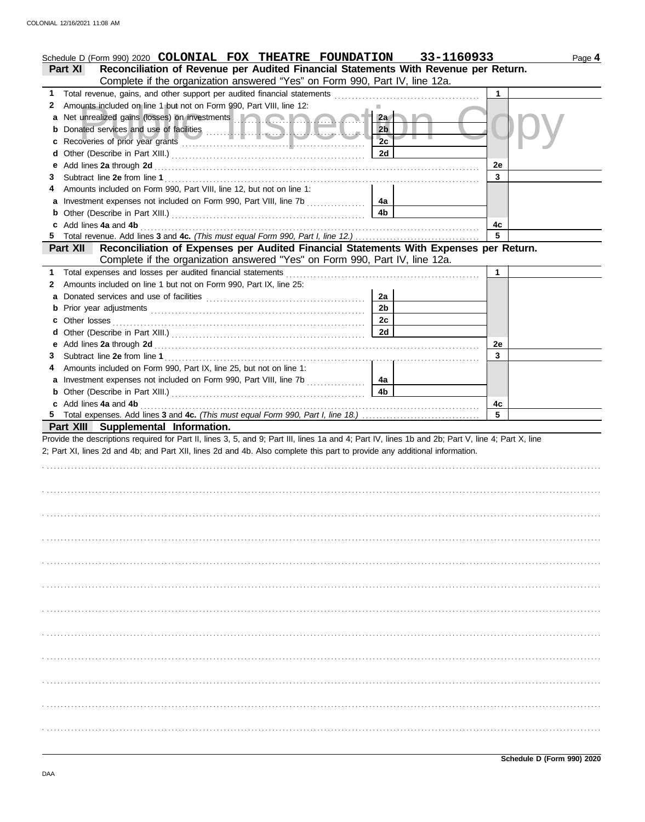|   | Schedule D (Form 990) 2020 COLONIAL FOX THEATRE FOUNDATION 33-1160933                                                                                                                                                          |                      |    | Page 4 |
|---|--------------------------------------------------------------------------------------------------------------------------------------------------------------------------------------------------------------------------------|----------------------|----|--------|
|   | Reconciliation of Revenue per Audited Financial Statements With Revenue per Return.<br><b>Part XI</b>                                                                                                                          |                      |    |        |
|   | Complete if the organization answered "Yes" on Form 990, Part IV, line 12a.                                                                                                                                                    |                      |    |        |
|   |                                                                                                                                                                                                                                |                      | 1  |        |
| 2 | Amounts included on line 1 but not on Form 990, Part VIII, line 12:                                                                                                                                                            |                      |    |        |
|   | a Net unrealized gains (losses) on investments <b>and a strategie of the strategy of the strategy of the strategy</b>                                                                                                          | 2a                   |    |        |
|   |                                                                                                                                                                                                                                | 2 <sub>b</sub><br>2c |    |        |
| c |                                                                                                                                                                                                                                |                      |    |        |
| d |                                                                                                                                                                                                                                | 2d                   |    |        |
|   |                                                                                                                                                                                                                                |                      | 2e |        |
| З |                                                                                                                                                                                                                                |                      | 3  |        |
| 4 | Amounts included on Form 990, Part VIII, line 12, but not on line 1:                                                                                                                                                           |                      |    |        |
|   | a Investment expenses not included on Form 990, Part VIII, line 7b                                                                                                                                                             | 4a                   |    |        |
|   |                                                                                                                                                                                                                                | 4 <sub>b</sub>       |    |        |
|   | c Add lines 4a and 4b                                                                                                                                                                                                          |                      | 4c |        |
|   |                                                                                                                                                                                                                                |                      | 5  |        |
|   | Reconciliation of Expenses per Audited Financial Statements With Expenses per Return.<br><b>Part XII</b>                                                                                                                       |                      |    |        |
|   | Complete if the organization answered "Yes" on Form 990, Part IV, line 12a.                                                                                                                                                    |                      |    |        |
|   | 1 Total expenses and losses per audited financial statements [11] [11] Total expenses and losses per audited financial statements [11] Total expenses and losses                                                               |                      | 1  |        |
|   | 2 Amounts included on line 1 but not on Form 990, Part IX, line 25:                                                                                                                                                            |                      |    |        |
| a |                                                                                                                                                                                                                                | 2a                   |    |        |
|   |                                                                                                                                                                                                                                | 2 <sub>b</sub>       |    |        |
|   |                                                                                                                                                                                                                                | 2c                   |    |        |
|   |                                                                                                                                                                                                                                | 2d                   |    |        |
|   |                                                                                                                                                                                                                                |                      | 2e |        |
| 3 |                                                                                                                                                                                                                                |                      | 3  |        |
| 4 | Amounts included on Form 990, Part IX, line 25, but not on line 1:                                                                                                                                                             |                      |    |        |
|   | a Investment expenses not included on Form 990, Part VIII, line 7b                                                                                                                                                             | 4a                   |    |        |
|   |                                                                                                                                                                                                                                | 4 <sub>b</sub>       |    |        |
|   | c Add lines 4a and 4b (a) and the contract of the state of the state of the state of the state of the state of the state of the state of the state of the state of the state of the state of the state of the state of the sta |                      | 4c |        |
|   |                                                                                                                                                                                                                                |                      | 5  |        |
|   | Part XIII Supplemental Information.                                                                                                                                                                                            |                      |    |        |
|   | Provide the descriptions required for Part II, lines 3, 5, and 9; Part III, lines 1a and 4; Part IV, lines 1b and 2b; Part V, line 4; Part X, line                                                                             |                      |    |        |
|   | 2; Part XI, lines 2d and 4b; and Part XII, lines 2d and 4b. Also complete this part to provide any additional information.                                                                                                     |                      |    |        |
|   |                                                                                                                                                                                                                                |                      |    |        |
|   |                                                                                                                                                                                                                                |                      |    |        |
|   |                                                                                                                                                                                                                                |                      |    |        |
|   |                                                                                                                                                                                                                                |                      |    |        |
|   |                                                                                                                                                                                                                                |                      |    |        |
|   |                                                                                                                                                                                                                                |                      |    |        |
|   |                                                                                                                                                                                                                                |                      |    |        |
|   |                                                                                                                                                                                                                                |                      |    |        |
|   |                                                                                                                                                                                                                                |                      |    |        |
|   |                                                                                                                                                                                                                                |                      |    |        |
|   |                                                                                                                                                                                                                                |                      |    |        |
|   |                                                                                                                                                                                                                                |                      |    |        |
|   |                                                                                                                                                                                                                                |                      |    |        |
|   |                                                                                                                                                                                                                                |                      |    |        |
|   |                                                                                                                                                                                                                                |                      |    |        |
|   |                                                                                                                                                                                                                                |                      |    |        |
|   |                                                                                                                                                                                                                                |                      |    |        |
|   |                                                                                                                                                                                                                                |                      |    |        |
|   |                                                                                                                                                                                                                                |                      |    |        |
|   |                                                                                                                                                                                                                                |                      |    |        |
|   |                                                                                                                                                                                                                                |                      |    |        |
|   |                                                                                                                                                                                                                                |                      |    |        |
|   |                                                                                                                                                                                                                                |                      |    |        |
|   |                                                                                                                                                                                                                                |                      |    |        |
|   |                                                                                                                                                                                                                                |                      |    |        |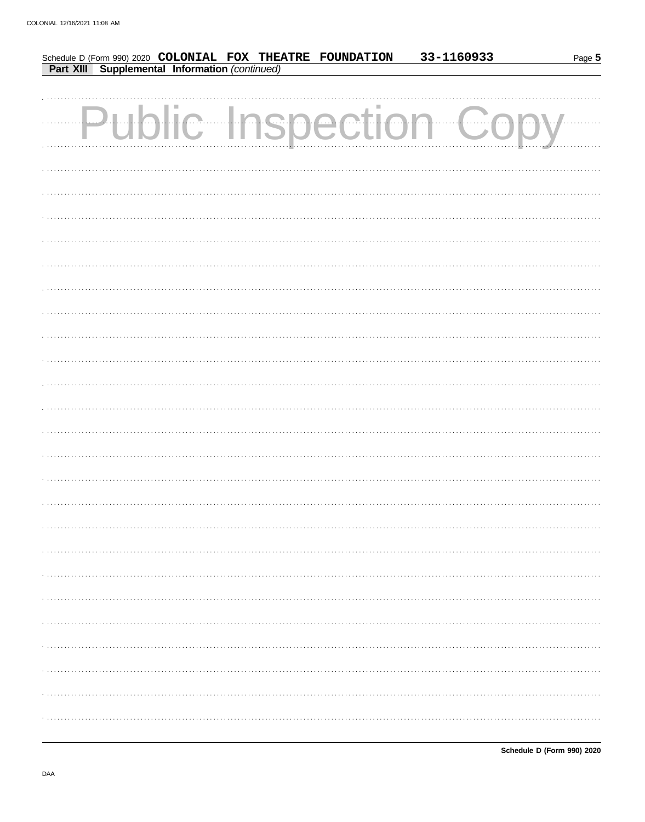|  |  |                                                                                                              | 33-1160933                  | Page 5 |
|--|--|--------------------------------------------------------------------------------------------------------------|-----------------------------|--------|
|  |  | Schedule D (Form 990) 2020 COLONIAL FOX THEATRE FOUNDATION<br>Part XIII Supplemental Information (continued) |                             |        |
|  |  |                                                                                                              |                             |        |
|  |  |                                                                                                              |                             |        |
|  |  |                                                                                                              | <b>Public Inspection Co</b> |        |
|  |  |                                                                                                              |                             |        |
|  |  |                                                                                                              |                             |        |
|  |  |                                                                                                              |                             |        |
|  |  |                                                                                                              |                             |        |
|  |  |                                                                                                              |                             |        |
|  |  |                                                                                                              |                             |        |
|  |  |                                                                                                              |                             |        |
|  |  |                                                                                                              |                             |        |
|  |  |                                                                                                              |                             |        |
|  |  |                                                                                                              |                             |        |
|  |  |                                                                                                              |                             |        |
|  |  |                                                                                                              |                             |        |
|  |  |                                                                                                              |                             |        |
|  |  |                                                                                                              |                             |        |
|  |  |                                                                                                              |                             |        |
|  |  |                                                                                                              |                             |        |
|  |  |                                                                                                              |                             |        |
|  |  |                                                                                                              |                             |        |
|  |  |                                                                                                              |                             |        |
|  |  |                                                                                                              |                             |        |
|  |  |                                                                                                              |                             |        |
|  |  |                                                                                                              |                             |        |
|  |  |                                                                                                              |                             |        |
|  |  |                                                                                                              |                             |        |
|  |  |                                                                                                              |                             |        |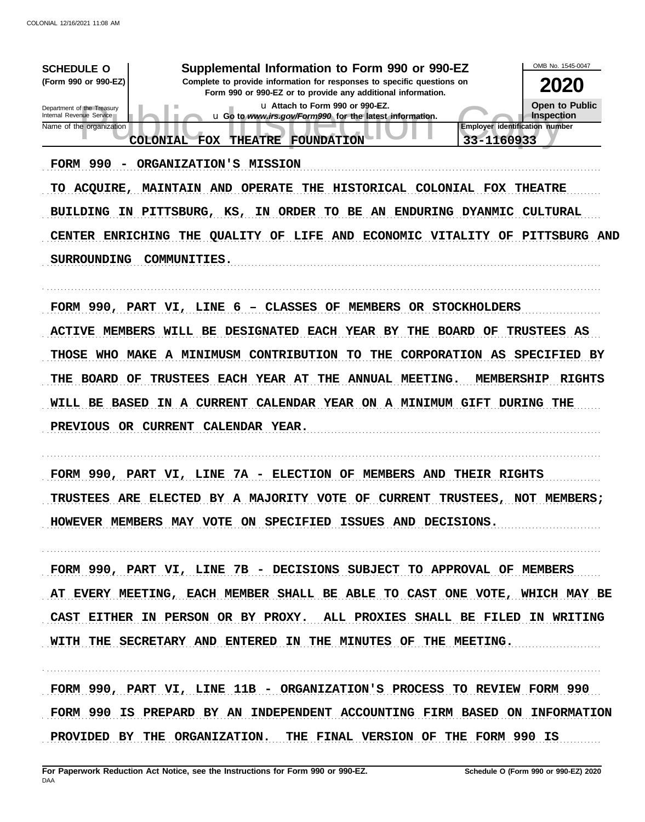| Supplemental Information to Form 990 or 990-EZ<br><b>SCHEDULE O</b><br>(Form 990 or 990-EZ)<br>Complete to provide information for responses to specific questions on<br>Form 990 or 990-EZ or to provide any additional information.<br>u Attach to Form 990 or 990-EZ.<br>Department of the Treasury<br>Internal Revenue Service<br>u Go to www.irs.gov/Form990 for the latest information.<br>Name of the organization<br>33-1160933<br>THEATRE FOUNDATION<br><b>COLONIAL FOX</b> | OMB No. 1545-0047<br><b>2020</b><br><b>Open to Public</b><br>Inspection<br>Employer identification number |
|--------------------------------------------------------------------------------------------------------------------------------------------------------------------------------------------------------------------------------------------------------------------------------------------------------------------------------------------------------------------------------------------------------------------------------------------------------------------------------------|-----------------------------------------------------------------------------------------------------------|
| FORM 990 - ORGANIZATION'S MISSION<br>MAINTAIN AND OPERATE THE HISTORICAL COLONIAL FOX THEATRE<br>TO ACQUIRE,<br>BUILDING IN PITTSBURG, KS, IN ORDER TO BE AN ENDURING DYANMIC CULTURAL<br>CENTER ENRICHING THE QUALITY OF LIFE AND ECONOMIC VITALITY OF PITTSBURG AND<br><b>SURROUNDING</b><br>COMMUNITIES.                                                                                                                                                                          |                                                                                                           |
| FORM 990, PART VI, LINE 6 - CLASSES OF MEMBERS OR STOCKHOLDERS<br><b>ACTIVE MEMBERS WILL BE DESIGNATED EACH YEAR BY</b><br>THE BOARD OF<br>THOSE WHO MAKE A MINIMUSM CONTRIBUTION TO THE<br>CORPORATION AS SPECIFIED BY<br>TRUSTEES EACH YEAR AT THE<br>ANNUAL MEETING.<br>THE BOARD OF<br>IN A CURRENT CALENDAR YEAR ON A MINIMUM GIFT DURING THE<br>WILL BE BASED<br>PREVIOUS OR CURRENT CALENDAR YEAR.                                                                            | <b>TRUSTEES AS</b><br><b>MEMBERSHIP</b><br><b>RIGHTS</b>                                                  |
| FORM 990, PART VI, LINE 7A - ELECTION OF MEMBERS AND THEIR RIGHTS<br>TRUSTEES ARE ELECTED BY A MAJORITY VOTE OF CURRENT TRUSTEES, NOT MEMBERS;<br>HOWEVER MEMBERS MAY VOTE ON SPECIFIED ISSUES AND DECISIONS.                                                                                                                                                                                                                                                                        |                                                                                                           |
| FORM 990, PART VI, LINE 7B - DECISIONS SUBJECT TO APPROVAL OF MEMBERS<br>AT EVERY MEETING, EACH MEMBER SHALL BE ABLE TO CAST ONE VOTE, WHICH MAY BE<br>CAST EITHER IN PERSON OR BY PROXY. ALL PROXIES SHALL BE FILED IN WRITING<br>WITH THE SECRETARY AND ENTERED IN THE MINUTES OF THE MEETING.                                                                                                                                                                                     |                                                                                                           |
| FORM 990, PART VI, LINE 11B - ORGANIZATION'S PROCESS TO REVIEW FORM 990<br>FORM 990 IS PREPARD BY AN INDEPENDENT ACCOUNTING FIRM BASED ON INFORMATION<br>PROVIDED BY THE ORGANIZATION. THE FINAL VERSION OF THE FORM 990 IS                                                                                                                                                                                                                                                          |                                                                                                           |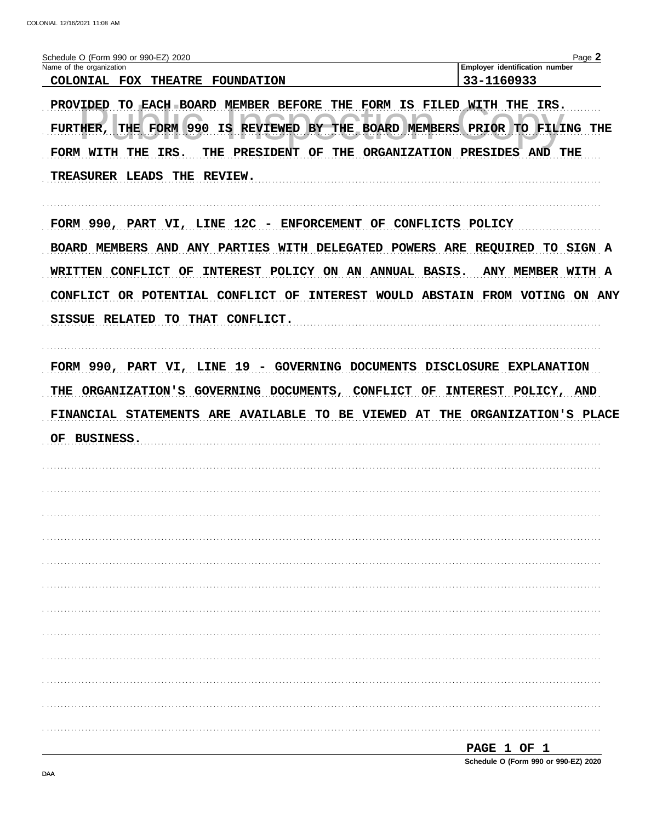| Employer identification number<br>33-1160933<br>TO EACH BOARD MEMBER BEFORE THE FORM IS FILED WITH THE<br>IRS.<br>BY THE BOARD MEMBERS PRIOR TO FILING THE<br>THE PRESIDENT OF THE ORGANIZATION PRESIDES AND THE<br>FORM 990, PART VI, LINE 12C - ENFORCEMENT OF CONFLICTS POLICY<br>BOARD MEMBERS AND ANY PARTIES WITH DELEGATED POWERS ARE REQUIRED TO SIGN A<br>INTEREST POLICY ON AN ANNUAL BASIS.<br><b>ANY MEMBER WITH A</b><br>CONFLICT OR POTENTIAL CONFLICT OF INTEREST WOULD ABSTAIN FROM VOTING ON ANY<br>FORM 990, PART VI, LINE 19 - GOVERNING DOCUMENTS DISCLOSURE EXPLANATION<br>INTEREST POLICY, AND |
|----------------------------------------------------------------------------------------------------------------------------------------------------------------------------------------------------------------------------------------------------------------------------------------------------------------------------------------------------------------------------------------------------------------------------------------------------------------------------------------------------------------------------------------------------------------------------------------------------------------------|
|                                                                                                                                                                                                                                                                                                                                                                                                                                                                                                                                                                                                                      |
|                                                                                                                                                                                                                                                                                                                                                                                                                                                                                                                                                                                                                      |
|                                                                                                                                                                                                                                                                                                                                                                                                                                                                                                                                                                                                                      |
|                                                                                                                                                                                                                                                                                                                                                                                                                                                                                                                                                                                                                      |
|                                                                                                                                                                                                                                                                                                                                                                                                                                                                                                                                                                                                                      |
|                                                                                                                                                                                                                                                                                                                                                                                                                                                                                                                                                                                                                      |
|                                                                                                                                                                                                                                                                                                                                                                                                                                                                                                                                                                                                                      |
|                                                                                                                                                                                                                                                                                                                                                                                                                                                                                                                                                                                                                      |
| FINANCIAL STATEMENTS ARE AVAILABLE TO BE VIEWED AT THE ORGANIZATION'S PLACE                                                                                                                                                                                                                                                                                                                                                                                                                                                                                                                                          |
|                                                                                                                                                                                                                                                                                                                                                                                                                                                                                                                                                                                                                      |
|                                                                                                                                                                                                                                                                                                                                                                                                                                                                                                                                                                                                                      |
|                                                                                                                                                                                                                                                                                                                                                                                                                                                                                                                                                                                                                      |
|                                                                                                                                                                                                                                                                                                                                                                                                                                                                                                                                                                                                                      |
|                                                                                                                                                                                                                                                                                                                                                                                                                                                                                                                                                                                                                      |
|                                                                                                                                                                                                                                                                                                                                                                                                                                                                                                                                                                                                                      |
|                                                                                                                                                                                                                                                                                                                                                                                                                                                                                                                                                                                                                      |
|                                                                                                                                                                                                                                                                                                                                                                                                                                                                                                                                                                                                                      |
|                                                                                                                                                                                                                                                                                                                                                                                                                                                                                                                                                                                                                      |
|                                                                                                                                                                                                                                                                                                                                                                                                                                                                                                                                                                                                                      |
|                                                                                                                                                                                                                                                                                                                                                                                                                                                                                                                                                                                                                      |
|                                                                                                                                                                                                                                                                                                                                                                                                                                                                                                                                                                                                                      |